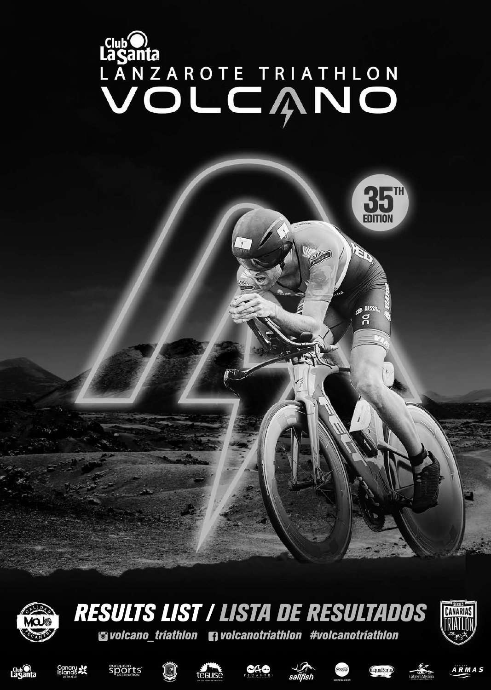# LANZAROTE TRIATHLON



# volcano\_triathlon volcanotriathlon#volcanotriathlon RESULTS LIST / LISTA DE RESULTADOS





















35

EDIT

**BERRY** 





ION

35TH

EDITION

**5")**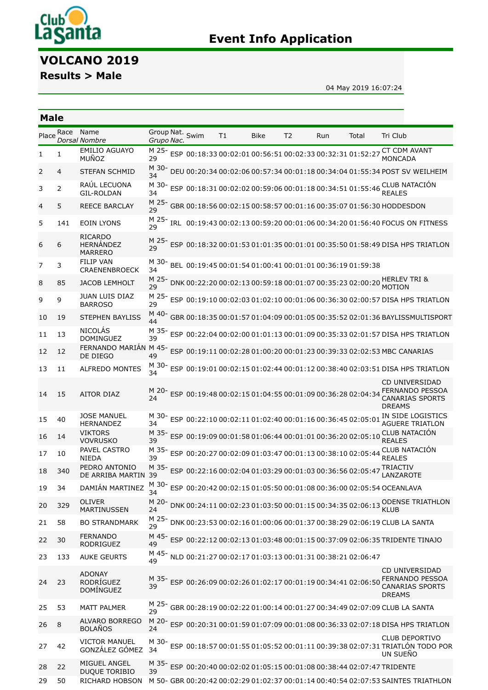

# **Event Info Application**

# **VOLCANO 2019**

**Results > Male**

**Male**

04 May 2019 16:07:24

### [Place](javascript:__doPostBack() Race Name *[Dorsal](javascript:__doPostBack() [Nombre](javascript:__doPostBack()* [Group](javascript:__doPostBack() Nat. *Grupo [Nac.](javascript:__doPostBack()* [Swim](javascript:__doPostBack() [T1](javascript:__doPostBack() [Bike](javascript:__doPostBack() [T2](javascript:__doPostBack() [Run](javascript:__doPostBack() [Total](javascript:__doPostBack() Tri [Club](javascript:__doPostBack() 1 1 EMILIO AGUAYO MUÑOZ M 25- 29 ESP 00:18:33 00:02:01 00:56:51 00:02:33 00:32:31 01:52:27 CT CDM AVANT MONCADA 2 4 STEFAN SCHMID M 30- 34 DEU 00:20:34 00:02:06 00:57:34 00:01:18 00:34:04 01:55:34 POST SV WEILHEIM 3 2 RAÚL LECUONA GIL-ROLDAN M 30- ESP 00:18:31 00:02:02 00:59:06 00:01:18 00:34:51 01:55:46 34 CLUB NATACIÓN REALES 4 5 REECE BARCLAY M 25 rt 23 GBR 00:18:56 00:02:15 00:58:57 00:01:16 00:35:07 01:56:30 HODDESDON<br>29 5 141 EOIN LYONS M 25 r1 23 IRL 00:19:43 00:02:13 00:59:20 00:01:06 00:34:20 01:56:40 FOCUS ON FITNESS<br>29 6 6 RICARDO HERNÁNDEZ MARRERO M 25- 29 ESP 00:18:32 00:01:53 01:01:35 00:01:01 00:35:50 01:58:49 DISA HPS TRIATLON 7 3 FILIP VAN CRAENENBROECK M 30- BEL 00:19:45 00:01:54 01:00:41 00:01:01 00:36:19 01:59:38 34 8 85 JACOB LEMHOLT M 25- DNK 00:22:20 00:02:13 00:59:18 00:01:07 00:35:23 02:00:20 HERLEV TRI & 29 MOTION 9 9 JUAN LUIS DIAZ **BARROSO** M 25- ESP 00:19:10 00:02:03 01:02:10 00:01:06 00:36:30 02:00:57 DISA HPS TRIATLON 29 10 19 STEPHEN BAYLISS M 40- 44 GBR 00:18:35 00:01:57 01:04:09 00:01:05 00:35:52 02:01:36 BAYLISSMULTISPORT 11 13 NICOLÁS DOMINGUEZ M 35- 39 ESP 00:22:04 00:02:00 01:01:13 00:01:09 00:35:33 02:01:57 DISA HPS TRIATLON 12 12 FERNANDO MARIÁN DE DIEGO M 45- ESP 00:19:11 00:02:28 01:00:20 00:01:23 00:39:33 02:02:53 MBC CANARIAS 49 13 11 ALFREDO MONTES M 30- 34 ESP 00:19:01 00:02:15 01:02:44 00:01:12 00:38:40 02:03:51 DISA HPS TRIATLON 14 15 AITOR DIAZ 24 ESP 00:19:48 00:02:15 01:04:55 00:01:09 00:36:28 02:04:34 FERNANDO PESSOA CD UNIVERSIDAD CANARIAS SPORTS DREAMS 15 40 JOSE MANUEL HERNANDEZ M 30- ESP 00:22:10 00:02:11 01:02:40 00:01:16 00:36:45 02:05:01 IN SIDE LOGISTICS 34 AGUERE TRIATLON 16 14 **VIKTORS** VOVRUSKO M 35- 39 ESP 00:19:09 00:01:58 01:06:44 00:01:01 00:36:20 02:05:10 CLUB NATACIÓN REALES 17 10 PAVEL CASTRO NIEDA M 35- 39 ESP 00:20:27 00:02:09 01:03:47 00:01:13 00:38:10 02:05:44 CLUB NATACIÓN REALES 18 340 PEDRO ANTONIO DE ARRIBA MARTIN M 35- ESP 00:22:16 00:02:04 01:03:29 00:01:03 00:36:56 02:05:47 TRIACTIV 39 LANZAROTE 19 34 DAMIÁN MARTINEZ M 30- ESP 00:20:42 00:02:15 01:05:50 00:01:08 00:36:00 02:05:54 OCEANLAVA 34 20 329 OLIVER MARTINUSSEN M 20-<br>24 DNK 00:24:11 00:02:23 01:03:50 00:01:15 00:34:35 02:06:13 *VLUB* 24 KLU<sub>B</sub> 21 58 BO STRANDMARK M 25- 29 DNK 00:23:53 00:02:16 01:00:06 00:01:37 00:38:29 02:06:19 CLUB LA SANTA 22 30 FERNANDO RODRIGUEZ M 45- ESP 00:22:12 00:02:13 01:03:48 00:01:15 00:37:09 02:06:35 TRIDENTE TINAJO 49 23 133 AUKE GEURTS M 45- 49 NLD 00:21:27 00:02:17 01:03:13 00:01:31 00:38:21 02:06:47 24 23 ADONAY RODRÍGUEZ DOMÍNGUEZ M 35- ESP 00:26:09 00:02:26 01:02:17 00:01:19 00:34:41 02:06:50 FERNANDO PESSOA 39 CD UNIVERSIDAD CANARIAS SPORTS DREAMS 25 53 MATT PALMER M 25- GBR 00:28:19 00:02:22 01:00:14 00:01:27 00:34:49 02:07:09 CLUB LA SANTA 29 26 8 ALVARO BORREGO BOLAÑOS M 20- ... 20 ESP 00:20:31 00:01:59 01:07:09 00:01:08 00:36:33 02:07:18 DISA HPS TRIATLON<br>24 27 42 VICTOR MANUEL GONZÁLEZ GÓMEZ M 30- 34 ESP 00:18:57 00:01:55 01:05:52 00:01:11 00:39:38 02:07:31 TRIATLÓN TODO POR CLUB DEPORTIVO UN SUEÑO 28 22 MIGUEL ANGEL DUQUE TORIBIO M 35- 39 ESP 00:20:40 00:02:02 01:05:15 00:01:08 00:38:44 02:07:47 TRIDENTE 29 50 RICHARD HOBSON M 50- GBR 00:20:42 00:02:29 01:02:37 00:01:14 00:40:54 02:07:53 SAINTES TRIATHLON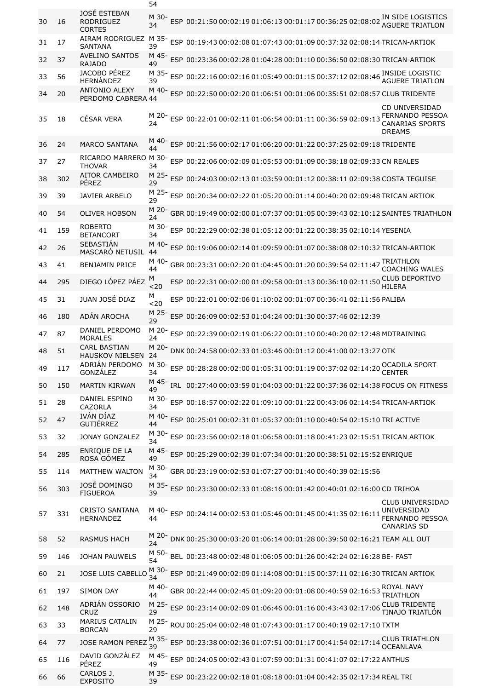|    |     |                                                   | 54            |                                                                             |                                                                                        |
|----|-----|---------------------------------------------------|---------------|-----------------------------------------------------------------------------|----------------------------------------------------------------------------------------|
| 30 | 16  | JOSÉ ESTEBAN<br><b>RODRIGUEZ</b><br><b>CORTES</b> | M 30-<br>34   | ESP 00:21:50 00:02:19 01:06:13 00:01:17 00:36:25 02:08:02 AGUERE TRIATLON   |                                                                                        |
| 31 | 17  | AIRAM RODRIGUEZ<br><b>SANTANA</b>                 | M 35-<br>39   | ESP 00:19:43 00:02:08 01:07:43 00:01:09 00:37:32 02:08:14 TRICAN-ARTIOK     |                                                                                        |
| 32 | 37  | <b>AVELINO SANTOS</b><br><b>RAJADO</b>            | M 45-<br>49   | ESP 00:23:36 00:02:28 01:04:28 00:01:10 00:36:50 02:08:30 TRICAN-ARTIOK     |                                                                                        |
| 33 | 56  | JACOBO PÉREZ<br>HERNÁNDEZ                         | M 35-<br>39   | ESP 00:22:16 00:02:16 01:05:49 00:01:15 00:37:12 02:08:46 INSIDE LOGISTIC   | <b>AGUERE TRIATLON</b>                                                                 |
| 34 | 20  | <b>ANTONIO ALEXY</b><br>PERDOMO CABRERA 44        | M 40-         | ESP 00:22:50 00:02:20 01:06:51 00:01:06 00:35:51 02:08:57 CLUB TRIDENTE     |                                                                                        |
| 35 | 18  | <b>CÉSAR VERA</b>                                 | M 20-<br>24   | ESP 00:22:01 00:02:11 01:06:54 00:01:11 00:36:59 02:09:13 FERNANDO PESSOA   | <b>CD UNIVERSIDAD</b><br><b>CANARIAS SPORTS</b><br><b>DREAMS</b>                       |
| 36 | 24  | <b>MARCO SANTANA</b>                              | M 40·<br>44   | ESP 00:21:56 00:02:17 01:06:20 00:01:22 00:37:25 02:09:18 TRIDENTE          |                                                                                        |
| 37 | 27  | RICARDO MARRERO M 30-<br><b>THOVAR</b>            | 34            | ESP 00:22:06 00:02:09 01:05:53 00:01:09 00:38:18 02:09:33 CN REALES         |                                                                                        |
| 38 | 302 | <b>AITOR CAMBEIRO</b><br>PÉREZ                    | M 25-<br>29   | ESP 00:24:03 00:02:13 01:03:59 00:01:12 00:38:11 02:09:38 COSTA TEGUISE     |                                                                                        |
| 39 | 39  | <b>JAVIER ARBELO</b>                              | M 25-<br>29   | ESP 00:20:34 00:02:22 01:05:20 00:01:14 00:40:20 02:09:48 TRICAN ARTIOK     |                                                                                        |
| 40 | 54  | <b>OLIVER HOBSON</b>                              | M 20-<br>24   | GBR 00:19:49 00:02:00 01:07:37 00:01:05 00:39:43 02:10:12 SAINTES TRIATHLON |                                                                                        |
| 41 | 159 | <b>ROBERTO</b><br><b>BETANCORT</b>                | M 30-<br>34   | ESP 00:22:29 00:02:38 01:05:12 00:01:22 00:38:35 02:10:14 YESENIA           |                                                                                        |
| 42 | 26  | SEBASTIÁN<br>MASCARÓ NETUSIL                      | M 40-<br>44   | ESP 00:19:06 00:02:14 01:09:59 00:01:07 00:38:08 02:10:32 TRICAN-ARTIOK     |                                                                                        |
| 43 | 41  | <b>BENJAMIN PRICE</b>                             | M 40-<br>44   | GBR 00:23:31 00:02:20 01:04:45 00:01:20 00:39:54 02:11:47 TRIATHLON         |                                                                                        |
| 44 | 295 | DIEGO LÓPEZ PÁEZ                                  | M             | ESP 00:22:31 00:02:00 01:09:58 00:01:13 00:36:10 02:11:50 CLUB DEPORTIVO    | <b>COACHING WALES</b>                                                                  |
| 45 | 31  | JUAN JOSÉ DIAZ                                    | < 20<br>М     | ESP 00:22:01 00:02:06 01:10:02 00:01:07 00:36:41 02:11:56 PALIBA            | <b>HILERA</b>                                                                          |
| 46 | 180 | ADÁN AROCHA                                       | < 20<br>M 25- | ESP 00:26:09 00:02:53 01:04:24 00:01:30 00:37:46 02:12:39                   |                                                                                        |
| 47 | 87  | DANIEL PERDOMO                                    | 29<br>M 20-   | ESP 00:22:39 00:02:19 01:06:22 00:01:10 00:40:20 02:12:48 MDTRAINING        |                                                                                        |
| 48 | 51  | <b>MORALES</b><br><b>CARL BASTIAN</b>             | 24<br>M 20-   | DNK 00:24:58 00:02:33 01:03:46 00:01:12 00:41:00 02:13:27 OTK               |                                                                                        |
| 49 | 117 | <b>HAUSKOV NIELSEN</b><br>ADRIÁN PERDOMO          | 24<br>M 30-   | ESP 00:28:28 00:02:00 01:05:31 00:01:19 00:37:02 02:14:20 CCADILA SPORT     |                                                                                        |
| 50 | 150 | GONZÁLEZ<br><b>MARTIN KIRWAN</b>                  | 34<br>M 45-   | IRL 00:27:40 00:03:59 01:04:03 00:01:22 00:37:36 02:14:38 FOCUS ON FITNESS  | <b>CENTER</b>                                                                          |
|    |     | DANIEL ESPINO                                     | 49<br>M 30-   |                                                                             |                                                                                        |
| 51 | 28  | <b>CAZORLA</b><br>IVÁN DÍAZ                       | 34<br>M 40-   | ESP 00:18:57 00:02:22 01:09:10 00:01:22 00:43:06 02:14:54 TRICAN-ARTIOK     |                                                                                        |
| 52 | 47  | <b>GUTIÉRREZ</b>                                  | 44<br>M 30-   | ESP 00:25:01 00:02:31 01:05:37 00:01:10 00:40:54 02:15:10 TRI ACTIVE        |                                                                                        |
| 53 | 32  | <b>JONAY GONZALEZ</b>                             | 34            | ESP 00:23:56 00:02:18 01:06:58 00:01:18 00:41:23 02:15:51 TRICAN ARTIOK     |                                                                                        |
| 54 | 285 | ENRIQUE DE LA<br>ROSA GÓMEZ                       | M 45-<br>49   | ESP 00:25:29 00:02:39 01:07:34 00:01:20 00:38:51 02:15:52 ENRIOUE           |                                                                                        |
| 55 | 114 | <b>MATTHEW WALTON</b>                             | M 30-<br>34   | GBR 00:23:19 00:02:53 01:07:27 00:01:40 00:40:39 02:15:56                   |                                                                                        |
| 56 | 303 | JOSÉ DOMINGO<br><b>FIGUEROA</b>                   | M 35-<br>39   | ESP 00:23:30 00:02:33 01:08:16 00:01:42 00:40:01 02:16:00 CD TRIHOA         |                                                                                        |
| 57 | 331 | <b>CRISTO SANTANA</b><br><b>HERNANDEZ</b>         | M 40-<br>44   | ESP 00:24:14 00:02:53 01:05:46 00:01:45 00:41:35 02:16:11                   | <b>CLUB UNIVERSIDAD</b><br>UNIVERSIDAD<br><b>FERNANDO PESSOA</b><br><b>CANARIAS SD</b> |
| 58 | 52  | <b>RASMUS HACH</b>                                | M 20-<br>24   | DNK 00:25:30 00:03:20 01:06:14 00:01:28 00:39:50 02:16:21 TEAM ALL OUT      |                                                                                        |
| 59 | 146 | <b>JOHAN PAUWELS</b>                              | M 50-<br>54   | BEL 00:23:48 00:02:48 01:06:05 00:01:26 00:42:24 02:16:28 BE- FAST          |                                                                                        |
| 60 | 21  | JOSE LUIS CABELLO                                 | M 30-<br>34   | ESP 00:21:49 00:02:09 01:14:08 00:01:15 00:37:11 02:16:30 TRICAN ARTIOK     |                                                                                        |
| 61 | 197 | <b>SIMON DAY</b>                                  | M 40-<br>44   | GBR 00:22:44 00:02:45 01:09:20 00:01:08 00:40:59 02:16:53                   | ROYAL NAVY<br><b>TRIATHLON</b>                                                         |
| 62 | 148 | ADRIÁN OSSORIO<br>CRUZ                            | M 25-<br>29   | ESP 00:23:14 00:02:09 01:06:46 00:01:16 00:43:43 02:17:06                   | <b>CLUB TRIDENTE</b><br>TINAJO TRIATLÓN                                                |
| 63 | 33  | <b>MARIUS CATALIN</b><br><b>BORCAN</b>            | M 25-<br>29   | ROU 00:25:04 00:02:48 01:07:43 00:01:17 00:40:19 02:17:10 TXTM              |                                                                                        |
| 64 | 77  | <b>JOSE RAMON PEREZ</b>                           | M 35-<br>39   | ESP 00:23:38 00:02:36 01:07:51 00:01:17 00:41:54 02:17:14                   | <b>CLUB TRIATHLON</b><br><b>OCEANLAVA</b>                                              |
| 65 | 116 | DAVID GONZÁLEZ<br>PÉREZ                           | M 45-         | ESP 00:24:05 00:02:43 01:07:59 00:01:31 00:41:07 02:17:22 ANTHUS            |                                                                                        |
| 66 | 66  | CARLOS J.                                         | 49<br>M 35-   | ESP 00:23:22 00:02:18 01:08:18 00:01:04 00:42:35 02:17:34 REAL TRI          |                                                                                        |
|    |     | <b>EXPOSITO</b>                                   | 39            |                                                                             |                                                                                        |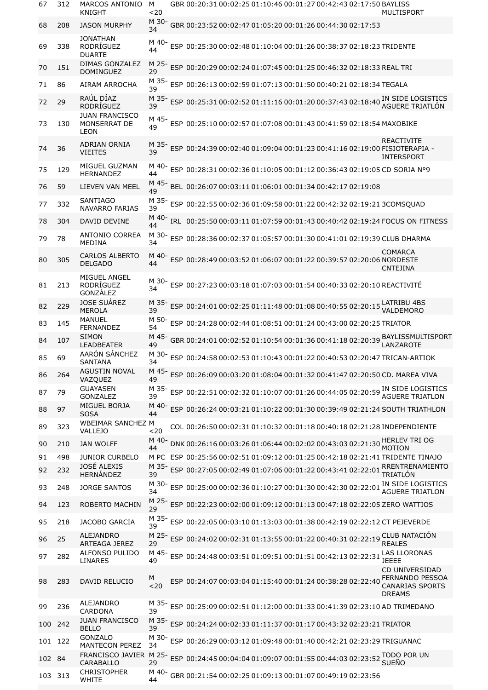| 67      | 312 | <b>MARCOS ANTONIO</b><br>KNIGHT                      | M<br>$20$   |  | GBR 00:20:31 00:02:25 01:10:46 00:01:27 00:42:43 02:17:50 BAYLISS    |  | MULTISPORT                                                                                                         |
|---------|-----|------------------------------------------------------|-------------|--|----------------------------------------------------------------------|--|--------------------------------------------------------------------------------------------------------------------|
| 68      | 208 | <b>JASON MURPHY</b>                                  | M 30-<br>34 |  | GBR 00:23:52 00:02:47 01:05:20 00:01:26 00:44:30 02:17:53            |  |                                                                                                                    |
| 69      | 338 | <b>JONATHAN</b><br>RODRÍGUEZ<br><b>DUARTE</b>        | M 40-<br>44 |  | ESP 00:25:30 00:02:48 01:10:04 00:01:26 00:38:37 02:18:23 TRIDENTE   |  |                                                                                                                    |
| 70      | 151 | <b>DIMAS GONZALEZ</b><br><b>DOMINGUEZ</b>            | 29          |  | ESP 00:20:29 00:02:24 01:07:45 00:01:25 00:46:32 02:18:33 REAL TRI   |  |                                                                                                                    |
| 71      | 86  | AIRAM ARROCHA                                        | M 35-<br>39 |  | ESP 00:26:13 00:02:59 01:07:13 00:01:50 00:40:21 02:18:34 TEGALA     |  |                                                                                                                    |
| 72      | 29  | RAÚL DÍAZ<br>RODRÍGUEZ                               | M 35-<br>39 |  |                                                                      |  | ESP 00:25:31 00:02:52 01:11:16 00:01:20 00:37:43 02:18:40 IN SIDE LOGISTICS<br>AGUERE TRIATLÓN                     |
| 73      | 130 | <b>JUAN FRANCISCO</b><br>MONSERRAT DE<br><b>LEON</b> | M 45-<br>49 |  | ESP 00:25:10 00:02:57 01:07:08 00:01:43 00:41:59 02:18:54 MAXOBIKE   |  |                                                                                                                    |
| 74      | 36  | <b>ADRIAN ORNIA</b><br><b>VIEITES</b>                | M 35-<br>39 |  |                                                                      |  | <b>REACTIVITE</b><br>ESP 00:24:39 00:02:40 01:09:04 00:01:23 00:41:16 02:19:00 FISIOTERAPIA -<br><b>INTERSPORT</b> |
| 75      | 129 | MIGUEL GUZMAN<br><b>HERNANDEZ</b>                    | M 40-<br>44 |  |                                                                      |  | ESP 00:28:31 00:02:36 01:10:05 00:01:12 00:36:43 02:19:05 CD SORIA N°9                                             |
| 76      | 59  | LIEVEN VAN MEEL                                      | M 45-<br>49 |  | BEL 00:26:07 00:03:11 01:06:01 00:01:34 00:42:17 02:19:08            |  |                                                                                                                    |
| 77      | 332 | <b>SANTIAGO</b><br><b>NAVARRO FARIAS</b>             | M 35-<br>39 |  |                                                                      |  | ESP 00:22:55 00:02:36 01:09:58 00:01:22 00:42:32 02:19:21 3COMSQUAD                                                |
| 78      | 304 | DAVID DEVINE                                         | M 40-<br>44 |  |                                                                      |  | IRL 00:25:50 00:03:11 01:07:59 00:01:43 00:40:42 02:19:24 FOCUS ON FITNESS                                         |
| 79      | 78  | <b>ANTONIO CORREA</b><br><b>MEDINA</b>               | M 30-<br>34 |  |                                                                      |  | ESP 00:28:36 00:02:37 01:05:57 00:01:30 00:41:01 02:19:39 CLUB DHARMA                                              |
| 80      | 305 | <b>CARLOS ALBERTO</b><br><b>DELGADO</b>              | M 40-<br>44 |  | ESP 00:28:49 00:03:52 01:06:07 00:01:22 00:39:57 02:20:06 NORDESTE   |  | <b>COMARCA</b><br>CNTEJINA                                                                                         |
| 81      | 213 | MIGUEL ANGEL<br>RODRÍGUEZ<br>GONZÁLEZ                | M 30-<br>34 |  | ESP 00:27:23 00:03:18 01:07:03 00:01:54 00:40:33 02:20:10 REACTIVITÉ |  |                                                                                                                    |
| 82      | 229 | <b>JOSE SUÁREZ</b><br><b>MEROLA</b>                  | M 35-<br>39 |  |                                                                      |  | ESP 00:24:01 00:02:25 01:11:48 00:01:08 00:40:55 02:20:15 LATRIBU 4BS<br>VALDEMORO                                 |
| 83      | 145 | MANUEL<br><b>FERNANDEZ</b>                           | M 50-<br>54 |  | ESP 00:24:28 00:02:44 01:08:51 00:01:24 00:43:00 02:20:25 TRIATOR    |  |                                                                                                                    |
| 84      | 107 | <b>SIMON</b><br><b>LEADBEATER</b>                    | M 45-<br>49 |  |                                                                      |  | GBR 00:24:01 00:02:52 01:10:54 00:01:36 00:41:18 02:20:39 BAYLISSMULTISPORT<br>LANZAROTE                           |
| 85      | 69  | AARÓN SÁNCHEZ<br><b>SANTANA</b>                      | M 30-<br>34 |  |                                                                      |  | ESP 00:24:58 00:02:53 01:10:43 00:01:22 00:40:53 02:20:47 TRICAN-ARTIOK                                            |
| 86      | 264 | <b>AGUSTIN NOVAL</b><br>VAZQUEZ                      | M 45-<br>49 |  |                                                                      |  | ESP 00:26:09 00:03:20 01:08:04 00:01:32 00:41:47 02:20:50 CD. MAREA VIVA                                           |
| 87      | 79  | <b>GUAYASEN</b><br><b>GONZALEZ</b>                   | M 35-<br>39 |  |                                                                      |  | ESP 00:22:51 00:02:32 01:10:07 00:01:26 00:44:05 02:20:59 IN SIDE LOGISTICS<br><b>AGUERE TRIATLON</b>              |
| 88      | 97  | MIGUEL BORJA<br><b>SOSA</b>                          | M 40-<br>44 |  |                                                                      |  | ESP 00:26:24 00:03:21 01:10:22 00:01:30 00:39:49 02:21:24 SOUTH TRIATHLON                                          |
| 89      | 323 | <b>WBEIMAR SANCHEZ M</b><br><b>VALLEJO</b>           | $20$        |  |                                                                      |  | COL 00:26:50 00:02:31 01:10:32 00:01:18 00:40:18 02:21:28 INDEPENDIENTE                                            |
| 90      | 210 | <b>JAN WOLFF</b>                                     | M 40-<br>44 |  | DNK 00:26:16 00:03:26 01:06:44 00:02:02 00:43:03 02:21:30            |  | <b>HERLEV TRI OG</b><br><b>MOTION</b>                                                                              |
| 91      | 498 | <b>JUNIOR CURBELO</b>                                |             |  |                                                                      |  | M PC ESP 00:25:56 00:02:51 01:09:12 00:01:25 00:42:18 02:21:41 TRIDENTE TINAJO                                     |
| 92      | 232 | JOSÉ ALEXIS<br>HERNÁNDEZ                             | M 35-<br>39 |  | ESP 00:27:05 00:02:49 01:07:06 00:01:22 00:43:41 02:22:01            |  | RRENTRENAMIENTO<br>TRIATI ÓN                                                                                       |
| 93      | 248 | <b>JORGE SANTOS</b>                                  | M 30-<br>34 |  | ESP 00:25:00 00:02:36 01:10:27 00:01:30 00:42:30 02:22:01            |  | IN SIDE LOGISTICS<br><b>AGUERE TRIATION</b>                                                                        |
| 94      | 123 | ROBERTO MACHIN                                       | M 25-<br>29 |  |                                                                      |  | ESP 00:22:23 00:02:00 01:09:12 00:01:13 00:47:18 02:22:05 ZERO WATTIOS                                             |
| 95      | 218 | <b>JACOBO GARCIA</b>                                 | M 35-<br>39 |  |                                                                      |  | ESP 00:22:05 00:03:10 01:13:03 00:01:38 00:42:19 02:22:12 CT PEJEVERDE                                             |
| 96      | 25  | <b>ALEJANDRO</b><br><b>ARTEAGA JEREZ</b>             | M 25-<br>29 |  |                                                                      |  | ESP 00:24:02 00:02:31 01:13:55 00:01:22 00:40:31 02:22:19 CLUB NATACIÓN<br><b>REALES</b>                           |
| 97      | 282 | ALFONSO PULIDO<br><b>LINARES</b>                     | M 45-<br>49 |  | ESP 00:24:48 00:03:51 01:09:51 00:01:51 00:42:13 02:22:31            |  | <b>LAS LLORONAS</b><br><b>JEEEE</b>                                                                                |
| 98      | 283 | DAVID RELUCIO                                        | M<br>$20$   |  | ESP 00:24:07 00:03:04 01:15:40 00:01:24 00:38:28 02:22:40            |  | <b>CD UNIVERSIDAD</b><br><b>FERNANDO PESSOA</b><br><b>CANARIAS SPORTS</b><br><b>DREAMS</b>                         |
| 99      | 236 | ALEJANDRO<br>CARDONA                                 | M 35-<br>39 |  |                                                                      |  | ESP 00:25:09 00:02:51 01:12:00 00:01:33 00:41:39 02:23:10 AD TRIMEDANO                                             |
| 100     | 242 | <b>JUAN FRANCISCO</b><br><b>BELLO</b>                | M 35-<br>39 |  | ESP 00:24:24 00:02:33 01:11:37 00:01:17 00:43:32 02:23:21 TRIATOR    |  |                                                                                                                    |
| 101     | 122 | GONZALO<br><b>MANTECON PEREZ</b>                     | M 30-<br>34 |  | ESP 00:26:29 00:03:12 01:09:48 00:01:40 00:42:21 02:23:29 TRIGUANAC  |  |                                                                                                                    |
| 102 84  |     | FRANCISCO JAVIER M 25-<br>CARABALLO                  | 29          |  |                                                                      |  | ESP 00:24:45 00:04:04 01:09:07 00:01:55 00:44:03 02:23:52 CUEÑO<br><b>SUEÑO</b>                                    |
| 103 313 |     | <b>CHRISTOPHER</b><br><b>WHITE</b>                   | M 40-<br>44 |  | GBR 00:21:54 00:02:25 01:09:13 00:01:07 00:49:19 02:23:56            |  |                                                                                                                    |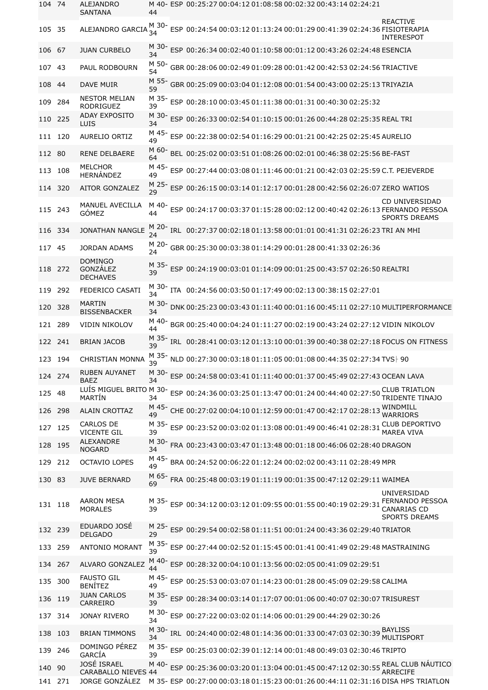| 104 74  |         | ALEJANDRO<br><b>SANTANA</b>                      | 44          |  |  | M 40- ESP 00:25:27 00:04:12 01:08:58 00:02:32 00:43:14 02:24:21                 |                                                                                                                                        |
|---------|---------|--------------------------------------------------|-------------|--|--|---------------------------------------------------------------------------------|----------------------------------------------------------------------------------------------------------------------------------------|
| 105 35  |         | ALEJANDRO GARCIA 34                              |             |  |  | M 30-<br>ESP 00:24:54 00:03:12 01:13:24 00:01:29 00:41:39 02:24:36 FISIOTERAPIA | <b>REACTIVE</b><br><b>INTERESPOT</b>                                                                                                   |
| 106 67  |         | <b>JUAN CURBELO</b>                              | 34          |  |  | ESP 00:26:34 00:02:40 01:10:58 00:01:12 00:43:26 02:24:48 ESENCIA               |                                                                                                                                        |
| 107 43  |         | PAUL RODBOURN                                    | M 50-<br>54 |  |  | GBR 00:28:06 00:02:49 01:09:28 00:01:42 00:42:53 02:24:56 TRIACTIVE             |                                                                                                                                        |
| 108     | -44     | <b>DAVE MUIR</b>                                 | M 55-<br>59 |  |  | GBR 00:25:09 00:03:04 01:12:08 00:01:54 00:43:00 02:25:13 TRIYAZIA              |                                                                                                                                        |
| 109     | 284     | <b>NESTOR MELIAN</b><br>RODRIGUEZ                | M 35-<br>39 |  |  | ESP 00:28:10 00:03:45 01:11:38 00:01:31 00:40:30 02:25:32                       |                                                                                                                                        |
| 110     | 225     | <b>ADAY EXPOSITO</b><br>LUIS                     | M 30-<br>34 |  |  | ESP 00:26:33 00:02:54 01:10:15 00:01:26 00:44:28 02:25:35 REAL TRI              |                                                                                                                                        |
|         | 111 120 | AURELIO ORTIZ                                    | M 45-<br>49 |  |  | ESP 00:22:38 00:02:54 01:16:29 00:01:21 00:42:25 02:25:45 AURELIO               |                                                                                                                                        |
| 112 80  |         | <b>RENE DELBAERE</b>                             | M 60-<br>64 |  |  | BEL 00:25:02 00:03:51 01:08:26 00:02:01 00:46:38 02:25:56 BE-FAST               |                                                                                                                                        |
| 113     | 108     | <b>MELCHOR</b><br>HERNÁNDEZ                      | M 45-<br>49 |  |  |                                                                                 | ESP 00:27:44 00:03:08 01:11:46 00:01:21 00:42:03 02:25:59 C.T. PEJEVERDE                                                               |
|         | 114 320 | <b>AITOR GONZALEZ</b>                            |             |  |  | ESP 00:26:15 00:03:14 01:12:17 00:01:28 00:42:56 02:26:07 ZERO WATIOS           |                                                                                                                                        |
| 115     | 243     | MANUEL AVECILLA<br>GÓMEZ                         | M 40-<br>44 |  |  |                                                                                 | CD UNIVERSIDAD<br>ESP 00:24:17 00:03:37 01:15:28 00:02:12 00:40:42 02:26:13 FERNANDO PESSOA<br><b>SPORTS DREAMS</b>                    |
| 116     | 334     | JONATHAN NANGLE                                  | M 20-<br>24 |  |  | IRL 00:27:37 00:02:18 01:13:58 00:01:01 00:41:31 02:26:23 TRI AN MHI            |                                                                                                                                        |
| 117     | 45      | <b>JORDAN ADAMS</b>                              | M 20-<br>24 |  |  | GBR 00:25:30 00:03:38 01:14:29 00:01:28 00:41:33 02:26:36                       |                                                                                                                                        |
|         | 118 272 | <b>DOMINGO</b><br>GONZÁLEZ<br><b>DECHAVES</b>    | M 35-<br>39 |  |  | ESP 00:24:19 00:03:01 01:14:09 00:01:25 00:43:57 02:26:50 REALTRI               |                                                                                                                                        |
| 119     | 292     | FEDERICO CASATI                                  | M 30-<br>34 |  |  | ITA 00:24:56 00:03:50 01:17:49 00:02:13 00:38:15 02:27:01                       |                                                                                                                                        |
| 120     | 328     | <b>MARTIN</b><br><b>BISSENBACKER</b>             | M 30-<br>34 |  |  |                                                                                 | DNK 00:25:23 00:03:43 01:11:40 00:01:16 00:45:11 02:27:10 MULTIPERFORMANCE                                                             |
| 121     | 289     | <b>VIDIN NIKOLOV</b>                             | M 40-<br>44 |  |  |                                                                                 | BGR 00:25:40 00:04:24 01:11:27 00:02:19 00:43:24 02:27:12 VIDIN NIKOLOV                                                                |
| 122 241 |         | <b>BRIAN JACOB</b>                               | M 35-<br>39 |  |  |                                                                                 | IRL 00:28:41 00:03:12 01:13:10 00:01:39 00:40:38 02:27:18 FOCUS ON FITNESS                                                             |
| 123     | 194     | CHRISTIAN MONNA                                  |             |  |  | M 35- NLD 00:27:30 00:03:18 01:11:05 00:01:08 00:44:35 02:27:34 TVS  90         |                                                                                                                                        |
|         | 124 274 | <b>RUBEN AUYANET</b><br><b>BAEZ</b>              | M 30-<br>34 |  |  | ESP 00:24:58 00:03:41 01:11:40 00:01:37 00:45:49 02:27:43 OCEAN LAVA            |                                                                                                                                        |
| 125     | 48      | LUÍS MIGUEL BRITO M 30-<br>MARTÍN                | 34          |  |  |                                                                                 | ESP 00:24:36 00:03:25 01:13:47 00:01:24 00:44:40 02:27:50 CLUB TRIATLON<br><b>TRIDENTE TINAJO</b>                                      |
|         | 126 298 | <b>ALAIN CROTTAZ</b>                             | M 45-<br>49 |  |  | CHE 00:27:02 00:04:10 01:12:59 00:01:47 00:42:17 02:28:13 WINDMILL              | <b>WARRIORS</b>                                                                                                                        |
| 127     | 125     | CARLOS DE<br><b>VICENTE GIL</b>                  | M 35-<br>39 |  |  |                                                                                 | ESP 00:23:52 00:03:02 01:13:08 00:01:49 00:46:41 02:28:31 MAREA MIMA<br><b>MAREA VIVA</b>                                              |
| 128     | 195     | <b>ALEXANDRE</b><br><b>NOGARD</b>                | M 30-<br>34 |  |  | FRA 00:23:43 00:03:47 01:13:48 00:01:18 00:46:06 02:28:40 DRAGON                |                                                                                                                                        |
| 129     | 212     | <b>OCTAVIO LOPES</b>                             | M 45-<br>49 |  |  | BRA 00:24:52 00:06:22 01:12:24 00:02:02 00:43:11 02:28:49 MPR                   |                                                                                                                                        |
| 130 83  |         | <b>JUVE BERNARD</b>                              | M 65-<br>69 |  |  | FRA 00:25:48 00:03:19 01:11:19 00:01:35 00:47:12 02:29:11 WAIMEA                |                                                                                                                                        |
|         | 131 118 | AARON MESA<br><b>MORALES</b>                     | 39          |  |  |                                                                                 | UNIVERSIDAD<br>ESP 00:34:12 00:03:12 01:09:55 00:01:55 00:40:19 02:29:31 FERNANDO PESSOA<br><b>CANARIAS CD</b><br><b>SPORTS DREAMS</b> |
|         | 132 239 | EDUARDO JOSÉ<br><b>DELGADO</b>                   | 29          |  |  | ESP 00:29:54 00:02:58 01:11:51 00:01:24 00:43:36 02:29:40 TRIATOR               |                                                                                                                                        |
| 133     | 259     | <b>ANTONIO MORANT</b>                            | 39          |  |  | ESP 00:27:44 00:02:52 01:15:45 00:01:41 00:41:49 02:29:48 MASTRAINING           |                                                                                                                                        |
| 134 267 |         | ALVARO GONZALEZ                                  | M 40-<br>44 |  |  | ESP 00:28:32 00:04:10 01:13:56 00:02:05 00:41:09 02:29:51                       |                                                                                                                                        |
| 135     | 300     | <b>FAUSTO GIL</b><br><b>BENÍTEZ</b>              | M 45-<br>49 |  |  | ESP 00:25:53 00:03:07 01:14:23 00:01:28 00:45:09 02:29:58 CALIMA                |                                                                                                                                        |
| 136     | -119    | <b>JUAN CARLOS</b><br>CARREIRO                   | M 35-<br>39 |  |  | ESP 00:28:34 00:03:14 01:17:07 00:01:06 00:40:07 02:30:07 TRISUREST             |                                                                                                                                        |
| 137     | 314     | <b>JONAY RIVERO</b>                              | M 30-<br>34 |  |  | ESP 00:27:22 00:03:02 01:14:06 00:01:29 00:44:29 02:30:26                       |                                                                                                                                        |
| 138     | 103     | <b>BRIAN TIMMONS</b>                             | M 30-<br>34 |  |  | IRL 00:24:40 00:02:48 01:14:36 00:01:33 00:47:03 02:30:39 BAYLISS               | <b>MULTISPORT</b>                                                                                                                      |
| 139     | 246     | DOMINGO PÉREZ<br>GARCÍA                          | M 35-<br>39 |  |  | ESP 00:25:03 00:02:39 01:12:14 00:01:48 00:49:03 02:30:46 TRIPTO                |                                                                                                                                        |
| 140     | 90      | <b>JOSÉ ISRAEL</b><br><b>CARABALLO NIEVES 44</b> | M 40-       |  |  |                                                                                 | ESP 00:25:36 00:03:20 01:13:04 00:01:45 00:47:12 02:30:55 REAL CLUB NÁUTICO<br><b>ARRECIFE</b>                                         |
| 141 271 |         | JORGE GONZÁLEZ                                   |             |  |  |                                                                                 | M 35- ESP 00:27:00 00:03:18 01:15:23 00:01:26 00:44:11 02:31:16 DISA HPS TRIATLON                                                      |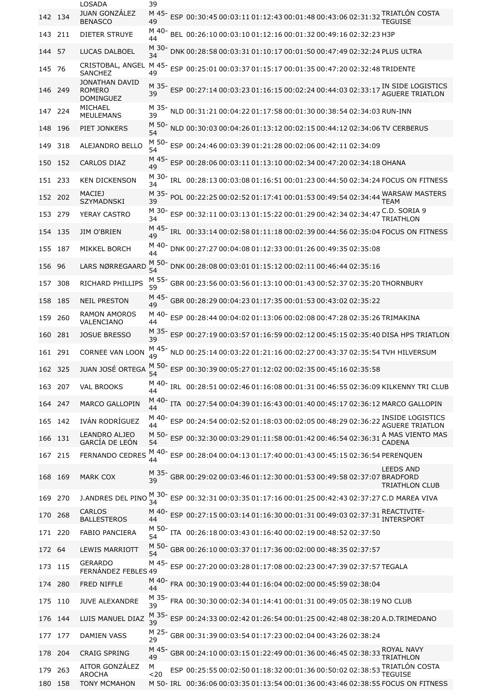|         |         | <b>LOSADA</b>                                       | 39          |                                                                                                                 |
|---------|---------|-----------------------------------------------------|-------------|-----------------------------------------------------------------------------------------------------------------|
|         | 142 134 | <b>JUAN GONZÁLEZ</b><br><b>BENASCO</b>              | M 45<br>49  | ESP 00:30:45 00:03:11 01:12:43 00:01:48 00:43:06 02:31:32 TRIATLÓN COSTA<br>TEGUISE                             |
| 143     | 211     | DIETER STRUYE                                       | M 40-<br>44 | BEL 00:26:10 00:03:10 01:12:16 00:01:32 00:49:16 02:32:23 H3P                                                   |
| 144 57  |         | LUCAS DALBOEL                                       | M 30-<br>34 | DNK 00:28:58 00:03:31 01:10:17 00:01:50 00:47:49 02:32:24 PLUS ULTRA                                            |
| 145     | - 76    | CRISTOBAL, ANGEL M 45-<br><b>SANCHEZ</b>            | 49          | ESP 00:25:01 00:03:37 01:15:17 00:01:35 00:47:20 02:32:48 TRIDENTE                                              |
|         | 146 249 | JONATHAN DAVID<br><b>ROMERO</b><br><b>DOMINGUEZ</b> | M 35-<br>39 | ESP 00:27:14 00:03:23 01:16:15 00:02:24 00:44:03 02:33:17 ACLIEDE TRIATION                                      |
| 147     | 224     | <b>MICHAEL</b><br><b>MEULEMANS</b>                  | M 35-<br>39 | NLD 00:31:21 00:04:22 01:17:58 00:01:30 00:38:54 02:34:03 RUN-INN                                               |
| 148     | 196     | PIET JONKERS                                        | M 50-<br>54 | NLD 00:30:03 00:04:26 01:13:12 00:02:15 00:44:12 02:34:06 TV CERBERUS                                           |
| 149     | 318     | <b>ALEJANDRO BELLO</b>                              | M 50-<br>54 | ESP 00:24:46 00:03:39 01:21:28 00:02:06 00:42:11 02:34:09                                                       |
| 150     | 152     | <b>CARLOS DIAZ</b>                                  | M 45-<br>49 | ESP 00:28:06 00:03:11 01:13:10 00:02:34 00:47:20 02:34:18 OHANA                                                 |
| 151     | 233     | <b>KEN DICKENSON</b>                                | M 30-<br>34 | IRL 00:28:13 00:03:08 01:16:51 00:01:23 00:44:50 02:34:24 FOCUS ON FITNESS                                      |
| 152     | 202     | <b>MACIEJ</b><br><b>SZYMADNSKI</b>                  | M 35-<br>39 | POL 00:22:25 00:02:52 01:17:41 00:01:53 00:49:54 02:34:44 WARSAW MASTERS                                        |
| 153     | 279     | YERAY CASTRO                                        | M 30-<br>34 | ESP 00:32:11 00:03:13 01:15:22 00:01:29 00:42:34 02:34:47 C.D. SORIA 9<br>TRIATHLON                             |
| 154 135 |         | JIM O'BRIEN                                         | M 45-<br>49 | IRL 00:33:14 00:02:58 01:11:18 00:02:39 00:44:56 02:35:04 FOCUS ON FITNESS                                      |
| 155     | 187     | <b>MIKKEL BORCH</b>                                 | M 40-<br>44 | DNK 00:27:27 00:04:08 01:12:33 00:01:26 00:49:35 02:35:08                                                       |
| 156     | 96      | LARS NØRREGAARD                                     | M 50-<br>54 | DNK 00:28:08 00:03:01 01:15:12 00:02:11 00:46:44 02:35:16                                                       |
| 157     | 308     | RICHARD PHILLIPS                                    | M 55-<br>59 | GBR 00:23:56 00:03:56 01:13:10 00:01:43 00:52:37 02:35:20 THORNBURY                                             |
| 158     | 185     | <b>NEIL PRESTON</b>                                 | M 45-<br>49 | GBR 00:28:29 00:04:23 01:17:35 00:01:53 00:43:02 02:35:22                                                       |
| 159     | 260     | <b>RAMON AMOROS</b><br>VALENCIANO                   | M 40-<br>44 | ESP 00:28:44 00:04:02 01:13:06 00:02:08 00:47:28 02:35:26 TRIMAKINA                                             |
| 160     | 281     | <b>JOSUE BRESSO</b>                                 | M 35-<br>39 | ESP 00:27:19 00:03:57 01:16:59 00:02:12 00:45:15 02:35:40 DISA HPS TRIATLON                                     |
| 161 291 |         | CORNEE VAN LOON                                     | M 45-       | NLD 00:25:14 00:03:22 01:21:16 00:02:27 00:43:37 02:35:54 TVH HILVERSUM                                         |
| 162     | 325     | JUAN JOSÉ ORTEGA                                    | 54          | M 50- ESP 00:30:39 00:05:27 01:12:02 00:02:35 00:45:16 02:35:58                                                 |
| 163     | 207     | <b>VAL BROOKS</b>                                   | M 40-<br>44 | IRL 00:28:51 00:02:46 01:16:08 00:01:31 00:46:55 02:36:09 KILKENNY TRI CLUB                                     |
| 164     | 247     | <b>MARCO GALLOPIN</b>                               | M 40-<br>44 | ITA 00:27:54 00:04:39 01:16:43 00:01:40 00:45:17 02:36:12 MARCO GALLOPIN                                        |
| 165     | 142     | IVÁN RODRÍGUEZ                                      | M 40-<br>44 | ESP 00:24:54 00:02:52 01:18:03 00:02:05 00:48:29 02:36:22 INSIDE LOGISTICS<br><b>AGUERE TRIATLON</b>            |
| 166     | 131     | LEANDRO ALJEO<br><b>GARCÍA DE LEÓN</b>              | M 50-<br>54 | ESP 00:32:30 00:03:29 01:11:58 00:01:42 00:46:54 02:36:31 A MAS VIENTO MAS<br>CADENA                            |
| 167 215 |         | FERNANDO CEDRES                                     | M 40-<br>44 | ESP 00:28:04 00:04:13 01:17:40 00:01:43 00:45:15 02:36:54 PERENQUEN                                             |
| 168     | 169     | <b>MARK COX</b>                                     | M 35-<br>39 | <b>LEEDS AND</b><br>GBR 00:29:02 00:03:46 01:12:30 00:01:53 00:49:58 02:37:07 BRADFORD<br><b>TRIATHLON CLUB</b> |
| 169     | 270     | J.ANDRES DEL PINO                                   | M 30-<br>34 | ESP 00:32:31 00:03:35 01:17:16 00:01:25 00:42:43 02:37:27 C.D MAREA VIVA                                        |
| 170     | 268     | CARLOS<br><b>BALLESTEROS</b>                        | M 40-<br>44 | ESP 00:27:15 00:03:14 01:16:30 00:01:31 00:49:03 02:37:31                                                       |
| 171     | 220     | <b>FABIO PANCIERA</b>                               | M 50-<br>54 | ITA 00:26:18 00:03:43 01:16:40 00:02:19 00:48:52 02:37:50                                                       |
| 172 64  |         | <b>LEWIS MARRIOTT</b>                               | M 50-<br>54 | GBR 00:26:10 00:03:37 01:17:36 00:02:00 00:48:35 02:37:57                                                       |
| 173     | 115     | <b>GERARDO</b><br><b>FERNÁNDEZ FEBLES 49</b>        | M 45-       | ESP 00:27:20 00:03:28 01:17:08 00:02:23 00:47:39 02:37:57 TEGALA                                                |
| 174     | 280     | FRED NIFFLE                                         | M 40-<br>44 | FRA 00:30:19 00:03:44 01:16:04 00:02:00 00:45:59 02:38:04                                                       |
| 175     | 110     | <b>JUVE ALEXANDRE</b>                               | M 35-<br>39 | FRA 00:30:30 00:02:34 01:14:41 00:01:31 00:49:05 02:38:19 NO CLUB                                               |
| 176     | 144     | LUIS MANUEL DIAZ                                    | 39          | ESP 00:24:33 00:02:42 01:26:54 00:01:25 00:42:48 02:38:20 A.D.TRIMEDANO                                         |
| 177     | 177     | <b>DAMIEN VASS</b>                                  | M 25-<br>29 | GBR 00:31:39 00:03:54 01:17:23 00:02:04 00:43:26 02:38:24                                                       |
| 178     | 204     | <b>CRAIG SPRING</b>                                 | M 45-<br>49 | <b>TRIATHLON</b>                                                                                                |
| 179     | 263     | AITOR GONZÁLEZ<br><b>AROCHA</b>                     | M<br>$20$   | ESP 00:25:55 00:02:50 01:18:32 00:01:36 00:50:02 02:38:53 TRIATLÓN COSTA<br><b>TEGUISE</b>                      |
| 180     | 158     | <b>TONY MCMAHON</b>                                 |             | M 50- IRL 00:36:06 00:03:35 01:13:54 00:01:36 00:43:46 02:38:55 FOCUS ON FITNESS                                |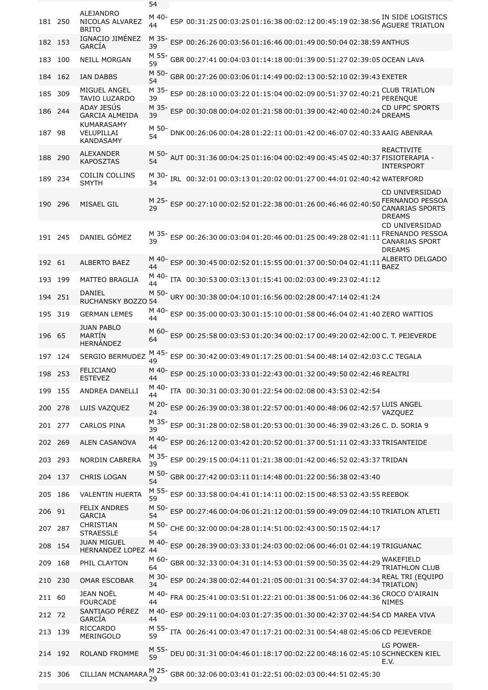|     |         |                                                     | 54          |  |  |                                                                          |                                                                                            |
|-----|---------|-----------------------------------------------------|-------------|--|--|--------------------------------------------------------------------------|--------------------------------------------------------------------------------------------|
| 181 | 250     | ALEJANDRO<br>NICOLAS ALVAREZ<br><b>BRITO</b>        | M 40-<br>44 |  |  |                                                                          | ESP 00:31:25 00:03:25 01:16:38 00:02:12 00:45:19 02:38:56 AGUERE TRIATLON                  |
| 182 | 153     | IGNACIO JIMÉNEZ<br>GARCÍA                           | M 35-<br>39 |  |  | ESP 00:26:26 00:03:56 01:16:46 00:01:49 00:50:04 02:38:59 ANTHUS         |                                                                                            |
| 183 | 100     | <b>NEILL MORGAN</b>                                 | M 55-<br>59 |  |  | GBR 00:27:41 00:04:03 01:14:18 00:01:39 00:51:27 02:39:05 OCEAN LAVA     |                                                                                            |
|     | 184 162 | <b>IAN DABBS</b>                                    | M 50-<br>54 |  |  | GBR 00:27:26 00:03:06 01:14:49 00:02:13 00:52:10 02:39:43 EXETER         |                                                                                            |
| 185 | 309     | MIGUEL ANGEL<br>TAVIO LUZARDO                       | M 35-<br>39 |  |  | ESP 00:28:10 00:03:22 01:15:04 00:02:09 00:51:37 02:40:21                | <b>CLUB TRIATLON</b><br>PERENQUE                                                           |
| 186 | 244     | ADAY JESÚS<br><b>GARCIA ALMEIDA</b>                 | M 35-<br>39 |  |  |                                                                          | ESP 00:30:08 00:04:02 01:21:58 00:01:39 00:42:40 02:40:24 CD UFPC SPORTS<br><b>DREAMS</b>  |
| 187 | 98      | <b>KUMARASAMY</b><br>VELUPILLAI<br><b>KANDASAMY</b> | M 50-<br>54 |  |  | DNK 00:26:06 00:04:28 01:22:11 00:01:42 00:46:07 02:40:33 AAIG ABENRAA   |                                                                                            |
| 188 | 290     | <b>ALEXANDER</b><br><b>KAPOSZTAS</b>                | M 50-<br>54 |  |  | AUT 00:31:36 00:04:25 01:16:04 00:02:49 00:45:45 02:40:37 FISIOTERAPIA - | <b>REACTIVITE</b><br><b>INTERSPORT</b>                                                     |
| 189 | 234     | <b>COILIN COLLINS</b><br><b>SMYTH</b>               | M 30-<br>34 |  |  | IRL 00:32:01 00:03:13 01:20:02 00:01:27 00:44:01 02:40:42 WATERFORD      |                                                                                            |
|     | 190 296 | <b>MISAEL GIL</b>                                   | 29          |  |  | ESP 00:27:10 00:02:52 01:22:38 00:01:26 00:46:46 02:40:50                | <b>CD UNIVERSIDAD</b><br><b>FERNANDO PESSOA</b><br><b>CANARIAS SPORTS</b><br><b>DREAMS</b> |
|     | 191 245 | DANIEL GÓMEZ                                        | 39          |  |  | ESP 00:26:30 00:03:04 01:20:46 00:01:25 00:49:28 02:41:11                | <b>CD UNIVERSIDAD</b><br>FRENANDO PESSOA<br><b>CANARIAS SPORT</b><br><b>DREAMS</b>         |
|     | 192 61  | <b>ALBERTO BAEZ</b>                                 | M 40-<br>44 |  |  | ESP 00:30:45 00:02:52 01:15:55 00:01:37 00:50:04 02:41:11                | ALBERTO DELGADO<br><b>BAEZ</b>                                                             |
| 193 | 199     | MATTEO BRAGLIA                                      | M 40-<br>44 |  |  | ITA 00:30:53 00:03:13 01:15:41 00:02:03 00:49:23 02:41:12                |                                                                                            |
| 194 | 251     | DANIEL<br><b>RUCHANSKY BOZZO 54</b>                 | M 50-       |  |  | URY 00:30:38 00:04:10 01:16:56 00:02:28 00:47:14 02:41:24                |                                                                                            |
| 195 | 319     | <b>GERMAN LEMES</b>                                 | M 40-<br>44 |  |  | ESP 00:35:00 00:03:30 01:15:10 00:01:58 00:46:04 02:41:40 ZERO WATTIOS   |                                                                                            |
|     | 196 65  | <b>JUAN PABLO</b><br>MARTÍN<br><b>HERNÁNDEZ</b>     | M 60-<br>64 |  |  |                                                                          | ESP 00:25:58 00:03:53 01:20:34 00:02:17 00:49:20 02:42:00 C. T. PEJEVERDE                  |
| 197 | 124     | SERGIO BERMUDEZ                                     | M 45-<br>49 |  |  | ESP 00:30:42 00:03:49 01:17:25 00:01:54 00:48:14 02:42:03 C.C TEGALA     |                                                                                            |
|     | 198 253 | FELICIANO<br><b>ESTEVEZ</b>                         | M 40-<br>44 |  |  | ESP 00:25:10 00:03:33 01:22:43 00:01:32 00:49:50 02:42:46 REALTRI        |                                                                                            |
| 199 | 155     | <b>ANDREA DANELLI</b>                               | M 40-<br>44 |  |  | ITA 00:30:31 00:03:30 01:22:54 00:02:08 00:43:53 02:42:54                |                                                                                            |
|     | 200 278 | LUIS VAZQUEZ                                        | M 20-<br>24 |  |  | ESP 00:26:39 00:03:38 01:22:57 00:01:40 00:48:06 02:42:57 LUIS ANGEL     | VAZOUEZ                                                                                    |
|     | 201 277 | <b>CARLOS PINA</b>                                  | M 35-<br>39 |  |  | ESP 00:31:28 00:02:58 01:20:53 00:01:30 00:46:39 02:43:26 C. D. SORIA 9  |                                                                                            |
|     | 202 269 | ALEN CASANOVA                                       | M 40-<br>44 |  |  | ESP 00:26:12 00:03:42 01:20:52 00:01:37 00:51:11 02:43:33 TRISANTEIDE    |                                                                                            |
|     | 203 293 | NORDIN CABRERA                                      | M 35-<br>39 |  |  | ESP 00:29:15 00:04:11 01:21:38 00:01:42 00:46:52 02:43:37 TRIDAN         |                                                                                            |
|     | 204 137 | CHRIS LOGAN                                         | M 50-<br>54 |  |  | GBR 00:27:42 00:03:11 01:14:48 00:01:22 00:56:38 02:43:40                |                                                                                            |
|     | 205 186 | <b>VALENTIN HUERTA</b>                              | M 55-<br>59 |  |  | ESP 00:33:58 00:04:41 01:14:11 00:02:15 00:48:53 02:43:55 REEBOK         |                                                                                            |
|     | 206 91  | <b>FELIX ANDRES</b><br><b>GARCIA</b>                | M 50-<br>54 |  |  |                                                                          | ESP 00:27:46 00:04:06 01:21:12 00:01:59 00:49:09 02:44:10 TRIATLON ATLETI                  |
| 207 | 287     | CHRISTIAN<br><b>STRAESSLE</b>                       | M 50-<br>54 |  |  | CHE 00:32:00 00:04:28 01:14:51 00:02:43 00:50:15 02:44:17                |                                                                                            |
|     | 208 154 | <b>JUAN MIGUEL</b><br><b>HERNANDEZ LOPEZ</b>        | M 40-<br>44 |  |  | ESP 00:28:39 00:03:33 01:24:03 00:02:06 00:46:01 02:44:19 TRIGUANAC      |                                                                                            |
| 209 | 168     | PHIL CLAYTON                                        | M 60-<br>64 |  |  | GBR 00:32:33 00:04:31 01:14:53 00:01:59 00:50:35 02:44:29                | WAKEFIELD<br><b>TRIATHLON CLUB</b>                                                         |
| 210 | 230     | <b>OMAR ESCOBAR</b>                                 | M 30-<br>34 |  |  | ESP 00:24:38 00:02:44 01:21:05 00:01:31 00:54:37 02:44:34                | <b>REAL TRI (EQUIPO</b><br>TRIATLON)                                                       |
|     | 211 60  | <b>JEAN NOËL</b><br><b>FOURCADE</b>                 | M 40-<br>44 |  |  | FRA 00:25:41 00:03:51 01:22:21 00:01:38 00:51:06 02:44:36                | CROCO D'AIRAIN<br><b>NIMES</b>                                                             |
|     | 212 72  | SANTIAGO PÉREZ<br>GARCÍA                            | M 40-<br>44 |  |  |                                                                          | ESP 00:29:11 00:04:03 01:27:35 00:01:30 00:42:37 02:44:54 CD MAREA VIVA                    |
|     | 213 139 | <b>RICCARDO</b><br><b>MERINGOLO</b>                 | M 55-<br>59 |  |  | ITA 00:26:41 00:03:47 01:17:21 00:02:31 00:54:48 02:45:06 CD PEJEVERDE   |                                                                                            |
|     | 214 192 | <b>ROLAND FROMME</b>                                | 59          |  |  |                                                                          | LG POWER-<br>DEU 00:31:31 00:04:46 01:18:17 00:02:22 00:48:16 02:45:10 SCHNECKEN KIEL      |
|     | 215 306 | CILLIAN MCNAMARA                                    |             |  |  | M 25- GBR 00:32:06 00:03:41 01:22:51 00:02:03 00:44:51 02:45:30          | E.V.                                                                                       |
|     |         |                                                     |             |  |  |                                                                          |                                                                                            |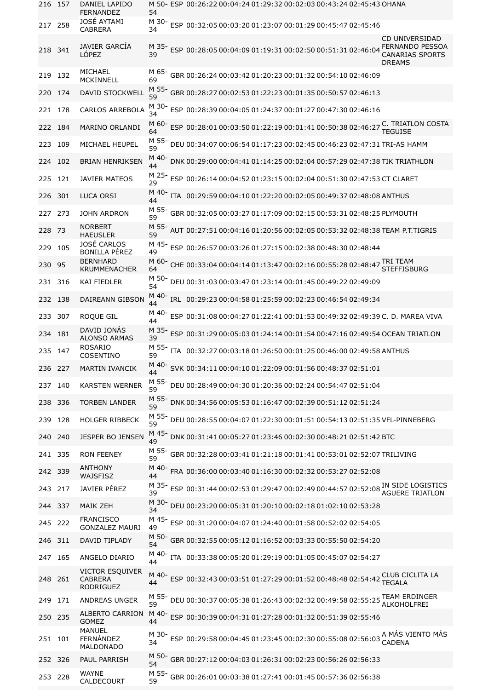|         | 216 157 | DANIEL LAPIDO<br><b>FERNANDEZ</b>                            | M 50- ESP 00:26:22 00:04:24 01:29:32 00:02:03 00:43:24 02:45:43 OHANA<br>54                                                                                     |
|---------|---------|--------------------------------------------------------------|-----------------------------------------------------------------------------------------------------------------------------------------------------------------|
| 217     | 258     | JOSÉ AYTAMI<br><b>CABRERA</b>                                | M 30-<br>ESP 00:32:05 00:03:20 01:23:07 00:01:29 00:45:47 02:45:46<br>34                                                                                        |
| 218 341 |         | JAVIER GARCÍA<br>LÓPEZ                                       | CD UNIVERSIDAD<br><b>FERNANDO PESSOA</b><br>M 35-<br>ESP 00:28:05 00:04:09 01:19:31 00:02:50 00:51:31 02:46:04<br>39<br><b>CANARIAS SPORTS</b><br><b>DREAMS</b> |
| 219 132 |         | MICHAEL<br><b>MCKINNELL</b>                                  | M 65-<br>GBR 00:26:24 00:03:42 01:20:23 00:01:32 00:54:10 02:46:09<br>69                                                                                        |
| 220     | 174     | DAVID STOCKWELL                                              | M 55- GBR 00:28:27 00:02:53 01:22:23 00:01:35 00:50:57 02:46:13                                                                                                 |
|         | 221 178 | CARLOS ARREBOLA                                              | M 30-<br>ESP 00:28:39 00:04:05 01:24:37 00:01:27 00:47:30 02:46:16<br>34                                                                                        |
|         | 222 184 | MARINO ORLANDI                                               | ESP 00:28:01 00:03:50 01:22:19 00:01:41 00:50:38 02:46:27 FEQUISE<br>M 60-<br>64                                                                                |
| 223     | 109     | MICHAEL HEUPEL                                               | M 55-<br>DEU 00:34:07 00:06:54 01:17:23 00:02:45 00:46:23 02:47:31 TRI-AS HAMM<br>59                                                                            |
| 224     | 102     | <b>BRIAN HENRIKSEN</b>                                       | M 40-<br>DNK 00:29:00 00:04:41 01:14:25 00:02:04 00:57:29 02:47:38 TIK TRIATHLON<br>44                                                                          |
| 225     | 121     | <b>JAVIER MATEOS</b>                                         | M 25-<br>ESP 00:26:14 00:04:52 01:23:15 00:02:04 00:51:30 02:47:53 CT CLARET<br>29                                                                              |
| 226     | 301     | <b>LUCA ORSI</b>                                             | M 40-<br>ITA 00:29:59 00:04:10 01:22:20 00:02:05 00:49:37 02:48:08 ANTHUS                                                                                       |
| 227     | - 273   | <b>JOHN ARDRON</b>                                           | M 55-<br>GBR 00:32:05 00:03:27 01:17:09 00:02:15 00:53:31 02:48:25 PLYMOUTH<br>59                                                                               |
| 228     | - 73    | <b>NORBERT</b><br><b>HAEUSLER</b>                            | M 55-<br>AUT 00:27:51 00:04:16 01:20:56 00:02:05 00:53:32 02:48:38 TEAM P.T.TIGRIS<br>59                                                                        |
| 229     | 105     | JOSÉ CARLOS<br><b>BONILLA PÉREZ</b>                          | M 45-<br>ESP 00:26:57 00:03:26 01:27:15 00:02:38 00:48:30 02:48:44<br>49                                                                                        |
| 230     | 95      | <b>BERNHARD</b><br><b>KRUMMENACHER</b>                       | M 60-<br>CHE 00:33:04 00:04:14 01:13:47 00:02:16 00:55:28 02:48:47 TRI TEAM<br>64<br><b>STEFFISBURG</b>                                                         |
|         | 231 316 | KAI FIEDLER                                                  | M 50-<br>DEU 00:31:03 00:03:47 01:23:14 00:01:45 00:49:22 02:49:09<br>54                                                                                        |
|         | 232 138 | DAIREANN GIBSON                                              | M 40-<br>IRL 00:29:23 00:04:58 01:25:59 00:02:23 00:46:54 02:49:34<br>44                                                                                        |
| 233     | - 307   | ROQUE GIL                                                    | M 40-<br>ESP 00:31:08 00:04:27 01:22:41 00:01:53 00:49:32 02:49:39 C. D. MAREA VIVA<br>44                                                                       |
| 234     | 181     | DAVID JONÁS<br><b>ALONSO ARMAS</b>                           | M 35-<br>ESP 00:31:29 00:05:03 01:24:14 00:01:54 00:47:16 02:49:54 OCEAN TRIATLON<br>39                                                                         |
|         | 235 147 | <b>ROSARIO</b><br>COSENTINO                                  | M 55-<br>ITA 00:32:27 00:03:18 01:26:50 00:01:25 00:46:00 02:49:58 ANTHUS<br>59                                                                                 |
|         | 236 227 | MARTIN IVANCIK                                               | M 40- SVK 00:34:11 00:04:10 01:22:09 00:01:56 00:48:37 02:51:01<br>44                                                                                           |
| 237 140 |         | <b>KARSTEN WERNER</b>                                        | M 55-<br>DEU 00:28:49 00:04:30 01:20:36 00:02:24 00:54:47 02:51:04<br>59                                                                                        |
| 238     | 336     | <b>TORBEN LANDER</b>                                         | M 55-<br>DNK 00:34:56 00:05:53 01:16:47 00:02:39 00:51:12 02:51:24<br>59                                                                                        |
| 239     | 128     | <b>HOLGER RIBBECK</b>                                        | M 55-<br>DEU 00:28:55 00:04:07 01:22:30 00:01:51 00:54:13 02:51:35 VFL-PINNEBERG<br>59                                                                          |
| 240     | 240     | JESPER BO JENSEN                                             | M 45-<br>DNK 00:31:41 00:05:27 01:23:46 00:02:30 00:48:21 02:51:42 BTC<br>49                                                                                    |
|         | 241 335 | <b>RON FEENEY</b>                                            | M 55-<br>GBR 00:32:28 00:03:41 01:21:18 00:01:41 00:53:01 02:52:07 TRILIVING<br>59                                                                              |
|         | 242 339 | <b>ANTHONY</b><br><b>WAJSFISZ</b>                            | M 40-<br>FRA 00:36:00 00:03:40 01:16:30 00:02:32 00:53:27 02:52:08<br>44                                                                                        |
| 243     | 217     | JAVIER PÉREZ                                                 | M 35-<br>IN SIDE LOGISTICS<br>ESP 00:31:44 00:02:53 01:29:47 00:02:49 00:44:57 02:52:08<br>39                                                                   |
|         | 244 337 | <b>MAIK ZEH</b>                                              | M 30-<br>DEU 00:23:20 00:05:31 01:20:10 00:02:18 01:02:10 02:53:28<br>34                                                                                        |
|         | 245 222 | <b>FRANCISCO</b><br><b>GONZALEZ MAURI</b>                    | M 45-<br>ESP 00:31:20 00:04:07 01:24:40 00:01:58 00:52:02 02:54:05<br>49                                                                                        |
| 246     | - 311   | DAVID TIPLADY                                                | M 50-<br>GBR 00:32:55 00:05:12 01:16:52 00:03:33 00:55:50 02:54:20<br>54                                                                                        |
|         | 247 165 | ANGELO DIARIO                                                | M 40-<br>ITA 00:33:38 00:05:20 01:29:19 00:01:05 00:45:07 02:54:27<br>44                                                                                        |
|         | 248 261 | <b>VICTOR ESQUIVER</b><br><b>CABRERA</b><br><b>RODRIGUEZ</b> | CLUB CICLITA LA<br>M 40-<br>ESP 00:32:43 00:03:51 01:27:29 00:01:52 00:48:48 02:54:42<br><b>TEGALA</b><br>44                                                    |
| 249     | 171     | ANDREAS UNGER                                                | TEAM ERDINGER<br>M 55-<br>DEU 00:30:37 00:05:38 01:26:43 00:02:32 00:49:58 02:55:25<br>59<br><b>ALKOHOLFREI</b>                                                 |
|         | 250 235 | ALBERTO CARRION<br><b>GOMEZ</b>                              | M 40-<br>ESP 00:30:39 00:04:31 01:27:28 00:01:32 00:51:39 02:55:46<br>44                                                                                        |
| 251     | 101     | MANUEL<br>FERNÁNDEZ<br><b>MALDONADO</b>                      | A MÁS VIENTO MÁS<br>M 30-<br>ESP 00:29:58 00:04:45 01:23:45 00:02:30 00:55:08 02:56:03<br><b>CADENA</b><br>34                                                   |
|         | 252 326 | <b>PAUL PARRISH</b>                                          | M 50-<br>GBR 00:27:12 00:04:03 01:26:31 00:02:23 00:56:26 02:56:33<br>54                                                                                        |
|         | 253 228 | <b>WAYNE</b><br>CALDECOURT                                   | M 55-<br>GBR 00:26:01 00:03:38 01:27:41 00:01:45 00:57:36 02:56:38<br>59                                                                                        |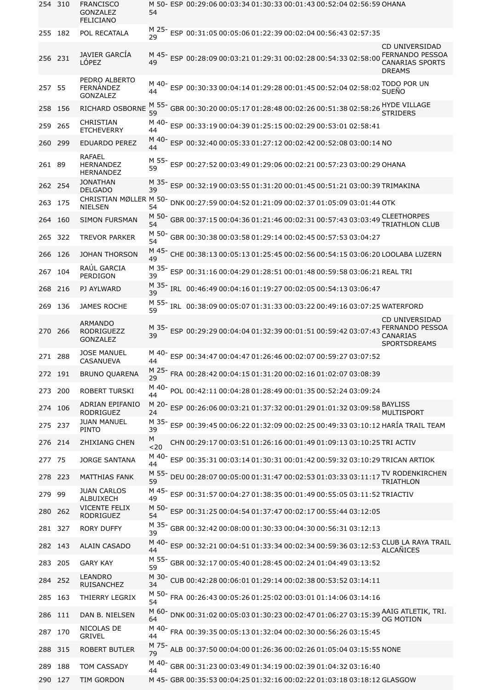| 254 310 |         | FRANCISCO<br><b>GONZALEZ</b><br><b>FELICIANO</b>       | 54          | M 50- ESP 00:29:06 00:03:34 01:30:33 00:01:43 00:52:04 02:56:59 OHANA                                                                        |
|---------|---------|--------------------------------------------------------|-------------|----------------------------------------------------------------------------------------------------------------------------------------------|
|         | 255 182 | POL RECATALA                                           | M 25-       | ESP 00:31:05 00:05:06 01:22:39 00:02:04 00:56:43 02:57:35                                                                                    |
| 256 231 |         | JAVIER GARCÍA<br>LÓPEZ                                 | 49          | CD UNIVERSIDAD<br>FERNANDO PESSOA<br>ESP 00:28:09 00:03:21 01:29:31 00:02:28 00:54:33 02:58:00<br><b>CANARIAS SPORTS</b><br><b>DREAMS</b>    |
| 257 55  |         | PEDRO ALBERTO<br>FERNÁNDEZ<br><b>GONZALEZ</b>          | M 40-<br>44 | TODO POR UN<br>ESP 00:30:33 00:04:14 01:29:28 00:01:45 00:52:04 02:58:02 SUEÑO                                                               |
| 258     | 156     | RICHARD OSBORNE                                        | M 55-<br>59 | GBR 00:30:20 00:05:17 01:28:48 00:02:26 00:51:38 02:58:26 crain rac<br><b>STRIDERS</b>                                                       |
| 259     | 265     | CHRISTIAN<br><b>ETCHEVERRY</b>                         | M 40-<br>44 | ESP 00:33:19 00:04:39 01:25:15 00:02:29 00:53:01 02:58:41                                                                                    |
| 260     | 299     | <b>EDUARDO PEREZ</b>                                   | M 40-<br>44 | ESP 00:32:40 00:05:33 01:27:12 00:02:42 00:52:08 03:00:14 NO                                                                                 |
| 261 89  |         | <b>RAFAEL</b><br><b>HERNANDEZ</b><br><b>HERNANDEZ</b>  | M 55-<br>59 | ESP 00:27:52 00:03:49 01:29:06 00:02:21 00:57:23 03:00:29 OHANA                                                                              |
|         | 262 254 | <b>JONATHAN</b><br><b>DELGADO</b>                      | M 35-<br>39 | ESP 00:32:19 00:03:55 01:31:20 00:01:45 00:51:21 03:00:39 TRIMAKINA                                                                          |
| 263     | 175     | CHRISTIAN MØLLER M 50-<br><b>NIELSEN</b>               | 54          | DNK 00:27:59 00:04:52 01:21:09 00:02:37 01:05:09 03:01:44 OTK                                                                                |
| 264     | 160     | <b>SIMON FURSMAN</b>                                   | M 50-<br>54 | GBR 00:37:15 00:04:36 01:21:46 00:02:31 00:57:43 03:03:49 TRIATULON CL<br><b>TRIATHLON CLUB</b>                                              |
| 265     | 322     | TREVOR PARKER                                          | M 50-<br>54 | GBR 00:30:38 00:03:58 01:29:14 00:02:45 00:57:53 03:04:27                                                                                    |
| 266     | 126     | <b>JOHAN THORSON</b>                                   | M 45-<br>49 | CHE 00:38:13 00:05:13 01:25:45 00:02:56 00:54:15 03:06:20 LOOLABA LUZERN                                                                     |
| 267     | 104     | RAÚL GARCIA<br>PERDIGON                                | M 35-<br>39 | ESP 00:31:16 00:04:29 01:28:51 00:01:48 00:59:58 03:06:21 REAL TRI                                                                           |
| 268     | 216     | PJ AYLWARD                                             | M 35-<br>39 | IRL 00:46:49 00:04:16 01:19:27 00:02:05 00:54:13 03:06:47                                                                                    |
| 269     | 136     | <b>JAMES ROCHE</b>                                     | M 55-<br>59 | IRL 00:38:09 00:05:07 01:31:33 00:03:22 00:49:16 03:07:25 WATERFORD                                                                          |
|         | 270 266 | <b>ARMANDO</b><br><b>RODRIGUEZZ</b><br><b>GONZALEZ</b> | M 35-<br>39 | <b>CD UNIVERSIDAD</b><br>ESP 00:29:29 00:04:04 01:32:39 00:01:51 00:59:42 03:07:43 FERNANDO PESSOA<br><b>CANARIAS</b><br><b>SPORTSDREAMS</b> |
|         | 271 288 | <b>JOSE MANUEL</b><br>CASANUEVA                        | M 40-<br>44 | ESP 00:34:47 00:04:47 01:26:46 00:02:07 00:59:27 03:07:52                                                                                    |
| 272 191 |         | <b>BRUNO QUARENA</b>                                   | M 25-<br>29 | FRA 00:28:42 00:04:15 01:31:20 00:02:16 01:02:07 03:08:39                                                                                    |
| 273     | - 200   | <b>ROBERT TURSKI</b>                                   | M 40-<br>44 | POL 00:42:11 00:04:28 01:28:49 00:01:35 00:52:24 03:09:24                                                                                    |
| 274 106 |         | ADRIAN EPIFANIO<br><b>RODRIGUEZ</b>                    | M 20-<br>24 | ESP 00:26:06 00:03:21 01:37:32 00:01:29 01:01:32 03:09:58 MYLISS<br><b>MULTISPORT</b>                                                        |
| 275     | 237     | JUAN MANUEL<br><b>PINTO</b>                            | M 35-<br>39 | ESP 00:39:45 00:06:22 01:32:09 00:02:25 00:49:33 03:10:12 HARÍA TRAIL TEAM                                                                   |
|         | 276 214 | <b>ZHIXIANG CHEN</b>                                   | M<br>$20$   | CHN 00:29:17 00:03:51 01:26:16 00:01:49 01:09:13 03:10:25 TRI ACTIV                                                                          |
| 277     | - 75    | <b>JORGE SANTANA</b>                                   | M 40-<br>44 | ESP 00:35:31 00:03:14 01:30:31 00:01:42 00:59:32 03:10:29 TRICAN ARTIOK                                                                      |
| 278 223 |         | MATTHIAS FANK                                          | M 55-<br>59 | DEU 00:28:07 00:05:00 01:31:47 00:02:53 01:03:33 03:11:17 TV RODENKIRCHEN                                                                    |
| 279     | 99      | JUAN CARLOS<br>ALBUIXECH                               | M 45-<br>49 | ESP 00:31:57 00:04:27 01:38:35 00:01:49 00:55:05 03:11:52 TRIACTIV                                                                           |
| 280 262 |         | <b>VICENTE FELIX</b><br>RODRIGUEZ                      | M 50-<br>54 | ESP 00:31:25 00:04:54 01:37:47 00:02:17 00:55:44 03:12:05                                                                                    |
| 281 327 |         | <b>RORY DUFFY</b>                                      | M 35-<br>39 | GBR 00:32:42 00:08:00 01:30:33 00:04:30 00:56:31 03:12:13                                                                                    |
|         | 282 143 | <b>ALAIN CASADO</b>                                    | M 40-<br>44 | ESP 00:32:21 00:04:51 01:33:34 00:02:34 00:59:36 03:12:53 CLUB LA RAYA TRAIL<br><b>ALCAÑICES</b>                                             |
| 283 205 |         | <b>GARY KAY</b>                                        | M 55-<br>59 | GBR 00:32:17 00:05:40 01:28:45 00:02:24 01:04:49 03:13:52                                                                                    |
| 284     | 252     | LEANDRO<br><b>RUISANCHEZ</b>                           | M 30-<br>34 | CUB 00:42:28 00:06:01 01:29:14 00:02:38 00:53:52 03:14:11                                                                                    |
| 285     | 163     | THIERRY LEGRIX                                         | M 50-<br>54 | FRA 00:26:43 00:05:26 01:25:02 00:03:01 01:14:06 03:14:16                                                                                    |
| 286     | -111    | DAN B. NIELSEN                                         | M 60-<br>64 | DNK 00:31:02 00:05:03 01:30:23 00:02:47 01:06:27 03:15:39 AAIG ATLETIK, TRI.<br><b>OG MOTION</b>                                             |
| 287     | 170     | NICOLAS DE<br><b>GRIVEL</b>                            | M 40-<br>44 | FRA 00:39:35 00:05:13 01:32:04 00:02:30 00:56:26 03:15:45                                                                                    |
| 288     | -315    | ROBERT BUTLER                                          | M 75-<br>79 | ALB 00:37:50 00:04:00 01:26:36 00:02:26 01:05:04 03:15:55 NONE                                                                               |
| 289     | 188     | TOM CASSADY                                            | M 40-<br>44 | GBR 00:31:23 00:03:49 01:34:19 00:02:39 01:04:32 03:16:40                                                                                    |
|         | 290 127 | TIM GORDON                                             |             | M 45- GBR 00:35:53 00:04:25 01:32:16 00:02:22 01:03:18 03:18:12 GLASGOW                                                                      |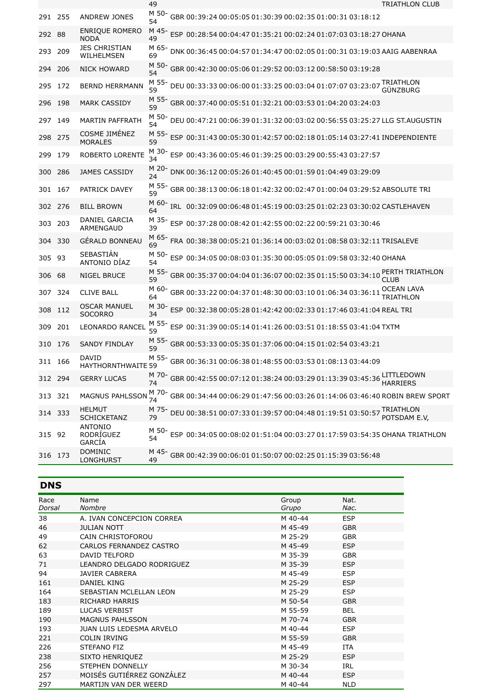|        |         |                                           | 49          |  |                                                           |                                                                    | <b>TRIATHLON CLUB</b>                                                               |  |
|--------|---------|-------------------------------------------|-------------|--|-----------------------------------------------------------|--------------------------------------------------------------------|-------------------------------------------------------------------------------------|--|
|        | 291 255 | ANDREW JONES                              | M 50-<br>54 |  |                                                           | GBR 00:39:24 00:05:05 01:30:39 00:02:35 01:00:31 03:18:12          |                                                                                     |  |
| 292    | 88      | <b>ENRIQUE ROMERO</b><br><b>NODA</b>      | M 45-<br>49 |  |                                                           | ESP 00:28:54 00:04:47 01:35:21 00:02:24 01:07:03 03:18:27 OHANA    |                                                                                     |  |
| 293    | 209     | JES CHRISTIAN<br>WILHELMSEN               | M 65-<br>69 |  |                                                           |                                                                    | DNK 00:36:45 00:04:57 01:34:47 00:02:05 01:00:31 03:19:03 AAIG AABENRAA             |  |
| 294    | - 206   | <b>NICK HOWARD</b>                        | M 50-<br>54 |  |                                                           | GBR 00:42:30 00:05:06 01:29:52 00:03:12 00:58:50 03:19:28          |                                                                                     |  |
| 295    | 172     | <b>BERND HERRMANN</b>                     | M 55-<br>59 |  | DEU 00:33:33 00:06:00 01:33:25 00:03:04 01:07:07 03:23:07 |                                                                    | GÜNZBURG                                                                            |  |
| 296    | 198     | <b>MARK CASSIDY</b>                       | M 55-<br>59 |  |                                                           | GBR 00:37:40 00:05:51 01:32:21 00:03:53 01:04:20 03:24:03          |                                                                                     |  |
| 297    | 149     | <b>MARTIN PAFFRATH</b>                    | M 50-<br>54 |  |                                                           |                                                                    | DEU 00:47:21 00:06:39 01:31:32 00:03:02 00:56:55 03:25:27 LLG ST.AUGUSTIN           |  |
| 298    | 275     | COSME JIMÉNEZ<br><b>MORALES</b>           | M 55-<br>59 |  |                                                           |                                                                    | ESP 00:31:43 00:05:30 01:42:57 00:02:18 01:05:14 03:27:41 INDEPENDIENTE             |  |
| 299    | 179     | ROBERTO LORENTE                           | M 30-<br>34 |  |                                                           | ESP 00:43:36 00:05:46 01:39:25 00:03:29 00:55:43 03:27:57          |                                                                                     |  |
| 300    | 286     | <b>JAMES CASSIDY</b>                      | M 20-<br>24 |  |                                                           | DNK 00:36:12 00:05:26 01:40:45 00:01:59 01:04:49 03:29:09          |                                                                                     |  |
| 301    | - 167   | PATRICK DAVEY                             | M 55-<br>59 |  |                                                           |                                                                    | GBR 00:38:13 00:06:18 01:42:32 00:02:47 01:00:04 03:29:52 ABSOLUTE TRI              |  |
|        | 302 276 | <b>BILL BROWN</b>                         | M 60-<br>64 |  |                                                           |                                                                    | IRL 00:32:09 00:06:48 01:45:19 00:03:25 01:02:23 03:30:02 CASTLEHAVEN               |  |
| 303    | - 203   | DANIEL GARCIA<br>ARMENGAUD                | M 35-<br>39 |  |                                                           | ESP 00:37:28 00:08:42 01:42:55 00:02:22 00:59:21 03:30:46          |                                                                                     |  |
| 304    | 330     | GÉRALD BONNEAU                            | M 65-<br>69 |  |                                                           |                                                                    | FRA 00:38:38 00:05:21 01:36:14 00:03:02 01:08:58 03:32:11 TRISALEVE                 |  |
| 305 93 |         | SEBASTIÁN<br>ANTONIO DÍAZ                 | M 50-<br>54 |  |                                                           | ESP 00:34:05 00:08:03 01:35:30 00:05:05 01:09:58 03:32:40 OHANA    |                                                                                     |  |
| 306    | 68      | NIGEL BRUCE                               | M 55-<br>59 |  |                                                           | GBR 00:35:37 00:04:04 01:36:07 00:02:35 01:15:50 03:34:10          | PERTH TRIATHLON<br><b>CLUB</b>                                                      |  |
| 307    | 324     | <b>CLIVE BALL</b>                         | M 60-<br>64 |  |                                                           | GBR 00:33:22 00:04:37 01:48:30 00:03:10 01:06:34 03:36:11          | <b>OCEAN LAVA</b><br>TRIATHLON                                                      |  |
| 308    | 112     | <b>OSCAR MANUEL</b><br><b>SOCORRO</b>     | M 30-<br>34 |  |                                                           | ESP 00:32:38 00:05:28 01:42:42 00:02:33 01:17:46 03:41:04 REAL TRI |                                                                                     |  |
| 309    | 201     | <b>LEONARDO RANCEL</b>                    | M 55-<br>59 |  |                                                           | ESP 00:31:39 00:05:14 01:41:26 00:03:51 01:18:55 03:41:04 TXTM     |                                                                                     |  |
|        | 310 176 | <b>SANDY FINDLAY</b>                      | M 55-<br>59 |  |                                                           | GBR 00:53:33 00:05:35 01:37:06 00:04:15 01:02:54 03:43:21          |                                                                                     |  |
|        | 311 166 | <b>DAVID</b><br><b>HAYTHORNTHWAITE 59</b> |             |  |                                                           | M 55- GBR 00:36:31 00:06:38 01:48:55 00:03:53 01:08:13 03:44:09    |                                                                                     |  |
|        | 312 294 | <b>GERRY LUCAS</b>                        | M 70-<br>74 |  |                                                           |                                                                    | LITTLEDOWN<br>GBR 00:42:55 00:07:12 01:38:24 00:03:29 01:13:39 03:45:36 HARRIERS    |  |
|        | 313 321 | <b>MAGNUS PAHLSSON</b>                    | M 70-<br>74 |  |                                                           |                                                                    | GBR 00:34:44 00:06:29 01:47:56 00:03:26 01:14:06 03:46:40 ROBIN BREW SPORT          |  |
|        | 314 333 | <b>HELMUT</b><br><b>SCHICKETANZ</b>       | M 75-<br>79 |  |                                                           |                                                                    | DEU 00:38:51 00:07:33 01:39:57 00:04:48 01:19:51 03:50:57 TRIATHLON<br>POTSDAM E.V, |  |
| 315 92 |         | ANTONIO<br>RODRÍGUEZ<br>GARCÍA            | M 50-<br>54 |  |                                                           |                                                                    | ESP 00:34:05 00:08:02 01:51:04 00:03:27 01:17:59 03:54:35 OHANA TRIATHLON           |  |
|        | 316 173 | <b>DOMINIC</b><br><b>LONGHURST</b>        | 49          |  |                                                           | M 45- GBR 00:42:39 00:06:01 01:50:07 00:02:25 01:15:39 03:56:48    |                                                                                     |  |

| ı<br>1<br>٠<br>٠ |  |
|------------------|--|
|------------------|--|

| Race<br>Dorsal | Name<br>Nombre                  | Group<br>Grupo | Nat.<br>Nac. |  |
|----------------|---------------------------------|----------------|--------------|--|
| 38             | A. IVAN CONCEPCION CORREA       | M 40-44        | <b>ESP</b>   |  |
| 46             | <b>JULIAN NOTT</b>              | M 45-49        | <b>GBR</b>   |  |
| 49             | CAIN CHRISTOFOROU               | M 25-29        | <b>GBR</b>   |  |
| 62             | CARLOS FERNANDEZ CASTRO         | M 45-49        | <b>ESP</b>   |  |
| 63             | DAVID TELFORD                   | M 35-39        | <b>GBR</b>   |  |
| 71             | LEANDRO DELGADO RODRIGUEZ       | M 35-39        | <b>ESP</b>   |  |
| 94             | <b>JAVIER CABRERA</b>           | M 45-49        | <b>ESP</b>   |  |
| 161            | DANIEL KING                     | M 25-29        | <b>ESP</b>   |  |
| 164            | SEBASTIAN MCLELLAN LEON         | M 25-29        | <b>ESP</b>   |  |
| 183            | <b>RICHARD HARRIS</b>           | M 50-54        | <b>GBR</b>   |  |
| 189            | <b>LUCAS VERBIST</b>            | M 55-59        | <b>BEL</b>   |  |
| 190            | <b>MAGNUS PAHLSSON</b>          | M 70-74        | <b>GBR</b>   |  |
| 193            | <b>JUAN LUIS LEDESMA ARVELO</b> | M 40-44        | <b>ESP</b>   |  |
| 221            | <b>COLIN IRVING</b>             | M 55-59        | <b>GBR</b>   |  |
| 226            | STEFANO FIZ                     | M 45-49        | <b>ITA</b>   |  |
| 238            | <b>SIXTO HENRIQUEZ</b>          | M 25-29        | <b>ESP</b>   |  |
| 256            | <b>STEPHEN DONNELLY</b>         | M 30-34        | <b>IRL</b>   |  |
| 257            | MOISÉS GUTIÉRREZ GONZÁLEZ       | M 40-44        | <b>ESP</b>   |  |
| 297            | MARTIJN VAN DER WEERD           | M 40-44        | <b>NLD</b>   |  |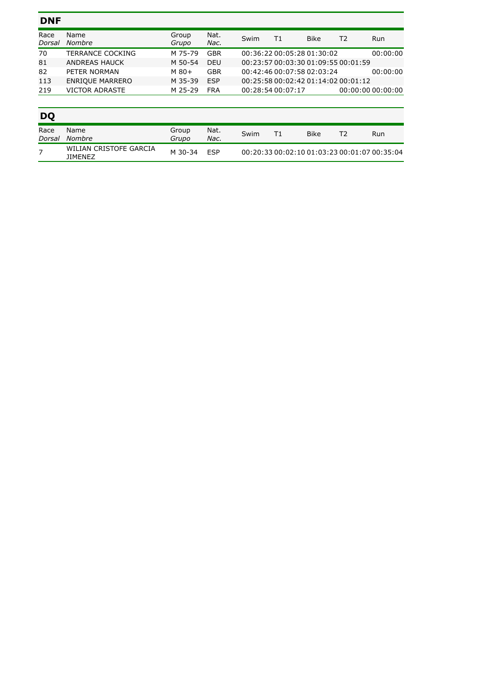| <b>DNF</b>     |                         |                |              |      |                                     |             |    |                   |
|----------------|-------------------------|----------------|--------------|------|-------------------------------------|-------------|----|-------------------|
| Race<br>Dorsal | Name<br><b>Nombre</b>   | Group<br>Grupo | Nat.<br>Nac. | Swim | T1                                  | <b>Bike</b> | T2 | Run               |
| 70             | <b>TERRANCE COCKING</b> | M 75-79        | <b>GBR</b>   |      | 00:36:22 00:05:28 01:30:02          |             |    | 00:00:00          |
| 81             | ANDREAS HAUCK           | M 50-54        | <b>DEU</b>   |      | 00:23:57 00:03:30 01:09:55 00:01:59 |             |    |                   |
| 82             | PETER NORMAN            | $M80+$         | GBR          |      | 00:42:46 00:07:58 02:03:24          |             |    | 00:00:00          |
| 113            | <b>ENRIQUE MARRERO</b>  | M 35-39        | <b>ESP</b>   |      | 00:25:58 00:02:42 01:14:02 00:01:12 |             |    |                   |
| 219            | <b>VICTOR ADRASTE</b>   | M 25-29        | <b>FRA</b>   |      | 00:28:54 00:07:17                   |             |    | 00:00:00000:00:00 |
|                |                         |                |              |      |                                     |             |    |                   |

| <b>DO</b>      |                                          |                |              |      |    |             |    |                                              |
|----------------|------------------------------------------|----------------|--------------|------|----|-------------|----|----------------------------------------------|
| Race<br>Dorsal | Name<br>Nombre                           | Group<br>Grupo | Nat.<br>Nac. | Swim | Τ1 | <b>Bike</b> | тэ | Run                                          |
|                | WILIAN CRISTOFE GARCIA<br><b>JIMENEZ</b> | M 30-34        | FSP          |      |    |             |    | 00:20:33 00:02:10 01:03:23 00:01:07 00:35:04 |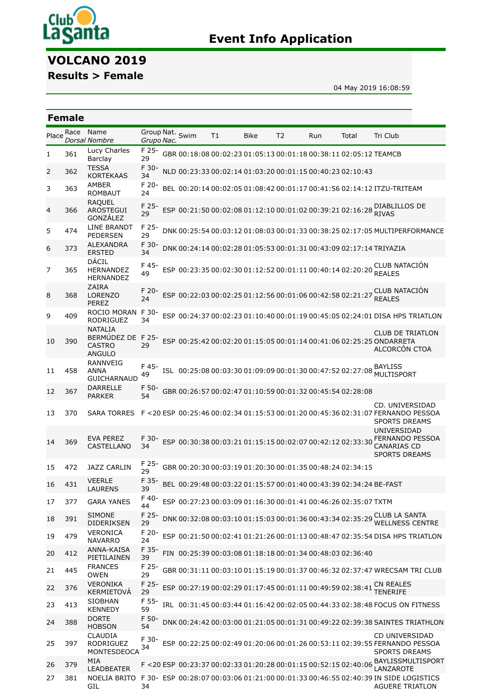

# **Event Info Application**

# **VOLCANO 2019**

**Results > Female**

04 May 2019 16:08:59

|                | <b>Female</b> |                                                                 |                  |                 |    |      |                                                                   |     |       |                                                                                                                                        |
|----------------|---------------|-----------------------------------------------------------------|------------------|-----------------|----|------|-------------------------------------------------------------------|-----|-------|----------------------------------------------------------------------------------------------------------------------------------------|
| Place          | Race          | Name<br><b>Dorsal Nombre</b>                                    | Grupo Nac.       | Group Nat. Swim | T1 | Bike | T <sub>2</sub>                                                    | Run | Total | Tri Club                                                                                                                               |
| 1              | 361           | Lucy Charles<br>Barclay                                         | F 25-<br>29      |                 |    |      | GBR 00:18:08 00:02:23 01:05:13 00:01:18 00:38:11 02:05:12 TEAMCB  |     |       |                                                                                                                                        |
| 2              | 362           | <b>TESSA</b><br><b>KORTEKAAS</b>                                | F 30-<br>34      |                 |    |      | NLD 00:23:33 00:02:14 01:03:20 00:01:15 00:40:23 02:10:43         |     |       |                                                                                                                                        |
| 3              | 363           | <b>AMBER</b><br><b>ROMBAUT</b>                                  | F 20-<br>24      |                 |    |      |                                                                   |     |       | BEL 00:20:14 00:02:05 01:08:42 00:01:17 00:41:56 02:14:12 ITZU-TRITEAM                                                                 |
| 4              | 366           | <b>RAQUEL</b><br><b>AROSTEGUI</b><br>GONZÁLEZ                   | F 25-<br>29      |                 |    |      |                                                                   |     |       | ESP 00:21:50 00:02:08 01:12:10 00:01:02 00:39:21 02:16:28 RIVAS                                                                        |
| 5              | 474           | <b>LINE BRANDT</b><br><b>PEDERSEN</b>                           | F 25-<br>29      |                 |    |      |                                                                   |     |       | DNK 00:25:54 00:03:12 01:08:03 00:01:33 00:38:25 02:17:05 MULTIPERFORMANCE                                                             |
| 6              | 373           | <b>ALEXANDRA</b><br><b>ERSTED</b>                               | F 30-<br>34      |                 |    |      |                                                                   |     |       | DNK 00:24:14 00:02:28 01:05:53 00:01:31 00:43:09 02:17:14 TRIYAZIA                                                                     |
| $\overline{7}$ | 365           | DÁCIL<br>HERNANDEZ<br><b>HERNANDEZ</b>                          | F 45-<br>49      |                 |    |      | ESP 00:23:35 00:02:30 01:12:52 00:01:11 00:40:14 02:20:20 REALES  |     |       | CLUB NATACIÓN                                                                                                                          |
| 8              | 368           | <b>ZAIRA</b><br><b>LORENZO</b><br>PEREZ                         | F 20-<br>24      |                 |    |      | ESP 00:22:03 00:02:25 01:12:56 00:01:06 00:42:58 02:21:27         |     |       | <b>CLUB NATACIÓN</b><br><b>REALES</b>                                                                                                  |
| 9              | 409           | ROCIO MORAN<br>RODRIGUEZ                                        | F 30-<br>34      |                 |    |      |                                                                   |     |       | ESP 00:24:37 00:02:23 01:10:40 00:01:19 00:45:05 02:24:01 DISA HPS TRIATLON                                                            |
| 10             | 390           | <b>NATALIA</b><br>BERMÚDEZ DE<br><b>CASTRO</b><br><b>ANGULO</b> | F<br>$25-$<br>29 |                 |    |      |                                                                   |     |       | <b>CLUB DE TRIATLON</b><br>ESP 00:25:42 00:02:20 01:15:05 00:01:14 00:41:06 02:25:25 ONDARRETA<br>ALCORCÓN CTOA                        |
| 11             | 458           | <b>RANNVEIG</b><br><b>ANNA</b><br><b>GUICHARNAUD</b>            | F 45-<br>49      |                 |    |      | ISL 00:25:08 00:03:30 01:09:09 00:01:30 00:47:52 02:27:08         |     |       | BAYLISS<br><b>MULTISPORT</b>                                                                                                           |
| 12             | 367           | <b>DARRELLE</b><br><b>PARKER</b>                                | F 50-<br>54      |                 |    |      | GBR 00:26:57 00:02:47 01:10:59 00:01:32 00:45:54 02:28:08         |     |       |                                                                                                                                        |
| 13             | 370           | <b>SARA TORRES</b>                                              |                  |                 |    |      |                                                                   |     |       | CD. UNIVERSIDAD<br>F <20 ESP 00:25:46 00:02:34 01:15:53 00:01:20 00:45:36 02:31:07 FERNANDO PESSOA<br><b>SPORTS DREAMS</b>             |
| 14             | 369           | <b>EVA PEREZ</b><br>CASTELLANO                                  | F 30-<br>34      |                 |    |      |                                                                   |     |       | UNIVERSIDAD<br>ESP 00:30:38 00:03:21 01:15:15 00:02:07 00:42:12 02:33:30 FERNANDO PESSOA<br><b>CANARIAS CD</b><br><b>SPORTS DREAMS</b> |
| 15             | 472           | <b>JAZZ CARLIN</b>                                              | 29               |                 |    |      | GBR 00:20:30 00:03:19 01:20:30 00:01:35 00:48:24 02:34:15         |     |       |                                                                                                                                        |
| 16             | 431           | <b>VEERLE</b><br><b>LAURENS</b>                                 | F 35-<br>39      |                 |    |      | BEL 00:29:48 00:03:22 01:15:57 00:01:40 00:43:39 02:34:24 BE-FAST |     |       |                                                                                                                                        |
| 17             | 377           | <b>GARA YANES</b>                                               | F 40-<br>44      |                 |    |      | ESP 00:27:23 00:03:09 01:16:30 00:01:41 00:46:26 02:35:07 TXTM    |     |       |                                                                                                                                        |
| 18             | 391           | <b>SIMONE</b><br><b>DIDERIKSEN</b>                              | F 25-<br>29      |                 |    |      |                                                                   |     |       | DNK 00:32:08 00:03:10 01:15:03 00:01:36 00:43:34 02:35:29 CLUB LA SANTA<br><b>WELLNESS CENTRE</b>                                      |
| 19             | 479           | <b>VERONICA</b><br><b>NAVARRO</b>                               | F 20-<br>24      |                 |    |      |                                                                   |     |       | ESP 00:21:50 00:02:41 01:21:26 00:01:13 00:48:47 02:35:54 DISA HPS TRIATLON                                                            |
| 20             | 412           | ANNA-KAISA<br>PIETILAINEN                                       | F 35-<br>39      |                 |    |      | FIN 00:25:39 00:03:08 01:18:18 00:01:34 00:48:03 02:36:40         |     |       |                                                                                                                                        |
| 21             | 445           | <b>FRANCES</b><br><b>OWEN</b>                                   | F 25-<br>29      |                 |    |      |                                                                   |     |       | GBR 00:31:11 00:03:10 01:15:19 00:01:37 00:46:32 02:37:47 WRECSAM TRI CLUB                                                             |
| 22             | 376           | VERONIKA<br><b>KERMIETOVA</b>                                   | F 25-<br>29      |                 |    |      | ESP 00:27:19 00:02:29 01:17:45 00:01:11 00:49:59 02:38:41         |     |       | <b>CN REALES</b><br>TENERIFE                                                                                                           |
| 23             | 413           | <b>SIOBHAN</b><br><b>KENNEDY</b>                                | F 55-<br>59      |                 |    |      |                                                                   |     |       | IRL 00:31:45 00:03:44 01:16:42 00:02:05 00:44:33 02:38:48 FOCUS ON FITNESS                                                             |
| 24             | 388           | <b>DORTE</b><br><b>HOBSON</b>                                   | F 50-<br>54      |                 |    |      |                                                                   |     |       | DNK 00:24:42 00:03:00 01:21:05 00:01:31 00:49:22 02:39:38 SAINTES TRIATHLON                                                            |
| 25             | 397           | <b>CLAUDIA</b><br>RODRIGUEZ<br>MONTESDEOCA                      | F 30-<br>34      |                 |    |      |                                                                   |     |       | CD UNIVERSIDAD<br>ESP 00:22:25 00:02:49 01:20:06 00:01:26 00:53:11 02:39:55 FERNANDO PESSOA<br><b>SPORTS DREAMS</b>                    |
| 26             | 379           | <b>MIA</b><br><b>LEADBEATER</b>                                 |                  |                 |    |      |                                                                   |     |       | F <20 ESP 00:23:37 00:02:33 01:20:28 00:01:15 00:52:15 02:40:06 ANZISSMULTISPORT<br>LANZAROTE                                          |
| 27             | 381           | GIL                                                             | 34               |                 |    |      |                                                                   |     |       | NOELIA BRITO F 30- ESP 00:28:07 00:03:06 01:21:00 00:01:33 00:46:55 02:40:39 IN SIDE LOGISTICS<br><b>AGUERE TRIATLON</b>               |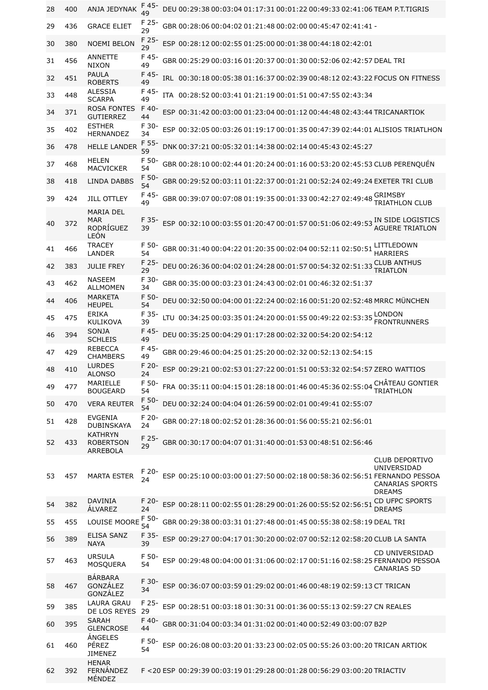| 28 | 400 | ANJA JEDYNAK                                          | F 45-<br>49 | DEU 00:29:38 00:03:04 01:17:31 00:01:22 00:49:33 02:41:06 TEAM P.T.TIGRIS                                                                                    |  |
|----|-----|-------------------------------------------------------|-------------|--------------------------------------------------------------------------------------------------------------------------------------------------------------|--|
| 29 | 436 | <b>GRACE ELIET</b>                                    | F 25-<br>29 | GBR 00:28:06 00:04:02 01:21:48 00:02:00 00:45:47 02:41:41 -                                                                                                  |  |
| 30 | 380 | <b>NOEMI BELON</b>                                    | F 25-<br>29 | ESP 00:28:12 00:02:55 01:25:00 00:01:38 00:44:18 02:42:01                                                                                                    |  |
| 31 | 456 | ANNETTE<br><b>NIXON</b>                               | F 45-<br>49 | GBR 00:25:29 00:03:16 01:20:37 00:01:30 00:52:06 02:42:57 DEAL TRI                                                                                           |  |
| 32 | 451 | <b>PAULA</b><br><b>ROBERTS</b>                        | F 45-<br>49 | IRL 00:30:18 00:05:38 01:16:37 00:02:39 00:48:12 02:43:22 FOCUS ON FITNESS                                                                                   |  |
| 33 | 448 | <b>ALESSIA</b><br><b>SCARPA</b>                       | F 45-<br>49 | ITA 00:28:52 00:03:41 01:21:19 00:01:51 00:47:55 02:43:34                                                                                                    |  |
| 34 | 371 | <b>ROSA FONTES</b><br><b>GUTIERREZ</b>                | F 40-<br>44 | ESP 00:31:42 00:03:00 01:23:04 00:01:12 00:44:48 02:43:44 TRICANARTIOK                                                                                       |  |
| 35 | 402 | <b>ESTHER</b><br><b>HERNANDEZ</b>                     | F 30-<br>34 | ESP 00:32:05 00:03:26 01:19:17 00:01:35 00:47:39 02:44:01 ALISIOS TRIATLHON                                                                                  |  |
| 36 | 478 | <b>HELLE LANDER</b>                                   | F 55-<br>59 | DNK 00:37:21 00:05:32 01:14:38 00:02:14 00:45:43 02:45:27                                                                                                    |  |
| 37 | 468 | HELEN<br><b>MACVICKER</b>                             | F 50-<br>54 | GBR 00:28:10 00:02:44 01:20:24 00:01:16 00:53:20 02:45:53 CLUB PERENQUÉN                                                                                     |  |
| 38 | 418 | <b>LINDA DABBS</b>                                    | F 50-<br>54 | GBR 00:29:52 00:03:11 01:22:37 00:01:21 00:52:24 02:49:24 EXETER TRI CLUB                                                                                    |  |
| 39 | 424 | <b>JILL OTTLEY</b>                                    | F 45-<br>49 | <b>GRIMSBY</b><br>GBR 00:39:07 00:07:08 01:19:35 00:01:33 00:42:27 02:49:48<br><b>TRIATHLON CLUB</b>                                                         |  |
| 40 | 372 | <b>MARIA DEL</b><br><b>MAR</b><br>RODRÍGUEZ<br>LEÓN   | F 35-<br>39 | IN SIDE LOGISTICS<br>ESP 00:32:10 00:03:55 01:20:47 00:01:57 00:51:06 02:49:53<br><b>AGUERE TRIATLON</b>                                                     |  |
| 41 | 466 | <b>TRACEY</b><br><b>LANDER</b>                        | F 50-<br>54 | LITTLEDOWN<br>GBR 00:31:40 00:04:22 01:20:35 00:02:04 00:52:11 02:50:51<br><b>HARRIERS</b>                                                                   |  |
| 42 | 383 | <b>JULIE FREY</b>                                     | F 25-<br>29 | DEU 00:26:36 00:04:02 01:24:28 00:01:57 00:54:32 02:51:33 CLUB ANTHUS<br>TRIATLON                                                                            |  |
| 43 | 462 | <b>NASEEM</b><br><b>ALLMOMEN</b>                      | F 30-<br>34 | GBR 00:35:00 00:03:23 01:24:43 00:02:01 00:46:32 02:51:37                                                                                                    |  |
| 44 | 406 | <b>MARKETA</b><br><b>HEUPEL</b>                       | F 50-<br>54 | DEU 00:32:50 00:04:00 01:22:24 00:02:16 00:51:20 02:52:48 MRRC MÜNCHEN                                                                                       |  |
| 45 | 475 | <b>ERIKA</b><br><b>KULIKOVA</b>                       | F 35-<br>39 | LONDON<br>LTU 00:34:25 00:03:35 01:24:20 00:01:55 00:49:22 02:53:35<br><b>FRONTRUNNERS</b>                                                                   |  |
| 46 | 394 | SONJA<br><b>SCHLEIS</b>                               | F 45-<br>49 | DEU 00:35:25 00:04:29 01:17:28 00:02:32 00:54:20 02:54:12                                                                                                    |  |
| 47 | 429 | <b>REBECCA</b><br><b>CHAMBERS</b>                     | F 45-<br>49 | GBR 00:29:46 00:04:25 01:25:20 00:02:32 00:52:13 02:54:15                                                                                                    |  |
| 48 | 410 | <b>LURDES</b><br><b>ALONSO</b>                        | F 20-<br>24 | ESP 00:29:21 00:02:53 01:27:22 00:01:51 00:53:32 02:54:57 ZERO WATTIOS                                                                                       |  |
| 49 | 477 | MARIELLE<br><b>BOUGEARD</b>                           | F 50-<br>54 | CHÂTEAU GONTIER<br>FRA 00:35:11 00:04:15 01:28:18 00:01:46 00:45:36 02:55:04<br>TRIATHLON                                                                    |  |
| 50 | 470 | <b>VERA REUTER</b>                                    | F 50-<br>54 | DEU 00:32:24 00:04:04 01:26:59 00:02:01 00:49:41 02:55:07                                                                                                    |  |
| 51 | 428 | <b>EVGENIA</b><br><b>DUBINSKAYA</b>                   | F 20-<br>24 | GBR 00:27:18 00:02:52 01:28:36 00:01:56 00:55:21 02:56:01                                                                                                    |  |
| 52 | 433 | <b>KATHRYN</b><br><b>ROBERTSON</b><br><b>ARREBOLA</b> | F 25-<br>29 | GBR 00:30:17 00:04:07 01:31:40 00:01:53 00:48:51 02:56:46                                                                                                    |  |
| 53 | 457 | <b>MARTA ESTER</b>                                    | F 20-<br>24 | <b>CLUB DEPORTIVO</b><br>UNIVERSIDAD<br>ESP 00:25:10 00:03:00 01:27:50 00:02:18 00:58:36 02:56:51 FERNANDO PESSOA<br><b>CANARIAS SPORTS</b><br><b>DREAMS</b> |  |
| 54 | 382 | <b>DAVINIA</b><br>ÁLVAREZ                             | F 20-<br>24 | CD UFPC SPORTS<br>ESP 00:28:11 00:02:55 01:28:29 00:01:26 00:55:52 02:56:51<br><b>DREAMS</b>                                                                 |  |
| 55 | 455 | LOUISE MOORE                                          | F 50-<br>54 | GBR 00:29:38 00:03:31 01:27:48 00:01:45 00:55:38 02:58:19 DEAL TRI                                                                                           |  |
| 56 | 389 | <b>ELISA SANZ</b><br><b>NAYA</b>                      | F 35-<br>39 | ESP 00:29:27 00:04:17 01:30:20 00:02:07 00:52:12 02:58:20 CLUB LA SANTA                                                                                      |  |
| 57 | 463 | <b>URSULA</b><br>MOSQUERA                             | F 50-<br>54 | <b>CD UNIVERSIDAD</b><br>ESP 00:29:48 00:04:00 01:31:06 00:02:17 00:51:16 02:58:25 FERNANDO PESSOA<br><b>CANARIAS SD</b>                                     |  |
| 58 | 467 | <b>BÁRBARA</b><br>GONZÁLEZ<br>GONZÁLEZ                | F 30-<br>34 | ESP 00:36:07 00:03:59 01:29:02 00:01:46 00:48:19 02:59:13 CT TRICAN                                                                                          |  |
| 59 | 385 | <b>LAURA GRAU</b><br>DE LOS REYES                     | F 25-<br>29 | ESP 00:28:51 00:03:18 01:30:31 00:01:36 00:55:13 02:59:27 CN REALES                                                                                          |  |
| 60 | 395 | <b>SARAH</b><br><b>GLENCROSE</b>                      | F 40-<br>44 | GBR 00:31:04 00:03:34 01:31:02 00:01:40 00:52:49 03:00:07 B2P                                                                                                |  |
| 61 | 460 | ÁNGELES<br>PÉREZ<br><b>JIMENEZ</b>                    | F 50-<br>54 | ESP 00:26:08 00:03:20 01:33:23 00:02:05 00:55:26 03:00:20 TRICAN ARTIOK                                                                                      |  |
| 62 | 392 | <b>HENAR</b><br>FERNÁNDEZ<br>MÉNDEZ                   |             | F <20 ESP 00:29:39 00:03:19 01:29:28 00:01:28 00:56:29 03:00:20 TRIACTIV                                                                                     |  |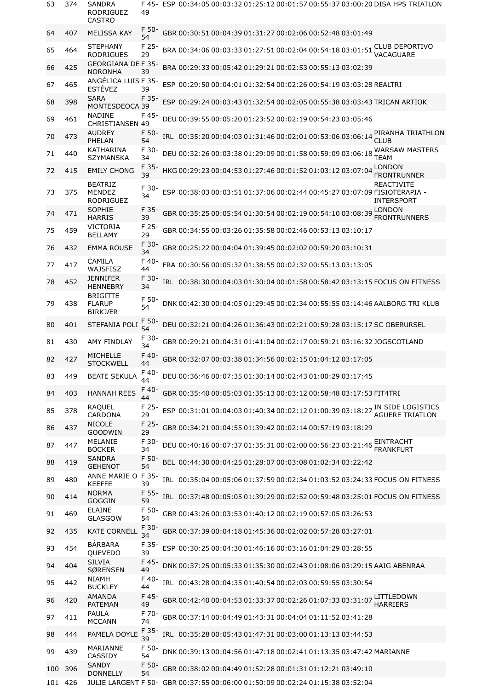| 63  | 374     | SANDRA<br>RODRIGUEZ<br><b>CASTRO</b>                                          | 49          |  |  |                                                                    | F 45- ESP 00:34:05 00:03:32 01:25:12 00:01:57 00:55:37 03:00:20 DISA HPS TRIATLON                                  |  |
|-----|---------|-------------------------------------------------------------------------------|-------------|--|--|--------------------------------------------------------------------|--------------------------------------------------------------------------------------------------------------------|--|
| 64  | 407     | <b>MELISSA KAY</b>                                                            | F 50-<br>54 |  |  | GBR 00:30:51 00:04:39 01:31:27 00:02:06 00:52:48 03:01:49          |                                                                                                                    |  |
| 65  | 464     | <b>STEPHANY</b><br><b>RODRIGUES</b>                                           | F 25-<br>29 |  |  | BRA 00:34:06 00:03:33 01:27:51 00:02:04 00:54:18 03:01:51          | <b>CLUB DEPORTIVO</b><br>VACAGUARE                                                                                 |  |
| 66  | 425     | <b>GEORGIANA DEF 35-</b><br><b>NORONHA</b>                                    | 39          |  |  | BRA 00:29:33 00:05:42 01:29:21 00:02:53 00:55:13 03:02:39          |                                                                                                                    |  |
| 67  | 465     | ANGÉLICA LUIS F 35-<br><b>ESTÉVEZ</b>                                         | 39          |  |  | ESP 00:29:50 00:04:01 01:32:54 00:02:26 00:54:19 03:03:28 REALTRI  |                                                                                                                    |  |
| 68  | 398     | <b>SARA</b><br>MONTESDEOCA 39                                                 | F 35-       |  |  |                                                                    | ESP 00:29:24 00:03:43 01:32:54 00:02:05 00:55:38 03:03:43 TRICAN ARTIOK                                            |  |
| 69  | 461     | <b>NADINE</b><br><b>CHRISTIANSEN 49</b>                                       | F 45-       |  |  | DEU 00:39:55 00:05:20 01:23:52 00:02:19 00:54:23 03:05:46          |                                                                                                                    |  |
| 70  | 473     | <b>AUDREY</b><br>PHELAN                                                       | F 50-<br>54 |  |  | IRL 00:35:20 00:04:03 01:31:46 00:02:01 00:53:06 03:06:14          | PIRANHA TRIATHLON<br><b>CLUB</b>                                                                                   |  |
| 71  | 440     | KATHARINA<br><b>SZYMANSKA</b>                                                 | F 30-<br>34 |  |  | DEU 00:32:26 00:03:38 01:29:09 00:01:58 00:59:09 03:06:18          | WARSAW MASTERS<br><b>TEAM</b>                                                                                      |  |
| 72  | 415     | <b>EMILY CHONG</b>                                                            | F 35<br>39  |  |  | HKG00:29:23 00:04:53 01:27:46 00:01:52 01:03:12 03:07:04           | <b>LONDON</b><br><b>FRONTRUNNER</b>                                                                                |  |
| 73  | 375     | <b>BEATRIZ</b><br><b>MENDEZ</b><br><b>RODRIGUEZ</b>                           | F 30-<br>34 |  |  |                                                                    | <b>REACTIVITE</b><br>ESP 00:38:03 00:03:51 01:37:06 00:02:44 00:45:27 03:07:09 FISIOTERAPIA -<br><b>INTERSPORT</b> |  |
| 74  | 471     | <b>SOPHIE</b><br><b>HARRIS</b>                                                | F 35-<br>39 |  |  | GBR 00:35:25 00:05:54 01:30:54 00:02:19 00:54:10 03:08:39          | LONDON<br><b>FRONTRUNNERS</b>                                                                                      |  |
| 75  | 459     | <b>VICTORIA</b><br><b>BELLAMY</b>                                             | F 25-<br>29 |  |  | GBR 00:34:55 00:03:26 01:35:58 00:02:46 00:53:13 03:10:17          |                                                                                                                    |  |
| 76  | 432     | <b>EMMA ROUSE</b>                                                             | F 30-<br>34 |  |  | GBR 00:25:22 00:04:04 01:39:45 00:02:02 00:59:20 03:10:31          |                                                                                                                    |  |
| 77  | 417     | CAMILA<br>WAJSFISZ                                                            | F 40-<br>44 |  |  | FRA 00:30:56 00:05:32 01:38:55 00:02:32 00:55:13 03:13:05          |                                                                                                                    |  |
| 78  | 452     | <b>JENNIFER</b><br><b>HENNEBRY</b>                                            | F 30-<br>34 |  |  |                                                                    | IRL 00:38:30 00:04:03 01:30:04 00:01:58 00:58:42 03:13:15 FOCUS ON FITNESS                                         |  |
| 79  | 438     | <b>BRIGITTE</b><br><b>FLARUP</b><br><b>BIRKJÆR</b>                            | F 50-<br>54 |  |  |                                                                    | DNK 00:42:30 00:04:05 01:29:45 00:02:34 00:55:55 03:14:46 AALBORG TRI KLUB                                         |  |
| 80  | 401     | <b>STEFANIA POLI</b>                                                          | F 50<br>54  |  |  |                                                                    | DEU 00:32:21 00:04:26 01:36:43 00:02:21 00:59:28 03:15:17 SC OBERURSEL                                             |  |
| 81  | 430     | AMY FINDLAY                                                                   | F 30-<br>34 |  |  |                                                                    | GBR 00:29:21 00:04:31 01:41:04 00:02:17 00:59:21 03:16:32 JOGSCOTLAND                                              |  |
| 82  | 427     | <b>MICHELLE</b><br><b>STOCKWELL</b>                                           | F 40-<br>44 |  |  | GBR 00:32:07 00:03:38 01:34:56 00:02:15 01:04:12 03:17:05          |                                                                                                                    |  |
| 83  | 449     | <b>BEATE SEKULA</b>                                                           | F 40-<br>44 |  |  | DEU 00:36:46 00:07:35 01:30:14 00:02:43 01:00:29 03:17:45          |                                                                                                                    |  |
| 84  | 403     | <b>HANNAH REES</b>                                                            | F 40-<br>44 |  |  | GBR 00:35:40 00:05:03 01:35:13 00:03:12 00:58:48 03:17:53 FIT4TRI  |                                                                                                                    |  |
| 85  | 378     | <b>RAQUEL</b><br>CARDONA                                                      | F 25-<br>29 |  |  |                                                                    | ESP 00:31:01 00:04:03 01:40:34 00:02:12 01:00:39 03:18:27 IN SIDE LOGISTICS<br><b>AGUERE TRIATLON</b>              |  |
| 86  | 437     | <b>NICOLE</b><br><b>GOODWIN</b>                                               | F 25-<br>29 |  |  | GBR 00:34:21 00:04:55 01:39:42 00:02:14 00:57:19 03:18:29          |                                                                                                                    |  |
| 87  | 447     | MELANIE<br><b>BÖCKER</b>                                                      | F 30-<br>34 |  |  | DEU 00:40:16 00:07:37 01:35:31 00:02:00 00:56:23 03:21:46          | EINTRACHT<br><b>FRANKFURT</b>                                                                                      |  |
| 88  | 419     | <b>SANDRA</b><br><b>GEHENOT</b>                                               | F 50-<br>54 |  |  | BEL 00:44:30 00:04:25 01:28:07 00:03:08 01:02:34 03:22:42          |                                                                                                                    |  |
| 89  | 480     | ANNE MARIE O F 35-<br><b>KEEFFE</b>                                           | 39          |  |  |                                                                    | IRL 00:35:04 00:05:06 01:37:59 00:02:34 01:03:52 03:24:33 FOCUS ON FITNESS                                         |  |
| 90  | 414     | <b>NORMA</b><br><b>GOGGIN</b>                                                 | F 55-<br>59 |  |  |                                                                    | IRL 00:37:48 00:05:05 01:39:29 00:02:52 00:59:48 03:25:01 FOCUS ON FITNESS                                         |  |
| 91  | 469     | <b>ELAINE</b><br><b>GLASGOW</b>                                               | F 50-<br>54 |  |  | GBR 00:43:26 00:03:53 01:40:12 00:02:19 00:57:05 03:26:53          |                                                                                                                    |  |
| 92  | 435     | <b>KATE CORNELL</b>                                                           | F 30-<br>34 |  |  | GBR 00:37:39 00:04:18 01:45:36 00:02:02 00:57:28 03:27:01          |                                                                                                                    |  |
| 93  | 454     | <b>BÁRBARA</b><br><b>QUEVEDO</b>                                              | F 35-<br>39 |  |  | ESP 00:30:25 00:04:30 01:46:16 00:03:16 01:04:29 03:28:55          |                                                                                                                    |  |
| 94  | 404     | <b>SILVIA</b><br><b>SØRENSEN</b>                                              | F 45-<br>49 |  |  |                                                                    | DNK 00:37:25 00:05:33 01:35:30 00:02:43 01:08:06 03:29:15 AAIG ABENRAA                                             |  |
| 95  | 442     | <b>NIAMH</b><br><b>BUCKLEY</b>                                                | F 40-<br>44 |  |  | IRL 00:43:28 00:04:35 01:40:54 00:02:03 00:59:55 03:30:54          |                                                                                                                    |  |
| 96  | 420     | AMANDA<br><b>PATEMAN</b>                                                      | F 45-<br>49 |  |  | GBR 00:42:40 00:04:53 01:33:37 00:02:26 01:07:33 03:31:07          | LITTLEDOWN<br><b>HARRIERS</b>                                                                                      |  |
| 97  | 411     | <b>PAULA</b><br><b>MCCANN</b>                                                 | F 70-<br>74 |  |  | GBR 00:37:14 00:04:49 01:43:31 00:04:04 01:11:52 03:41:28          |                                                                                                                    |  |
| 98  | 444     | PAMELA DOYLE                                                                  | F 35-<br>39 |  |  | IRL 00:35:28 00:05:43 01:47:31 00:03:00 01:13:13 03:44:53          |                                                                                                                    |  |
| 99  | 439     | MARIANNE<br>CASSIDY                                                           | F 50-<br>54 |  |  | DNK 00:39:13 00:04:56 01:47:18 00:02:41 01:13:35 03:47:42 MARIANNE |                                                                                                                    |  |
| 100 | 396     | <b>SANDY</b><br><b>DONNELLY</b>                                               | F 50-<br>54 |  |  | GBR 00:38:02 00:04:49 01:52:28 00:01:31 01:12:21 03:49:10          |                                                                                                                    |  |
|     | 101 426 | JULIE LARGENT F 50- GBR 00:37:55 00:06:00 01:50:09 00:02:24 01:15:38 03:52:04 |             |  |  |                                                                    |                                                                                                                    |  |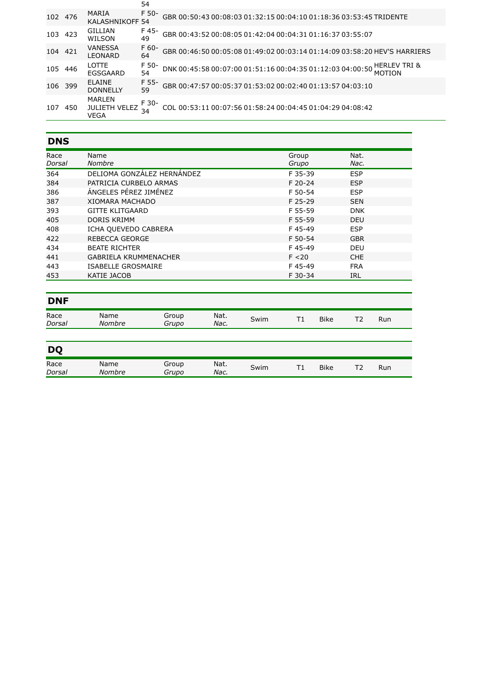|     |      |                                               | 54            |                                                                                                |
|-----|------|-----------------------------------------------|---------------|------------------------------------------------------------------------------------------------|
| 102 | 476  | MARIA<br><b>KALASHNIKOFF 54</b>               | F 50-         | GBR 00:50:43 00:08:03 01:32:15 00:04:10 01:18:36 03:53:45 TRIDENTE                             |
| 103 | 423  | GILLIAN<br>WILSON                             | F 45-<br>49   | GBR 00:43:52 00:08:05 01:42:04 00:04:31 01:16:37 03:55:07                                      |
| 104 | 421  | VANESSA<br><b>LEONARD</b>                     | $F_60-$<br>64 | GBR 00:46:50 00:05:08 01:49:02 00:03:14 01:14:09 03:58:20 HEV'S HARRIERS                       |
| 105 | -446 | LOTTE.<br>EGSGAARD                            | F 50-<br>54   | <b>HERLEV TRI &amp;</b><br>DNK 00:45:58 00:07:00 01:51:16 00:04:35 01:12:03 04:00:50<br>MOTION |
| 106 | 399  | <b>ELAINE</b><br><b>DONNELLY</b>              | F 55-<br>59   | GBR 00:47:57 00:05:37 01:53:02 00:02:40 01:13:57 04:03:10                                      |
| 107 | 450  | <b>MARLEN</b><br><b>JULIETH VELEZ</b><br>VEGA | F 30-         | COL 00:53:11 00:07:56 01:58:24 00:04:45 01:04:29 04:08:42                                      |

# **DNS**

| Race   | Name                         | Group   | Nat.       |
|--------|------------------------------|---------|------------|
| Dorsal | <b>Nombre</b>                | Grupo   | Nac.       |
| 364    | DELIOMA GONZÁLEZ HERNÁNDEZ   | F 35-39 | <b>ESP</b> |
| 384    | PATRICIA CURBELO ARMAS       | F 20-24 | <b>ESP</b> |
| 386    | ÁNGELES PÉREZ JIMÉNEZ        | F 50-54 | <b>ESP</b> |
| 387    | <b>XIOMARA MACHADO</b>       | F 25-29 | <b>SEN</b> |
| 393    | <b>GITTE KLITGAARD</b>       | F 55-59 | <b>DNK</b> |
| 405    | DORIS KRIMM                  | F 55-59 | <b>DEU</b> |
| 408    | ICHA QUEVEDO CABRERA         | F45-49  | <b>ESP</b> |
| 422    | REBECCA GEORGE               | F 50-54 | <b>GBR</b> |
| 434    | <b>BEATE RICHTER</b>         | F45-49  | <b>DEU</b> |
| 441    | <b>GABRIELA KRUMMENACHER</b> | F < 20  | <b>CHE</b> |
| 443    | <b>ISABELLE GROSMAIRE</b>    | F45-49  | <b>FRA</b> |
| 453    | KATIE JACOB                  | F 30-34 | <b>IRL</b> |
|        |                              |         |            |

| <b>DNF</b>            |                |                |              |      |    |             |    |     |  |
|-----------------------|----------------|----------------|--------------|------|----|-------------|----|-----|--|
| Race<br><i>Dorsal</i> | Name<br>Nombre | Group<br>Grupo | Nat.<br>Nac. | Swim | T1 | <b>Bike</b> | T2 | Run |  |
|                       |                |                |              |      |    |             |    |     |  |
| <b>DQ</b>             |                |                |              |      |    |             |    |     |  |

| -              |                |                |              |      |            |             |          |     |
|----------------|----------------|----------------|--------------|------|------------|-------------|----------|-----|
| Race<br>Dorsal | Name<br>Nombre | Group<br>Grupo | Nat.<br>Nac. | Swim | $-$<br>. . | <b>Bike</b> | ÷<br>. . | Run |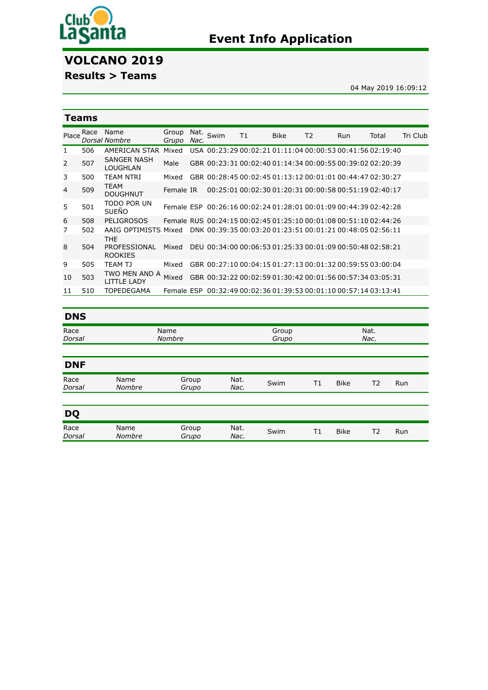

# **VOLCANO 2019**

# **Results > Teams**

04 May 2019 16:09:12

Nat. *[Nac.](javascript:__doPostBack()*

|                | Teams |                                              |                |              |      |    |             |                |     |                                                                  |          |  |  |
|----------------|-------|----------------------------------------------|----------------|--------------|------|----|-------------|----------------|-----|------------------------------------------------------------------|----------|--|--|
| Place          | Race  | Name<br>Dorsal Nombre                        | Group<br>Grupo | Nat.<br>Nac. | Swim | Τ1 | <b>Bike</b> | T <sub>2</sub> | Run | Total                                                            | Tri Club |  |  |
| 1              | 506   | AMERICAN STAR                                | Mixed          |              |      |    |             |                |     | USA 00:23:29 00:02:21 01:11:04 00:00:53 00:41:56 02:19:40        |          |  |  |
| $\overline{2}$ | 507   | SANGER NASH<br><b>LOUGHLAN</b>               | Male           |              |      |    |             |                |     | GBR 00:23:31 00:02:40 01:14:34 00:00:55 00:39:02 02:20:39        |          |  |  |
| 3              | 500   | <b>TEAM NTRI</b>                             | Mixed          |              |      |    |             |                |     | GBR 00:28:45 00:02:45 01:13:12 00:01:01 00:44:47 02:30:27        |          |  |  |
| 4              | 509   | <b>TEAM</b><br><b>DOUGHNUT</b>               | Female IR      |              |      |    |             |                |     | 00:25:01 00:02:30 01:20:31 00:00:58 00:51:19 02:40:17            |          |  |  |
| 5              | 501   | TODO POR UN<br><b>SUEÑO</b>                  |                |              |      |    |             |                |     | Female ESP 00:26:16 00:02:24 01:28:01 00:01:09 00:44:39 02:42:28 |          |  |  |
| 6              | 508   | PELIGROSOS                                   |                |              |      |    |             |                |     | Female RUS 00:24:15 00:02:45 01:25:10 00:01:08 00:51:10 02:44:26 |          |  |  |
| 7              | 502   | AAIG OPTIMISTS Mixed                         |                |              |      |    |             |                |     | DNK 00:39:35 00:03:20 01:23:51 00:01:21 00:48:05 02:56:11        |          |  |  |
| 8              | 504   | <b>THE</b><br>PROFESSIONAL<br><b>ROOKIES</b> | Mixed          |              |      |    |             |                |     | DEU 00:34:00 00:06:53 01:25:33 00:01:09 00:50:48 02:58:21        |          |  |  |
| 9              | 505   | TEAM TJ                                      | Mixed          |              |      |    |             |                |     | GBR 00:27:10 00:04:15 01:27:13 00:01:32 00:59:55 03:00:04        |          |  |  |
| 10             | 503   | TWO MEN AND A<br>I ITTI F I ADY              | Mixed          |              |      |    |             |                |     | GBR 00:32:22 00:02:59 01:30:42 00:01:56 00:57:34 03:05:31        |          |  |  |
| 11             | 510   | <b>TOPEDEGAMA</b>                            |                |              |      |    |             |                |     | Female ESP 00:32:49 00:02:36 01:39:53 00:01:10 00:57:14 03:13:41 |          |  |  |

### **DNS** Race *[Dorsal](javascript:__doPostBack()* Name *[Nombre](javascript:__doPostBack()* [Group](javascript:__doPostBack() *Grupo*

| <b>DNF</b>            |                |                |              |      |             |    |     |  |
|-----------------------|----------------|----------------|--------------|------|-------------|----|-----|--|
| Race<br><i>Dorsal</i> | Name<br>Nombre | Group<br>Grupo | Nat.<br>Nac. | Swim | <b>Bike</b> | Т2 | Run |  |

| <b>DO</b>      |                       |                |              |      |             |     |
|----------------|-----------------------|----------------|--------------|------|-------------|-----|
| Race<br>Dorsal | Name<br><b>Nombre</b> | Group<br>Grupo | Nat.<br>Nac. | Swim | <b>Bike</b> | Run |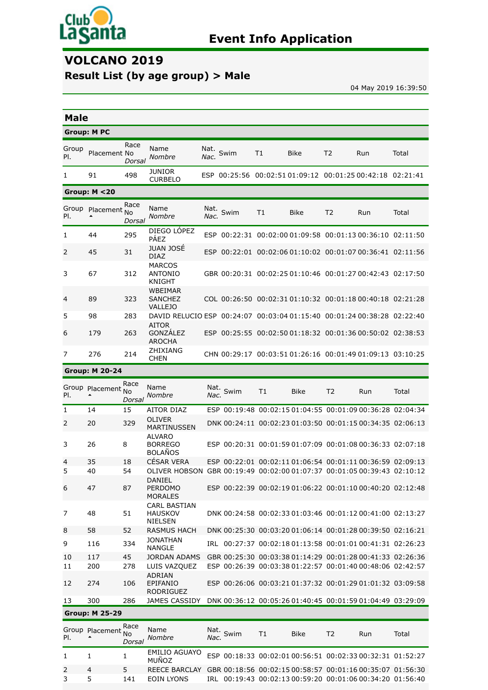

# **VOLCANO 2019**

# **Result List (by age group) > Male**

04 May 2019 16:39:50

|              | <b>Male</b>           |                             |                                                                                                     |              |           |    |                                                           |                |     |       |  |
|--------------|-----------------------|-----------------------------|-----------------------------------------------------------------------------------------------------|--------------|-----------|----|-----------------------------------------------------------|----------------|-----|-------|--|
|              | <b>Group: M PC</b>    |                             |                                                                                                     |              |           |    |                                                           |                |     |       |  |
| Group<br>PI. | Placement No          | Race<br>Dorsal              | Name<br>Nombre                                                                                      | Nat.<br>Nac. | Swim      | T1 | <b>Bike</b>                                               | T <sub>2</sub> | Run | Total |  |
| 1            | 91                    | 498                         | JUNIOR<br><b>CURBELO</b>                                                                            |              |           |    | ESP 00:25:56 00:02:51 01:09:12 00:01:25 00:42:18 02:21:41 |                |     |       |  |
|              | Group: $M < 20$       |                             |                                                                                                     |              |           |    |                                                           |                |     |       |  |
| Group<br>PI. | Placement             | Race<br><b>No</b><br>Dorsal | Name<br><b>Nombre</b>                                                                               | Nat.<br>Nac. | Swim      | T1 | Bike                                                      | T <sub>2</sub> | Run | Total |  |
| 1            | 44                    | 295                         | DIEGO LÓPEZ<br><b>PÁEZ</b>                                                                          |              |           |    | ESP 00:22:31 00:02:00 01:09:58 00:01:13 00:36:10 02:11:50 |                |     |       |  |
| 2            | 45                    | 31                          | <b>JUAN JOSÉ</b><br><b>DIAZ</b>                                                                     |              |           |    | ESP 00:22:01 00:02:06 01:10:02 00:01:07 00:36:41 02:11:56 |                |     |       |  |
| 3            | 67                    | 312                         | <b>MARCOS</b><br><b>ANTONIO</b><br><b>KNIGHT</b>                                                    |              |           |    | GBR 00:20:31 00:02:25 01:10:46 00:01:27 00:42:43 02:17:50 |                |     |       |  |
| 4            | 89                    | 323                         | WBEIMAR<br><b>SANCHEZ</b><br><b>VALLEJO</b>                                                         |              |           |    | COL 00:26:50 00:02:31 01:10:32 00:01:18 00:40:18 02:21:28 |                |     |       |  |
| 5            | 98                    | 283                         | DAVID RELUCIO ESP 00:24:07 00:03:04 01:15:40 00:01:24 00:38:28 02:22:40                             |              |           |    |                                                           |                |     |       |  |
| 6            | 179                   | 263                         | <b>AITOR</b><br>GONZÁLEZ<br><b>AROCHA</b>                                                           |              |           |    | ESP 00:25:55 00:02:50 01:18:32 00:01:36 00:50:02 02:38:53 |                |     |       |  |
| 7            | 276                   | 214                         | ZHIXIANG<br><b>CHEN</b>                                                                             |              |           |    | CHN 00:29:17 00:03:51 01:26:16 00:01:49 01:09:13 03:10:25 |                |     |       |  |
|              | <b>Group: M 20-24</b> |                             |                                                                                                     |              |           |    |                                                           |                |     |       |  |
| PI.          | Group Placement No    | Race<br>Dorsal              | Name<br>Nombre                                                                                      | Nac.         | Nat. Swim | T1 | Bike                                                      | T <sub>2</sub> | Run | Total |  |
| 1            | 14                    | 15                          | AITOR DIAZ                                                                                          |              |           |    | ESP 00:19:48 00:02:15 01:04:55 00:01:09 00:36:28 02:04:34 |                |     |       |  |
| 2            | 20                    | 329                         | <b>OLIVER</b><br><b>MARTINUSSEN</b>                                                                 |              |           |    | DNK 00:24:11 00:02:23 01:03:50 00:01:15 00:34:35 02:06:13 |                |     |       |  |
| 3            | 26                    | 8                           | <b>ALVARO</b><br><b>BORREGO</b><br><b>BOLAÑOS</b>                                                   |              |           |    | ESP 00:20:31 00:01:59 01:07:09 00:01:08 00:36:33 02:07:18 |                |     |       |  |
| 4<br>5       | 35<br>40              | 18<br>54                    | <b>CÉSAR VERA</b>                                                                                   |              |           |    | ESP 00:22:01 00:02:11 01:06:54 00:01:11 00:36:59 02:09:13 |                |     |       |  |
| 6            | 47                    | 87                          | OLIVER HOBSON GBR 00:19:49 00:02:00 01:07:37 00:01:05 00:39:43 02:10:12<br>DANIEL<br><b>PERDOMO</b> |              |           |    | ESP 00:22:39 00:02:19 01:06:22 00:01:10 00:40:20 02:12:48 |                |     |       |  |
|              |                       |                             | <b>MORALES</b>                                                                                      |              |           |    |                                                           |                |     |       |  |
| 7            | 48                    | 51                          | CARL BASTIAN<br><b>HAUSKOV</b><br><b>NIELSEN</b>                                                    |              |           |    | DNK 00:24:58 00:02:33 01:03:46 00:01:12 00:41:00 02:13:27 |                |     |       |  |
| 8            | 58                    | 52                          | <b>RASMUS HACH</b>                                                                                  |              |           |    | DNK 00:25:30 00:03:20 01:06:14 00:01:28 00:39:50 02:16:21 |                |     |       |  |
| 9            | 116                   | 334                         | <b>JONATHAN</b><br><b>NANGLE</b>                                                                    |              |           |    | IRL 00:27:37 00:02:18 01:13:58 00:01:01 00:41:31 02:26:23 |                |     |       |  |
| 10           | 117                   | 45                          | <b>JORDAN ADAMS</b>                                                                                 |              |           |    | GBR 00:25:30 00:03:38 01:14:29 00:01:28 00:41:33 02:26:36 |                |     |       |  |
| 11           | 200                   | 278                         | LUIS VAZQUEZ<br>ADRIAN                                                                              |              |           |    | ESP 00:26:39 00:03:38 01:22:57 00:01:40 00:48:06 02:42:57 |                |     |       |  |
| 12           | 274                   | 106                         | EPIFANIO<br><b>RODRIGUEZ</b>                                                                        |              |           |    | ESP 00:26:06 00:03:21 01:37:32 00:01:29 01:01:32 03:09:58 |                |     |       |  |
| 13           | 300                   | 286                         | JAMES CASSIDY                                                                                       |              |           |    | DNK 00:36:12 00:05:26 01:40:45 00:01:59 01:04:49 03:29:09 |                |     |       |  |
|              | <b>Group: M 25-29</b> |                             |                                                                                                     |              |           |    |                                                           |                |     |       |  |
| PI.          | Group Placement No    | Race<br>Dorsal              | Name<br>Nombre                                                                                      | Nat.<br>Nac. | Swim      | T1 | <b>Bike</b>                                               | T2             | Run | Total |  |
| 1            | 1                     | 1                           | <b>EMILIO AGUAYO</b><br>MUÑOZ                                                                       |              |           |    | ESP 00:18:33 00:02:01 00:56:51 00:02:33 00:32:31 01:52:27 |                |     |       |  |
| 2<br>3       | 4<br>5                | 5<br>141                    | REECE BARCLAY GBR 00:18:56 00:02:15 00:58:57 00:01:16 00:35:07 01:56:30<br>EOIN LYONS               |              |           |    | IRL 00:19:43 00:02:13 00:59:20 00:01:06 00:34:20 01:56:40 |                |     |       |  |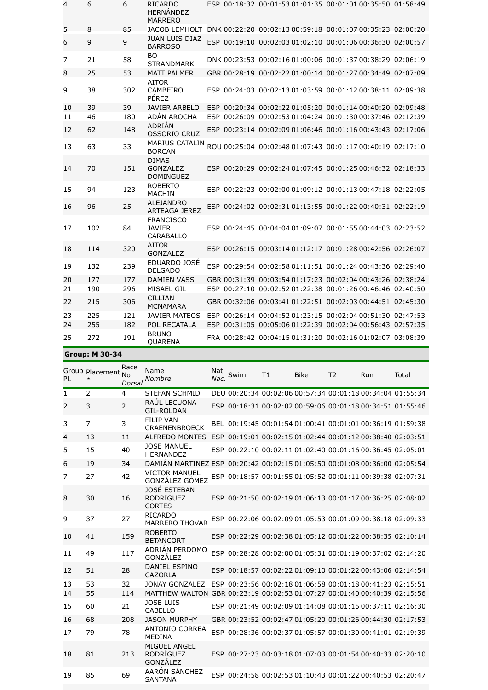| $\overline{4}$ | 6   | 6   | <b>RICARDO</b><br><b>HFRNÁNDFZ</b><br><b>MARRERO</b> |  | ESP 00:18:32 00:01:53 01:01:35 00:01:01 00:35:50 01:58:49 |  |
|----------------|-----|-----|------------------------------------------------------|--|-----------------------------------------------------------|--|
| 5              | 8   | 85  | <b>JACOB LEMHOLT</b>                                 |  | DNK 00:22:20 00:02:13 00:59:18 00:01:07 00:35:23 02:00:20 |  |
| 6              | 9   | 9   | <b>JUAN LUIS DIAZ</b><br><b>BARROSO</b>              |  | ESP 00:19:10 00:02:03 01:02:10 00:01:06 00:36:30 02:00:57 |  |
| 7              | 21  | 58  | BO<br><b>STRANDMARK</b>                              |  | DNK 00:23:53 00:02:16 01:00:06 00:01:37 00:38:29 02:06:19 |  |
| 8              | 25  | 53  | <b>MATT PALMER</b>                                   |  | GBR 00:28:19 00:02:22 01:00:14 00:01:27 00:34:49 02:07:09 |  |
| 9              | 38  | 302 | <b>AITOR</b><br>CAMBEIRO<br>PÉREZ                    |  | ESP 00:24:03 00:02:13 01:03:59 00:01:12 00:38:11 02:09:38 |  |
| 10             | 39  | 39  | <b>JAVIER ARBELO</b>                                 |  | ESP 00:20:34 00:02:22 01:05:20 00:01:14 00:40:20 02:09:48 |  |
| 11             | 46  | 180 | ADÁN AROCHA                                          |  | ESP 00:26:09 00:02:53 01:04:24 00:01:30 00:37:46 02:12:39 |  |
| 12             | 62  | 148 | ADRIÁN<br><b>OSSORIO CRUZ</b>                        |  | ESP 00:23:14 00:02:09 01:06:46 00:01:16 00:43:43 02:17:06 |  |
| 13             | 63  | 33  | MARIUS CATALIN<br><b>BORCAN</b>                      |  | ROU 00:25:04 00:02:48 01:07:43 00:01:17 00:40:19 02:17:10 |  |
| 14             | 70  | 151 | <b>DIMAS</b><br><b>GONZALEZ</b><br><b>DOMINGUEZ</b>  |  | ESP 00:20:29 00:02:24 01:07:45 00:01:25 00:46:32 02:18:33 |  |
| 15             | 94  | 123 | <b>ROBERTO</b><br><b>MACHIN</b>                      |  | ESP 00:22:23 00:02:00 01:09:12 00:01:13 00:47:18 02:22:05 |  |
| 16             | 96  | 25  | <b>ALEJANDRO</b><br><b>ARTEAGA JEREZ</b>             |  | ESP 00:24:02 00:02:31 01:13:55 00:01:22 00:40:31 02:22:19 |  |
| 17             | 102 | 84  | <b>FRANCISCO</b><br><b>JAVIER</b><br>CARABALLO       |  | ESP 00:24:45 00:04:04 01:09:07 00:01:55 00:44:03 02:23:52 |  |
| 18             | 114 | 320 | <b>AITOR</b><br><b>GONZALEZ</b>                      |  | ESP 00:26:15 00:03:14 01:12:17 00:01:28 00:42:56 02:26:07 |  |
| 19             | 132 | 239 | EDUARDO JOSÉ<br><b>DELGADO</b>                       |  | ESP 00:29:54 00:02:58 01:11:51 00:01:24 00:43:36 02:29:40 |  |
| 20             | 177 | 177 | <b>DAMIEN VASS</b>                                   |  | GBR 00:31:39 00:03:54 01:17:23 00:02:04 00:43:26 02:38:24 |  |
| 21             | 190 | 296 | MISAEL GIL                                           |  | ESP 00:27:10 00:02:52 01:22:38 00:01:26 00:46:46 02:40:50 |  |
| 22             | 215 | 306 | <b>CILLIAN</b><br><b>MCNAMARA</b>                    |  | GBR 00:32:06 00:03:41 01:22:51 00:02:03 00:44:51 02:45:30 |  |
| 23             | 225 | 121 | <b>JAVIER MATEOS</b>                                 |  | ESP 00:26:14 00:04:52 01:23:15 00:02:04 00:51:30 02:47:53 |  |
| 24             | 255 | 182 | POL RECATALA                                         |  | ESP 00:31:05 00:05:06 01:22:39 00:02:04 00:56:43 02:57:35 |  |
| 25             | 272 | 191 | <b>BRUNO</b><br><b>QUARENA</b>                       |  | FRA 00:28:42 00:04:15 01:31:20 00:02:16 01:02:07 03:08:39 |  |

**Group: M 30-34**

| PI. | Group Placement No | Race<br>Dorsal | Name<br>Nombre                                                            | Nat.<br>Nac. | Swim | T1 | <b>Bike</b>                                               | T <sub>2</sub> | Run | Total                                                     |
|-----|--------------------|----------------|---------------------------------------------------------------------------|--------------|------|----|-----------------------------------------------------------|----------------|-----|-----------------------------------------------------------|
| 1   | 2                  | 4              | <b>STEFAN SCHMID</b>                                                      |              |      |    |                                                           |                |     | DEU 00:20:34 00:02:06 00:57:34 00:01:18 00:34:04 01:55:34 |
| 2   | 3                  | 2              | RAÚL LECUONA<br><b>GIL-ROLDAN</b>                                         |              |      |    | ESP 00:18:31 00:02:02 00:59:06 00:01:18 00:34:51 01:55:46 |                |     |                                                           |
| 3   | $\overline{7}$     | 3              | <b>FILIP VAN</b><br>CRAENENBROECK                                         |              |      |    |                                                           |                |     | BEL 00:19:45 00:01:54 01:00:41 00:01:01 00:36:19 01:59:38 |
| 4   | 13                 | 11             | AI FREDO MONTES                                                           |              |      |    | ESP 00:19:01 00:02:15 01:02:44 00:01:12 00:38:40 02:03:51 |                |     |                                                           |
| 5   | 15                 | 40             | <b>JOSE MANUEL</b><br><b>HERNANDEZ</b>                                    |              |      |    | ESP 00:22:10 00:02:11 01:02:40 00:01:16 00:36:45 02:05:01 |                |     |                                                           |
| 6   | 19                 | 34             | DAMIÁN MARTINEZ ESP 00:20:42 00:02:15 01:05:50 00:01:08 00:36:00 02:05:54 |              |      |    |                                                           |                |     |                                                           |
| 7   | 27                 | 42             | <b>VICTOR MANUEL</b><br>GONZÁLEZ GÓMEZ                                    |              |      |    | ESP 00:18:57 00:01:55 01:05:52 00:01:11 00:39:38 02:07:31 |                |     |                                                           |
| 8   | 30                 | 16             | JOSÉ ESTEBAN<br><b>RODRIGUEZ</b><br><b>CORTES</b>                         |              |      |    | ESP 00:21:50 00:02:19 01:06:13 00:01:17 00:36:25 02:08:02 |                |     |                                                           |
| 9   | 37                 | 27             | <b>RICARDO</b><br><b>MARRERO THOVAR</b>                                   |              |      |    | ESP 00:22:06 00:02:09 01:05:53 00:01:09 00:38:18 02:09:33 |                |     |                                                           |
| 10  | 41                 | 159            | <b>ROBERTO</b><br><b>BETANCORT</b>                                        |              |      |    | ESP 00:22:29 00:02:38 01:05:12 00:01:22 00:38:35 02:10:14 |                |     |                                                           |
| 11  | 49                 | 117            | ADRIÁN PERDOMO<br>GONZÁLEZ                                                |              |      |    |                                                           |                |     | ESP 00:28:28 00:02:00 01:05:31 00:01:19 00:37:02 02:14:20 |
| 12  | 51                 | 28             | <b>DANIEL ESPINO</b><br>CAZORLA                                           |              |      |    | ESP 00:18:57 00:02:22 01:09:10 00:01:22 00:43:06 02:14:54 |                |     |                                                           |
| 13  | 53                 | 32             | <b>JONAY GONZALEZ</b>                                                     |              |      |    | ESP 00:23:56 00:02:18 01:06:58 00:01:18 00:41:23 02:15:51 |                |     |                                                           |
| 14  | 55                 | 114            | MATTHEW WALTON GBR 00:23:19 00:02:53 01:07:27 00:01:40 00:40:39 02:15:56  |              |      |    |                                                           |                |     |                                                           |
| 15  | 60                 | 21             | <b>JOSE LUIS</b><br>CABELLO                                               |              |      |    |                                                           |                |     | ESP 00:21:49 00:02:09 01:14:08 00:01:15 00:37:11 02:16:30 |
| 16  | 68                 | 208            | <b>JASON MURPHY</b>                                                       |              |      |    |                                                           |                |     | GBR 00:23:52 00:02:47 01:05:20 00:01:26 00:44:30 02:17:53 |
| 17  | 79                 | 78             | ANTONIO CORREA<br><b>MEDINA</b>                                           |              |      |    |                                                           |                |     | ESP 00:28:36 00:02:37 01:05:57 00:01:30 00:41:01 02:19:39 |
| 18  | 81                 | 213            | MIGUEL ANGEL<br>RODRÍGUEZ<br>GONZÁLEZ                                     |              |      |    |                                                           |                |     | ESP 00:27:23 00:03:18 01:07:03 00:01:54 00:40:33 02:20:10 |
| 19  | 85                 | 69             | AARÓN SÁNCHEZ<br><b>SANTANA</b>                                           |              |      |    |                                                           |                |     | ESP 00:24:58 00:02:53 01:10:43 00:01:22 00:40:53 02:20:47 |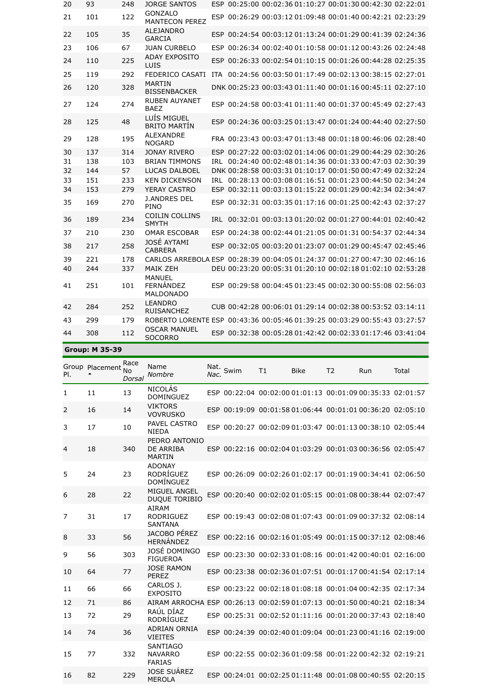| 20 | 93  | 248 | JORGE SANTOS                                                              | ESP 00:25:00 00:02:36 01:10:27 00:01:30 00:42:30 02:22:01 |  |  |  |
|----|-----|-----|---------------------------------------------------------------------------|-----------------------------------------------------------|--|--|--|
| 21 | 101 | 122 | <b>GONZALO</b><br><b>MANTECON PEREZ</b>                                   | ESP 00:26:29 00:03:12 01:09:48 00:01:40 00:42:21 02:23:29 |  |  |  |
| 22 | 105 | 35  | <b>ALEJANDRO</b><br><b>GARCIA</b>                                         | ESP 00:24:54 00:03:12 01:13:24 00:01:29 00:41:39 02:24:36 |  |  |  |
| 23 | 106 | 67  | <b>JUAN CURBELO</b>                                                       | ESP 00:26:34 00:02:40 01:10:58 00:01:12 00:43:26 02:24:48 |  |  |  |
| 24 | 110 | 225 | <b>ADAY EXPOSITO</b><br>LUIS                                              | ESP 00:26:33 00:02:54 01:10:15 00:01:26 00:44:28 02:25:35 |  |  |  |
| 25 | 119 | 292 | <b>FEDERICO CASATI</b>                                                    | ITA 00:24:56 00:03:50 01:17:49 00:02:13 00:38:15 02:27:01 |  |  |  |
| 26 | 120 | 328 | <b>MARTIN</b><br><b>BISSENBACKER</b>                                      | DNK 00:25:23 00:03:43 01:11:40 00:01:16 00:45:11 02:27:10 |  |  |  |
| 27 | 124 | 274 | <b>RUBEN AUYANET</b><br><b>BAEZ</b>                                       | ESP 00:24:58 00:03:41 01:11:40 00:01:37 00:45:49 02:27:43 |  |  |  |
| 28 | 125 | 48  | LUÍS MIGUEL<br><b>BRITO MARTÍN</b>                                        | ESP 00:24:36 00:03:25 01:13:47 00:01:24 00:44:40 02:27:50 |  |  |  |
| 29 | 128 | 195 | <b>ALEXANDRE</b><br><b>NOGARD</b>                                         | FRA 00:23:43 00:03:47 01:13:48 00:01:18 00:46:06 02:28:40 |  |  |  |
| 30 | 137 | 314 | <b>JONAY RIVERO</b>                                                       | ESP 00:27:22 00:03:02 01:14:06 00:01:29 00:44:29 02:30:26 |  |  |  |
| 31 | 138 | 103 | <b>BRIAN TIMMONS</b>                                                      | IRL 00:24:40 00:02:48 01:14:36 00:01:33 00:47:03 02:30:39 |  |  |  |
| 32 | 144 | 57  | <b>LUCAS DALBOEL</b>                                                      | DNK 00:28:58 00:03:31 01:10:17 00:01:50 00:47:49 02:32:24 |  |  |  |
| 33 | 151 | 233 | <b>KEN DICKENSON</b>                                                      | IRL 00:28:13 00:03:08 01:16:51 00:01:23 00:44:50 02:34:24 |  |  |  |
| 34 | 153 | 279 | YERAY CASTRO                                                              | ESP 00:32:11 00:03:13 01:15:22 00:01:29 00:42:34 02:34:47 |  |  |  |
| 35 | 169 | 270 | <b>J.ANDRES DEL</b><br>PINO                                               | ESP 00:32:31 00:03:35 01:17:16 00:01:25 00:42:43 02:37:27 |  |  |  |
| 36 | 189 | 234 | <b>COILIN COLLINS</b><br><b>SMYTH</b>                                     | IRL 00:32:01 00:03:13 01:20:02 00:01:27 00:44:01 02:40:42 |  |  |  |
| 37 | 210 | 230 | <b>OMAR ESCOBAR</b>                                                       | ESP 00:24:38 00:02:44 01:21:05 00:01:31 00:54:37 02:44:34 |  |  |  |
| 38 | 217 | 258 | JOSÉ AYTAMI<br><b>CABRERA</b>                                             | ESP 00:32:05 00:03:20 01:23:07 00:01:29 00:45:47 02:45:46 |  |  |  |
| 39 | 221 | 178 | CARLOS ARREBOLA ESP 00:28:39 00:04:05 01:24:37 00:01:27 00:47:30 02:46:16 |                                                           |  |  |  |
| 40 | 244 | 337 | <b>MAIK ZEH</b>                                                           | DEU 00:23:20 00:05:31 01:20:10 00:02:18 01:02:10 02:53:28 |  |  |  |
| 41 | 251 | 101 | <b>MANUEL</b><br>FERNÁNDEZ<br><b>MALDONADO</b>                            | ESP 00:29:58 00:04:45 01:23:45 00:02:30 00:55:08 02:56:03 |  |  |  |
| 42 | 284 | 252 | <b>LEANDRO</b><br><b>RUISANCHEZ</b>                                       | CUB 00:42:28 00:06:01 01:29:14 00:02:38 00:53:52 03:14:11 |  |  |  |
| 43 | 299 | 179 | ROBERTO LORENTE ESP 00:43:36 00:05:46 01:39:25 00:03:29 00:55:43 03:27:57 |                                                           |  |  |  |
| 44 | 308 | 112 | <b>OSCAR MANUEL</b><br><b>SOCORRO</b>                                     | ESP 00:32:38 00:05:28 01:42:42 00:02:33 01:17:46 03:41:04 |  |  |  |

## **Group: M 35-39**

| PI.            | Group Placement | Race<br>N <sub>0</sub><br>Dorsal | Name<br>Nombre                                                          | Nat.<br>Nac. | Swim | T1 | Bike | T <sub>2</sub> | Run                                                       | Total |
|----------------|-----------------|----------------------------------|-------------------------------------------------------------------------|--------------|------|----|------|----------------|-----------------------------------------------------------|-------|
| 1              | 11              | 13                               | <b>NICOLÁS</b><br><b>DOMINGUEZ</b>                                      |              |      |    |      |                | ESP 00:22:04 00:02:00 01:01:13 00:01:09 00:35:33 02:01:57 |       |
| 2              | 16              | 14                               | <b>VIKTORS</b><br><b>VOVRUSKO</b>                                       |              |      |    |      |                | ESP 00:19:09 00:01:58 01:06:44 00:01:01 00:36:20 02:05:10 |       |
| 3              | 17              | 10                               | PAVEL CASTRO<br><b>NIEDA</b>                                            |              |      |    |      |                | ESP 00:20:27 00:02:09 01:03:47 00:01:13 00:38:10 02:05:44 |       |
| 4              | 18              | 340                              | PEDRO ANTONIO<br>DE ARRIBA<br><b>MARTIN</b>                             |              |      |    |      |                | ESP 00:22:16 00:02:04 01:03:29 00:01:03 00:36:56 02:05:47 |       |
| 5              | 24              | 23                               | <b>ADONAY</b><br>RODRÍGUEZ<br>DOMÍNGUEZ                                 |              |      |    |      |                | ESP 00:26:09 00:02:26 01:02:17 00:01:19 00:34:41 02:06:50 |       |
| 6              | 28              | 22                               | <b>MIGUEL ANGEL</b><br><b>DUQUE TORIBIO</b>                             |              |      |    |      |                | ESP 00:20:40 00:02:02 01:05:15 00:01:08 00:38:44 02:07:47 |       |
| $\overline{7}$ | 31              | 17                               | <b>AIRAM</b><br><b>RODRIGUEZ</b><br><b>SANTANA</b>                      |              |      |    |      |                | ESP 00:19:43 00:02:08 01:07:43 00:01:09 00:37:32 02:08:14 |       |
| 8              | 33              | 56                               | <b>JACOBO PÉREZ</b><br>HERNÁNDEZ                                        |              |      |    |      |                | ESP 00:22:16 00:02:16 01:05:49 00:01:15 00:37:12 02:08:46 |       |
| 9              | 56              | 303                              | JOSÉ DOMINGO<br><b>FIGUEROA</b>                                         |              |      |    |      |                | ESP 00:23:30 00:02:33 01:08:16 00:01:42 00:40:01 02:16:00 |       |
| 10             | 64              | 77                               | <b>JOSE RAMON</b><br>PEREZ                                              |              |      |    |      |                | ESP 00:23:38 00:02:36 01:07:51 00:01:17 00:41:54 02:17:14 |       |
| 11             | 66              | 66                               | CARLOS J.<br><b>EXPOSITO</b>                                            |              |      |    |      |                | ESP 00:23:22 00:02:18 01:08:18 00:01:04 00:42:35 02:17:34 |       |
| 12             | 71              | 86                               | AIRAM ARROCHA ESP 00:26:13 00:02:59 01:07:13 00:01:50 00:40:21 02:18:34 |              |      |    |      |                |                                                           |       |
| 13             | 72              | 29                               | RAÚL DÍAZ<br>RODRÍGUEZ                                                  |              |      |    |      |                | ESP 00:25:31 00:02:52 01:11:16 00:01:20 00:37:43 02:18:40 |       |
| 14             | 74              | 36                               | <b>ADRIAN ORNIA</b><br><b>VIEITES</b>                                   |              |      |    |      |                | ESP 00:24:39 00:02:40 01:09:04 00:01:23 00:41:16 02:19:00 |       |
| 15             | 77              | 332                              | <b>SANTIAGO</b><br><b>NAVARRO</b><br><b>FARIAS</b>                      |              |      |    |      |                | ESP 00:22:55 00:02:36 01:09:58 00:01:22 00:42:32 02:19:21 |       |
| 16             | 82              | 229                              | JOSE SUÁREZ<br><b>MEROLA</b>                                            |              |      |    |      |                | ESP 00:24:01 00:02:25 01:11:48 00:01:08 00:40:55 02:20:15 |       |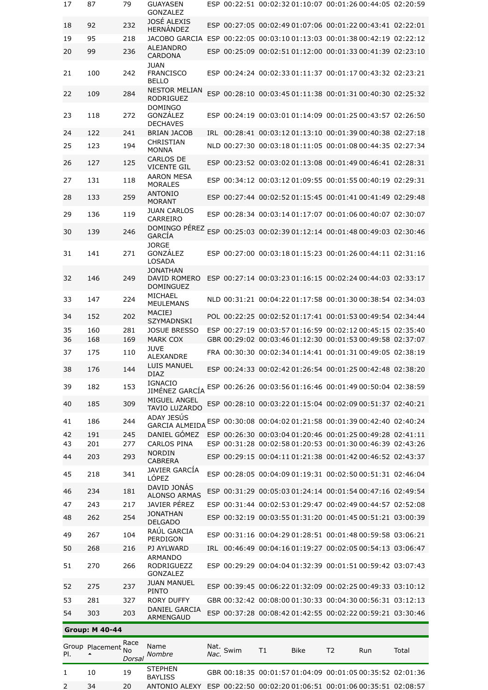| 17  | 87                    | 79           | <b>GUAYASEN</b><br><b>GONZALEZ</b>                  |      |           | ESP 00:22:51 00:02:32 01:10:07 00:01:26 00:44:05 02:20:59 |            |                |     |       |
|-----|-----------------------|--------------|-----------------------------------------------------|------|-----------|-----------------------------------------------------------|------------|----------------|-----|-------|
| 18  | 92                    | 232          | JOSÉ ALEXIS<br>HERNÁNDEZ                            |      |           | ESP 00:27:05 00:02:49 01:07:06 00:01:22 00:43:41 02:22:01 |            |                |     |       |
| 19  | 95                    | 218          | JACOBO GARCIA                                       |      |           | ESP 00:22:05 00:03:10 01:13:03 00:01:38 00:42:19 02:22:12 |            |                |     |       |
| 20  | 99                    | 236          | <b>ALEJANDRO</b><br>CARDONA                         |      |           | ESP 00:25:09 00:02:51 01:12:00 00:01:33 00:41:39 02:23:10 |            |                |     |       |
| 21  | 100                   | 242          | <b>JUAN</b><br><b>FRANCISCO</b><br><b>BELLO</b>     |      |           | ESP 00:24:24 00:02:33 01:11:37 00:01:17 00:43:32 02:23:21 |            |                |     |       |
| 22  | 109                   | 284          | <b>NESTOR MELIAN</b><br><b>RODRIGUEZ</b>            |      |           | ESP 00:28:10 00:03:45 01:11:38 00:01:31 00:40:30 02:25:32 |            |                |     |       |
| 23  | 118                   | 272          | <b>DOMINGO</b><br>GONZÁLEZ<br><b>DECHAVES</b>       |      |           | ESP 00:24:19 00:03:01 01:14:09 00:01:25 00:43:57 02:26:50 |            |                |     |       |
| 24  | 122                   | 241          | <b>BRIAN JACOB</b>                                  |      |           | IRL 00:28:41 00:03:12 01:13:10 00:01:39 00:40:38 02:27:18 |            |                |     |       |
| 25  | 123                   | 194          | CHRISTIAN<br><b>MONNA</b>                           |      |           | NLD 00:27:30 00:03:18 01:11:05 00:01:08 00:44:35 02:27:34 |            |                |     |       |
| 26  | 127                   | 125          | <b>CARLOS DE</b><br><b>VICENTE GIL</b>              |      |           | ESP 00:23:52 00:03:02 01:13:08 00:01:49 00:46:41 02:28:31 |            |                |     |       |
| 27  | 131                   | 118          | <b>AARON MESA</b><br><b>MORALES</b>                 |      |           | ESP 00:34:12 00:03:12 01:09:55 00:01:55 00:40:19 02:29:31 |            |                |     |       |
| 28  | 133                   | 259          | <b>ANTONIO</b><br><b>MORANT</b>                     |      |           | ESP 00:27:44 00:02:52 01:15:45 00:01:41 00:41:49 02:29:48 |            |                |     |       |
| 29  | 136                   | 119          | <b>JUAN CARLOS</b><br>CARREIRO                      |      |           | ESP 00:28:34 00:03:14 01:17:07 00:01:06 00:40:07 02:30:07 |            |                |     |       |
| 30  | 139                   | 246          | DOMINGO PÉREZ<br>GARCÍA                             |      |           | ESP 00:25:03 00:02:39 01:12:14 00:01:48 00:49:03 02:30:46 |            |                |     |       |
|     |                       |              | <b>JORGE</b>                                        |      |           |                                                           |            |                |     |       |
| 31  | 141                   | 271          | <b>GONZALEZ</b><br>LOSADA                           |      |           | ESP 00:27:00 00:03:18 01:15:23 00:01:26 00:44:11 02:31:16 |            |                |     |       |
| 32  | 146                   | 249          | <b>JONATHAN</b><br>DAVID ROMERO<br><b>DOMINGUEZ</b> |      |           | ESP 00:27:14 00:03:23 01:16:15 00:02:24 00:44:03 02:33:17 |            |                |     |       |
| 33  | 147                   | 224          | <b>MICHAEL</b><br><b>MEULEMANS</b>                  |      |           | NLD 00:31:21 00:04:22 01:17:58 00:01:30 00:38:54 02:34:03 |            |                |     |       |
| 34  | 152                   | 202          | <b>MACIEJ</b><br><b>SZYMADNSKI</b>                  |      |           | POL 00:22:25 00:02:52 01:17:41 00:01:53 00:49:54 02:34:44 |            |                |     |       |
| 35  | 160                   | 281          | <b>JOSUE BRESSO</b>                                 |      |           | ESP 00:27:19 00:03:57 01:16:59 00:02:12 00:45:15 02:35:40 |            |                |     |       |
| 36  | 168                   | 169          | <b>MARK COX</b><br><b>JUVE</b>                      |      |           | GBR 00:29:02 00:03:46 01:12:30 00:01:53 00:49:58 02:37:07 |            |                |     |       |
| 37  | 175                   | 110          | <b>ALEXANDRE</b>                                    |      |           | FRA 00:30:30 00:02:34 01:14:41 00:01:31 00:49:05 02:38:19 |            |                |     |       |
| 38  | 176                   | 144          | LUIS MANUEL<br>DIAZ                                 |      |           | ESP 00:24:33 00:02:42 01:26:54 00:01:25 00:42:48 02:38:20 |            |                |     |       |
| 39  | 182                   | 153          | <b>IGNACIO</b><br>JIMÉNEZ GARCÍA                    |      |           | ESP 00:26:26 00:03:56 01:16:46 00:01:49 00:50:04 02:38:59 |            |                |     |       |
| 40  | 185                   | 309          | MIGUEL ANGEL<br><b>TAVIO LUZARDO</b>                |      |           | ESP 00:28:10 00:03:22 01:15:04 00:02:09 00:51:37 02:40:21 |            |                |     |       |
| 41  | 186                   | 244          | ADAY JESÚS<br><b>GARCIA ALMEIDA</b>                 |      |           | ESP 00:30:08 00:04:02 01:21:58 00:01:39 00:42:40 02:40:24 |            |                |     |       |
| 42  | 191                   | 245          | DANIEL GÓMEZ                                        |      |           | ESP 00:26:30 00:03:04 01:20:46 00:01:25 00:49:28 02:41:11 |            |                |     |       |
| 43  | 201                   | 277          | <b>CARLOS PINA</b><br><b>NORDIN</b>                 |      |           | ESP 00:31:28 00:02:58 01:20:53 00:01:30 00:46:39 02:43:26 |            |                |     |       |
| 44  | 203                   | 293          | <b>CABRERA</b>                                      |      |           | ESP 00:29:15 00:04:11 01:21:38 00:01:42 00:46:52 02:43:37 |            |                |     |       |
| 45  | 218                   | 341          | JAVIER GARCIA<br>LÓPEZ                              |      |           | ESP 00:28:05 00:04:09 01:19:31 00:02:50 00:51:31 02:46:04 |            |                |     |       |
| 46  | 234                   | 181          | DAVID JONAS<br><b>ALONSO ARMAS</b>                  |      |           | ESP 00:31:29 00:05:03 01:24:14 00:01:54 00:47:16 02:49:54 |            |                |     |       |
| 47  | 243                   | 217          | JAVIER PÉREZ                                        |      |           | ESP 00:31:44 00:02:53 01:29:47 00:02:49 00:44:57 02:52:08 |            |                |     |       |
| 48  | 262                   | 254          | <b>JONATHAN</b><br><b>DELGADO</b>                   |      |           | ESP 00:32:19 00:03:55 01:31:20 00:01:45 00:51:21 03:00:39 |            |                |     |       |
| 49  | 267                   | 104          | RAÚL GARCIA<br>PERDIGON                             |      |           | ESP 00:31:16 00:04:29 01:28:51 00:01:48 00:59:58 03:06:21 |            |                |     |       |
| 50  | 268                   | 216          | PJ AYLWARD                                          |      |           | IRL 00:46:49 00:04:16 01:19:27 00:02:05 00:54:13 03:06:47 |            |                |     |       |
| 51  | 270                   | 266          | <b>ARMANDO</b><br><b>RODRIGUEZZ</b>                 |      |           | ESP 00:29:29 00:04:04 01:32:39 00:01:51 00:59:42 03:07:43 |            |                |     |       |
| 52  | 275                   | 237          | GONZALEZ<br><b>JUAN MANUEL</b>                      |      |           | ESP 00:39:45 00:06:22 01:32:09 00:02:25 00:49:33 03:10:12 |            |                |     |       |
| 53  | 281                   | 327          | <b>PINTO</b><br>RORY DUFFY                          |      |           | GBR 00:32:42 00:08:00 01:30:33 00:04:30 00:56:31 03:12:13 |            |                |     |       |
| 54  | 303                   | 203          | DANIEL GARCIA<br>ARMENGAUD                          |      |           | ESP 00:37:28 00:08:42 01:42:55 00:02:22 00:59:21 03:30:46 |            |                |     |       |
|     | <b>Group: M 40-44</b> |              |                                                     |      |           |                                                           |            |                |     |       |
|     |                       | Race         |                                                     |      |           |                                                           |            |                |     |       |
| PI. | Group Placement       | No<br>Dorsal | Name<br>Nombre                                      | Nac. | Nat. Swim | T1                                                        | Bike       | T <sub>2</sub> | Run | Total |
|     |                       |              | <b>STEPHEN</b>                                      |      |           |                                                           | F701.04.00 |                |     |       |

1 10 19 BAYLISS GBR 00:18:35 00:01:57 01:04:09 00:01:05 00:35:52 02:01:36 2 34 20 ANTONIO ALEXY ESP 00:22:50 00:02:20 01:06:51 00:01:06 00:35:51 02:08:57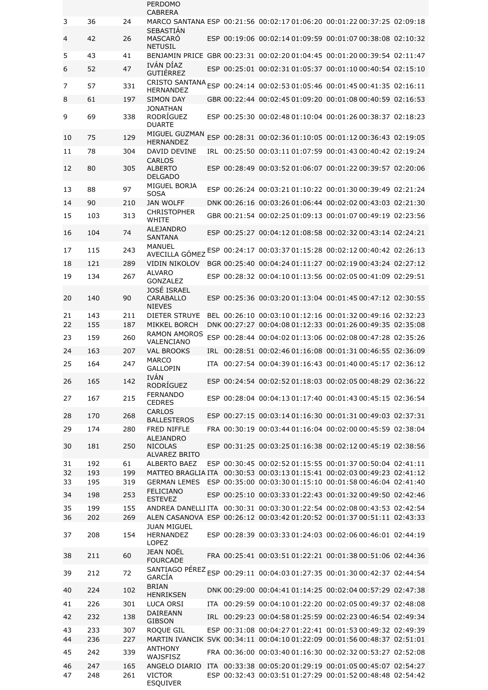|          |            |            | PERDOMO<br><b>CABRERA</b>                            |  |                                                                                                                                       |  |
|----------|------------|------------|------------------------------------------------------|--|---------------------------------------------------------------------------------------------------------------------------------------|--|
| 3        | 36         | 24         |                                                      |  | MARCO SANTANA ESP 00:21:56 00:02:17 01:06:20 00:01:22 00:37:25 02:09:18                                                               |  |
| 4        | 42         | 26         | <b>SEBASTIÁN</b><br><b>MASCARO</b><br><b>NETUSIL</b> |  | ESP 00:19:06 00:02:14 01:09:59 00:01:07 00:38:08 02:10:32                                                                             |  |
| 5        | 43         | 41         |                                                      |  | BENJAMIN PRICE GBR 00:23:31 00:02:20 01:04:45 00:01:20 00:39:54 02:11:47                                                              |  |
| 6        | 52         | 47         | IVÁN DÍAZ<br>GUTIÉRREZ                               |  | ESP 00:25:01 00:02:31 01:05:37 00:01:10 00:40:54 02:15:10                                                                             |  |
| 7        | 57         | 331        | <b>HERNANDEZ</b>                                     |  | CRISTO SANTANA ESP 00:24:14 00:02:53 01:05:46 00:01:45 00:41:35 02:16:11                                                              |  |
| 8        | 61         | 197        | <b>SIMON DAY</b>                                     |  | GBR 00:22:44 00:02:45 01:09:20 00:01:08 00:40:59 02:16:53                                                                             |  |
| 9        | 69         | 338        | JONATHAN<br><b>RODRÍGUEZ</b><br><b>DUARTE</b>        |  | ESP 00:25:30 00:02:48 01:10:04 00:01:26 00:38:37 02:18:23                                                                             |  |
| 10       | 75         | 129        | MIGUEL GUZMAN<br><b>HERNANDEZ</b>                    |  | ESP 00:28:31 00:02:36 01:10:05 00:01:12 00:36:43 02:19:05                                                                             |  |
| 11       | 78         | 304        | DAVID DEVINE                                         |  | IRL 00:25:50 00:03:11 01:07:59 00:01:43 00:40:42 02:19:24                                                                             |  |
| 12       | 80         | 305        | <b>CARLOS</b><br><b>ALBERTO</b><br><b>DELGADO</b>    |  | ESP 00:28:49 00:03:52 01:06:07 00:01:22 00:39:57 02:20:06                                                                             |  |
| 13       | 88         | 97         | MIGUEL BORJA<br><b>SOSA</b>                          |  | ESP 00:26:24 00:03:21 01:10:22 00:01:30 00:39:49 02:21:24                                                                             |  |
| 14       | 90         | 210        | <b>JAN WOLFF</b>                                     |  | DNK 00:26:16 00:03:26 01:06:44 00:02:02 00:43:03 02:21:30                                                                             |  |
| 15       | 103        | 313        | <b>CHRISTOPHER</b><br><b>WHITF</b>                   |  | GBR 00:21:54 00:02:25 01:09:13 00:01:07 00:49:19 02:23:56                                                                             |  |
| 16       | 104        | 74         | <b>ALEJANDRO</b>                                     |  | ESP 00:25:27 00:04:12 01:08:58 00:02:32 00:43:14 02:24:21                                                                             |  |
| 17       | 115        | 243        | <b>SANTANA</b>                                       |  |                                                                                                                                       |  |
|          |            |            |                                                      |  | AVECILLA GÓMEZ ESP 00:24:17 00:03:37 01:15:28 00:02:12 00:40:42 02:26:13                                                              |  |
| 18       | 121        | 289        | <b>VIDIN NIKOLOV</b><br><b>ALVARO</b>                |  | BGR 00:25:40 00:04:24 01:11:27 00:02:19 00:43:24 02:27:12                                                                             |  |
| 19       | 134        | 267        | <b>GONZALEZ</b>                                      |  | ESP 00:28:32 00:04:10 01:13:56 00:02:05 00:41:09 02:29:51                                                                             |  |
| 20       | 140        | 90         | JOSÉ ISRAEL<br>CARABALLO<br><b>NIEVES</b>            |  | ESP 00:25:36 00:03:20 01:13:04 00:01:45 00:47:12 02:30:55                                                                             |  |
| 21       | 143        | 211        | <b>DIETER STRUYE</b>                                 |  | BEL 00:26:10 00:03:10 01:12:16 00:01:32 00:49:16 02:32:23                                                                             |  |
| 22       | 155        | 187        | <b>MIKKEL BORCH</b><br><b>RAMON AMOROS</b>           |  | DNK 00:27:27 00:04:08 01:12:33 00:01:26 00:49:35 02:35:08                                                                             |  |
| 23       | 159        | 260        | VALENCIANO                                           |  | ESP 00:28:44 00:04:02 01:13:06 00:02:08 00:47:28 02:35:26                                                                             |  |
| 24       | 163        | 207        | <b>VAL BROOKS</b>                                    |  | IRL 00:28:51 00:02:46 01:16:08 00:01:31 00:46:55 02:36:09                                                                             |  |
| 25       | 164        | 247        | <b>MARCO</b><br>GAI LOPIN<br><b>IVÁN</b>             |  | ITA 00:27:54 00:04:39 01:16:43 00:01:40 00:45:17 02:36:12                                                                             |  |
| 26       | 165        | 142        | <b>RODRÍGUEZ</b>                                     |  | ESP 00:24:54 00:02:52 01:18:03 00:02:05 00:48:29 02:36:22                                                                             |  |
| 27       | 167        | 215        | <b>FERNANDO</b><br><b>CEDRES</b>                     |  | ESP 00:28:04 00:04:13 01:17:40 00:01:43 00:45:15 02:36:54                                                                             |  |
| 28       | 170        | 268        | <b>CARLOS</b><br><b>BALLESTEROS</b>                  |  | ESP 00:27:15 00:03:14 01:16:30 00:01:31 00:49:03 02:37:31                                                                             |  |
| 29       | 174        | 280        | FRED NIFFLE<br>ALEJANDRO                             |  | FRA 00:30:19 00:03:44 01:16:04 00:02:00 00:45:59 02:38:04                                                                             |  |
| 30       | 181        | 250        | <b>NICOLAS</b><br><b>ALVAREZ BRITO</b>               |  | ESP 00:31:25 00:03:25 01:16:38 00:02:12 00:45:19 02:38:56                                                                             |  |
| 31       | 192        | 61         | ALBERTO BAEZ                                         |  | ESP 00:30:45 00:02:52 01:15:55 00:01:37 00:50:04 02:41:11                                                                             |  |
| 32<br>33 | 193<br>195 | 199<br>319 | <b>GERMAN LEMES</b>                                  |  | MATTEO BRAGLIA ITA 00:30:53 00:03:13 01:15:41 00:02:03 00:49:23 02:41:12<br>ESP 00:35:00 00:03:30 01:15:10 00:01:58 00:46:04 02:41:40 |  |
| 34       | 198        | 253        | <b>FELICIANO</b>                                     |  | ESP 00:25:10 00:03:33 01:22:43 00:01:32 00:49:50 02:42:46                                                                             |  |
|          | 199        |            | <b>ESTEVEZ</b>                                       |  | ANDREA DANELLI ITA 00:30:31 00:03:30 01:22:54 00:02:08 00:43:53 02:42:54                                                              |  |
| 35<br>36 | 202        | 155<br>269 |                                                      |  | ALEN CASANOVA ESP 00:26:12 00:03:42 01:20:52 00:01:37 00:51:11 02:43:33                                                               |  |
| 37       | 208        | 154        | <b>JUAN MIGUEL</b><br>HERNANDEZ                      |  | ESP 00:28:39 00:03:33 01:24:03 00:02:06 00:46:01 02:44:19                                                                             |  |
| 38       | 211        | 60         | LOPEZ<br><b>JEAN NOËL</b><br><b>FOURCADE</b>         |  | FRA 00:25:41 00:03:51 01:22:21 00:01:38 00:51:06 02:44:36                                                                             |  |
| 39       | 212        | 72         | GARCÍA                                               |  | SANTIAGO PÉREZ ESP 00:29:11 00:04:03 01:27:35 00:01:30 00:42:37 02:44:54                                                              |  |
| 40       | 224        | 102        | <b>BRIAN</b>                                         |  | DNK 00:29:00 00:04:41 01:14:25 00:02:04 00:57:29 02:47:38                                                                             |  |
| 41       | 226        | 301        | <b>HENRIKSEN</b><br>LUCA ORSI                        |  | ITA 00:29:59 00:04:10 01:22:20 00:02:05 00:49:37 02:48:08                                                                             |  |
| 42       | 232        | 138        | DAIREANN                                             |  | IRL 00:29:23 00:04:58 01:25:59 00:02:23 00:46:54 02:49:34                                                                             |  |
| 43       | 233        | 307        | <b>GIBSON</b><br>ROQUE GIL                           |  | ESP 00:31:08 00:04:27 01:22:41 00:01:53 00:49:32 02:49:39                                                                             |  |
| 44       | 236        | 227        |                                                      |  | MARTIN IVANCIK SVK 00:34:11 00:04:10 01:22:09 00:01:56 00:48:37 02:51:01                                                              |  |
| 45       |            |            |                                                      |  |                                                                                                                                       |  |
|          | 242        | 339        | <b>ANTHONY</b>                                       |  | FRA 00:36:00 00:03:40 01:16:30 00:02:32 00:53:27 02:52:08                                                                             |  |
| 46       | 247        | 165        | WAJSFISZ<br>ANGELO DIARIO                            |  | ITA 00:33:38 00:05:20 01:29:19 00:01:05 00:45:07 02:54:27                                                                             |  |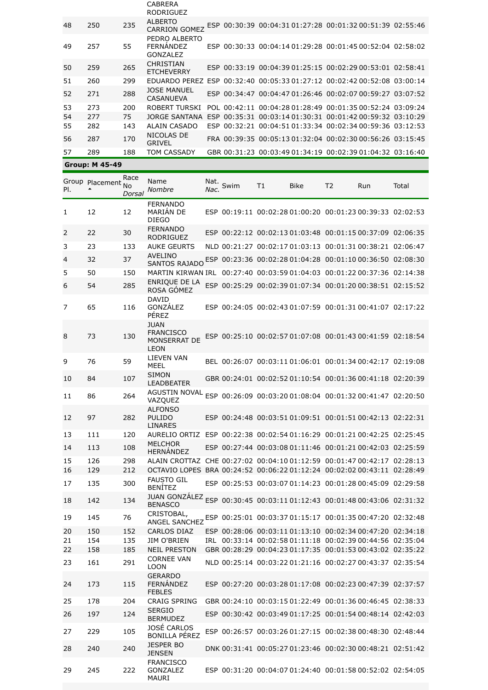|    |     |     | <b>CABRERA</b><br><b>RODRIGUEZ</b>     |  |                                                                         |  |
|----|-----|-----|----------------------------------------|--|-------------------------------------------------------------------------|--|
| 48 | 250 | 235 | <b>ALBERTO</b><br><b>CARRION GOMEZ</b> |  | ESP 00:30:39 00:04:31 01:27:28 00:01:32 00:51:39 02:55:46               |  |
| 49 | 257 | 55  | PEDRO ALBERTO<br>FFRNANDF7<br>GONZALEZ |  | ESP 00:30:33 00:04:14 01:29:28 00:01:45 00:52:04 02:58:02               |  |
| 50 | 259 | 265 | <b>CHRISTIAN</b><br><b>ETCHEVERRY</b>  |  | ESP 00:33:19 00:04:39 01:25:15 00:02:29 00:53:01 02:58:41               |  |
| 51 | 260 | 299 |                                        |  | EDUARDO PEREZ ESP 00:32:40 00:05:33 01:27:12 00:02:42 00:52:08 03:00:14 |  |
| 52 | 271 | 288 | <b>JOSE MANUEL</b><br><b>CASANUEVA</b> |  | ESP 00:34:47 00:04:47 01:26:46 00:02:07 00:59:27 03:07:52               |  |
| 53 | 273 | 200 | ROBERT TURSKI                          |  | POL 00:42:11 00:04:28 01:28:49 00:01:35 00:52:24 03:09:24               |  |
| 54 | 277 | 75  | JORGE SANTANA                          |  | ESP 00:35:31 00:03:14 01:30:31 00:01:42 00:59:32 03:10:29               |  |
| 55 | 282 | 143 | ALAIN CASADO                           |  | ESP 00:32:21 00:04:51 01:33:34 00:02:34 00:59:36 03:12:53               |  |
| 56 | 287 | 170 | NICOLAS DE<br><b>GRIVEL</b>            |  | FRA 00:39:35 00:05:13 01:32:04 00:02:30 00:56:26 03:15:45               |  |
| 57 | 289 | 188 | TOM CASSADY                            |  | GBR 00:31:23 00:03:49 01:34:19 00:02:39 01:04:32 03:16:40               |  |
|    |     |     |                                        |  |                                                                         |  |

| <b>Group: M 45-49</b> |  |
|-----------------------|--|
|                       |  |

| PI.      | Group Placement No<br>▲ | Race<br>Dorsal | Name<br><b>Nombre</b>                                                                        | Nac.       | Nat. Swim | T1 | Bike | T2 | Run                                                       | Total                                                     |
|----------|-------------------------|----------------|----------------------------------------------------------------------------------------------|------------|-----------|----|------|----|-----------------------------------------------------------|-----------------------------------------------------------|
| 1        | 12                      | 12             | <b>FERNANDO</b><br>MARIÁN DE<br><b>DIEGO</b>                                                 |            |           |    |      |    | ESP 00:19:11 00:02:28 01:00:20 00:01:23 00:39:33 02:02:53 |                                                           |
| 2        | 22                      | 30             | <b>FERNANDO</b><br><b>RODRIGUEZ</b>                                                          |            |           |    |      |    | ESP 00:22:12 00:02:13 01:03:48 00:01:15 00:37:09 02:06:35 |                                                           |
| 3        | 23                      | 133            | <b>AUKE GEURTS</b>                                                                           |            |           |    |      |    | NLD 00:21:27 00:02:17 01:03:13 00:01:31 00:38:21 02:06:47 |                                                           |
| 4        | 32                      | 37             | <b>AVELINO</b><br><b>SANTOS RAJADO</b>                                                       |            |           |    |      |    | ESP 00:23:36 00:02:28 01:04:28 00:01:10 00:36:50 02:08:30 |                                                           |
| 5        | 50                      | 150            | MARTIN KIRWAN IRL 00:27:40 00:03:59 01:04:03 00:01:22 00:37:36 02:14:38                      |            |           |    |      |    |                                                           |                                                           |
| 6        | 54                      | 285            | ENRIQUE DE LA<br>ROSA GÓMEZ                                                                  | <b>ESP</b> |           |    |      |    | 00:25:29 00:02:39 01:07:34 00:01:20 00:38:51 02:15:52     |                                                           |
| 7        | 65                      | 116            | <b>DAVID</b><br>GONZÁLEZ<br>PÉREZ                                                            |            |           |    |      |    | ESP 00:24:05 00:02:43 01:07:59 00:01:31 00:41:07 02:17:22 |                                                           |
| 8        | 73                      | 130            | <b>JUAN</b><br><b>FRANCISCO</b><br><b>MONSERRAT DE</b><br><b>LEON</b>                        |            |           |    |      |    | ESP 00:25:10 00:02:57 01:07:08 00:01:43 00:41:59 02:18:54 |                                                           |
| 9        | 76                      | 59             | <b>LIEVEN VAN</b><br>MEEL                                                                    |            |           |    |      |    | BEL 00:26:07 00:03:11 01:06:01 00:01:34 00:42:17 02:19:08 |                                                           |
| 10       | 84                      | 107            | <b>SIMON</b><br><b>LEADBEATER</b>                                                            |            |           |    |      |    | GBR 00:24:01 00:02:52 01:10:54 00:01:36 00:41:18 02:20:39 |                                                           |
| 11       | 86                      | 264            | AGUSTIN NOVAL<br>VAZQUEZ                                                                     |            |           |    |      |    | ESP 00:26:09 00:03:20 01:08:04 00:01:32 00:41:47 02:20:50 |                                                           |
| 12       | 97                      | 282            | <b>ALFONSO</b><br><b>PULIDO</b><br><b>LINARES</b>                                            |            |           |    |      |    | ESP 00:24:48 00:03:51 01:09:51 00:01:51 00:42:13 02:22:31 |                                                           |
| 13       | 111                     | 120            | AURELIO ORTIZ ESP 00:22:38 00:02:54 01:16:29 00:01:21 00:42:25 02:25:45                      |            |           |    |      |    |                                                           |                                                           |
| 14       | 113                     | 108            | <b>MELCHOR</b><br><b>HERNÁNDEZ</b>                                                           |            |           |    |      |    | ESP 00:27:44 00:03:08 01:11:46 00:01:21 00:42:03 02:25:59 |                                                           |
| 15       | 126                     | 298            | ALAIN CROTTAZ CHE 00:27:02 00:04:10 01:12:59 00:01:47 00:42:17 02:28:13                      |            |           |    |      |    |                                                           |                                                           |
| 16       | 129                     | 212            | OCTAVIO LOPES BRA 00:24:52 00:06:22 01:12:24 00:02:02 00:43:11 02:28:49<br><b>FAUSTO GIL</b> |            |           |    |      |    |                                                           |                                                           |
| 17       | 135                     | 300            | <b>BENÍTEZ</b>                                                                               |            |           |    |      |    | ESP 00:25:53 00:03:07 01:14:23 00:01:28 00:45:09 02:29:58 |                                                           |
| 18       | 142                     | 134            | JUAN GONZÁLEZ ESP 00:30:45 00:03:11 01:12:43 00:01:48 00:43:06 02:31:32<br><b>BENASCO</b>    |            |           |    |      |    |                                                           |                                                           |
| 19       | 145                     | 76             | CRISTOBAL,<br><b>ANGEL SANCHEZ</b>                                                           |            |           |    |      |    | ESP 00:25:01 00:03:37 01:15:17 00:01:35 00:47:20 02:32:48 |                                                           |
| 20       | 150                     | 152            | <b>CARLOS DIAZ</b>                                                                           |            |           |    |      |    | ESP 00:28:06 00:03:11 01:13:10 00:02:34 00:47:20 02:34:18 |                                                           |
| 21<br>22 | 154<br>158              | 135<br>185     | JIM O'BRIEN<br><b>NEIL PRESTON</b>                                                           |            |           |    |      |    | IRL 00:33:14 00:02:58 01:11:18 00:02:39 00:44:56 02:35:04 | GBR 00:28:29 00:04:23 01:17:35 00:01:53 00:43:02 02:35:22 |
| 23       | 161                     | 291            | <b>CORNEE VAN</b><br><b>LOON</b>                                                             |            |           |    |      |    | NLD 00:25:14 00:03:22 01:21:16 00:02:27 00:43:37 02:35:54 |                                                           |
| 24       | 173                     | 115            | <b>GERARDO</b><br><b>FERNÁNDEZ</b><br><b>FEBLES</b>                                          |            |           |    |      |    | ESP 00:27:20 00:03:28 01:17:08 00:02:23 00:47:39 02:37:57 |                                                           |
| 25       | 178                     | 204            | <b>CRAIG SPRING</b>                                                                          |            |           |    |      |    | GBR 00:24:10 00:03:15 01:22:49 00:01:36 00:46:45 02:38:33 |                                                           |
| 26       | 197                     | 124            | <b>SERGIO</b><br><b>BERMUDEZ</b>                                                             |            |           |    |      |    | ESP 00:30:42 00:03:49 01:17:25 00:01:54 00:48:14 02:42:03 |                                                           |
| 27       | 229                     | 105            | JOSÉ CARLOS<br><b>BONILLA PÉREZ</b>                                                          |            |           |    |      |    | ESP 00:26:57 00:03:26 01:27:15 00:02:38 00:48:30 02:48:44 |                                                           |
| 28       | 240                     | 240            | <b>JESPER BO</b><br><b>JENSEN</b>                                                            |            |           |    |      |    | DNK 00:31:41 00:05:27 01:23:46 00:02:30 00:48:21 02:51:42 |                                                           |
| 29       | 245                     | 222            | <b>FRANCISCO</b><br>GONZALEZ<br><b>MAURI</b>                                                 |            |           |    |      |    | ESP 00:31:20 00:04:07 01:24:40 00:01:58 00:52:02 02:54:05 |                                                           |
|          |                         |                |                                                                                              |            |           |    |      |    |                                                           |                                                           |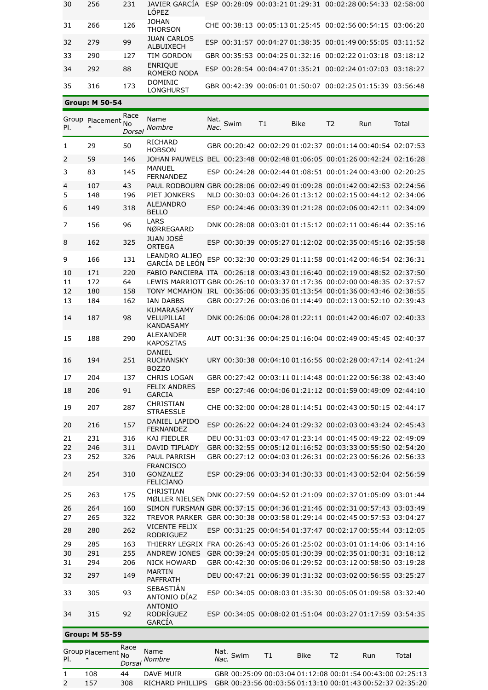| 30 | 256 | 231 | LÔPEZ                           | JAVIER GARCIA ESP 00:28:09 00:03:21 01:29:31 00:02:28 00:54:33 02:58:00 |  |
|----|-----|-----|---------------------------------|-------------------------------------------------------------------------|--|
| 31 | 266 | 126 | <b>JOHAN</b><br><b>THORSON</b>  | CHE 00:38:13 00:05:13 01:25:45 00:02:56 00:54:15 03:06:20               |  |
| 32 | 279 | 99  | <b>JUAN CARLOS</b><br>ALBUIXECH | ESP 00:31:57 00:04:27 01:38:35 00:01:49 00:55:05 03:11:52               |  |
| 33 | 290 | 127 | TIM GORDON                      | GBR 00:35:53 00:04:25 01:32:16 00:02:22 01:03:18 03:18:12               |  |
| 34 | 292 | 88  | <b>ENRIQUE</b><br>ROMERO NODA   | ESP 00:28:54 00:04:47 01:35:21 00:02:24 01:07:03 03:18:27               |  |
| 35 | 316 | 173 | <b>DOMINIC</b><br>LONGHURST     | GBR 00:42:39 00:06:01 01:50:07 00:02:25 01:15:39 03:56:48               |  |

| <b>Group: M 50-54</b> |  |
|-----------------------|--|
|                       |  |

| PI.      | Group Placement No    | Race<br>Dorsal | Name<br>Nombre                                                                                                                                     | Nac. | Nat. Swim                                                 | Τ1 | <b>Bike</b> | T2 | Run | Total                                                     |
|----------|-----------------------|----------------|----------------------------------------------------------------------------------------------------------------------------------------------------|------|-----------------------------------------------------------|----|-------------|----|-----|-----------------------------------------------------------|
| 1        | 29                    | 50             | <b>RICHARD</b><br><b>HOBSON</b>                                                                                                                    |      | GBR 00:20:42 00:02:29 01:02:37 00:01:14 00:40:54 02:07:53 |    |             |    |     |                                                           |
| 2        | 59                    | 146            | JOHAN PAUWELS BEL 00:23:48 00:02:48 01:06:05 00:01:26 00:42:24 02:16:28                                                                            |      |                                                           |    |             |    |     |                                                           |
| 3        | 83                    | 145            | MANUEL<br><b>FERNANDEZ</b>                                                                                                                         |      | ESP 00:24:28 00:02:44 01:08:51 00:01:24 00:43:00 02:20:25 |    |             |    |     |                                                           |
| 4        | 107                   | 43             | PAUL RODBOURN GBR 00:28:06 00:02:49 01:09:28 00:01:42 00:42:53 02:24:56                                                                            |      |                                                           |    |             |    |     |                                                           |
| 5        | 148                   | 196            | PIET JONKERS                                                                                                                                       |      |                                                           |    |             |    |     | NLD 00:30:03 00:04:26 01:13:12 00:02:15 00:44:12 02:34:06 |
| 6        | 149                   | 318            | <b>ALEJANDRO</b><br><b>BELLO</b>                                                                                                                   |      | ESP 00:24:46 00:03:39 01:21:28 00:02:06 00:42:11 02:34:09 |    |             |    |     |                                                           |
| 7        | 156                   | 96             | LARS<br>NØRREGAARD                                                                                                                                 |      | DNK 00:28:08 00:03:01 01:15:12 00:02:11 00:46:44 02:35:16 |    |             |    |     |                                                           |
| 8        | 162                   | 325            | <b>JUAN JOSÉ</b><br><b>ORTEGA</b>                                                                                                                  |      | ESP 00:30:39 00:05:27 01:12:02 00:02:35 00:45:16 02:35:58 |    |             |    |     |                                                           |
| 9        | 166                   | 131            | LEANDRO ALJEO<br><b>GARCÍA DE LEÓN</b>                                                                                                             |      | ESP 00:32:30 00:03:29 01:11:58 00:01:42 00:46:54 02:36:31 |    |             |    |     |                                                           |
| 10       | 171                   | 220            | FABIO PANCIERA ITA 00:26:18 00:03:43 01:16:40 00:02:19 00:48:52 02:37:50                                                                           |      |                                                           |    |             |    |     |                                                           |
| 11       | 172                   | 64             | LEWIS MARRIOTT GBR 00:26:10 00:03:37 01:17:36 00:02:00 00:48:35 02:37:57                                                                           |      |                                                           |    |             |    |     |                                                           |
| 12       | 180                   | 158            | TONY MCMAHON IRL 00:36:06 00:03:35 01:13:54 00:01:36 00:43:46 02:38:55                                                                             |      |                                                           |    |             |    |     |                                                           |
| 13       | 184                   | 162            | IAN DABBS                                                                                                                                          |      | GBR 00:27:26 00:03:06 01:14:49 00:02:13 00:52:10 02:39:43 |    |             |    |     |                                                           |
| 14       | 187                   | 98             | <b>KUMARASAMY</b><br>VELUPILLAI<br><b>KANDASAMY</b>                                                                                                |      | DNK 00:26:06 00:04:28 01:22:11 00:01:42 00:46:07 02:40:33 |    |             |    |     |                                                           |
| 15       | 188                   | 290            | ALEXANDER<br><b>KAPOSZTAS</b>                                                                                                                      |      | AUT 00:31:36 00:04:25 01:16:04 00:02:49 00:45:45 02:40:37 |    |             |    |     |                                                           |
| 16       | 194                   | 251            | DANIEL<br><b>RUCHANSKY</b><br><b>BOZZO</b>                                                                                                         |      | URY 00:30:38 00:04:10 01:16:56 00:02:28 00:47:14 02:41:24 |    |             |    |     |                                                           |
| 17       | 204                   | 137            | <b>CHRIS LOGAN</b>                                                                                                                                 |      | GBR 00:27:42 00:03:11 01:14:48 00:01:22 00:56:38 02:43:40 |    |             |    |     |                                                           |
| 18       | 206                   | 91             | <b>FELIX ANDRES</b><br><b>GARCIA</b>                                                                                                               |      | ESP 00:27:46 00:04:06 01:21:12 00:01:59 00:49:09 02:44:10 |    |             |    |     |                                                           |
| 19       | 207                   | 287            | CHRISTIAN<br><b>STRAESSLE</b>                                                                                                                      |      | CHE 00:32:00 00:04:28 01:14:51 00:02:43 00:50:15 02:44:17 |    |             |    |     |                                                           |
| 20       | 216                   | 157            | DANIEL LAPIDO<br><b>FERNANDEZ</b>                                                                                                                  |      | ESP 00:26:22 00:04:24 01:29:32 00:02:03 00:43:24 02:45:43 |    |             |    |     |                                                           |
| 21       | 231                   | 316            | KAI FIEDLER                                                                                                                                        |      |                                                           |    |             |    |     | DEU 00:31:03 00:03:47 01:23:14 00:01:45 00:49:22 02:49:09 |
| 22       | 246                   | 311            | <b>DAVID TIPLADY</b>                                                                                                                               |      |                                                           |    |             |    |     | GBR 00:32:55 00:05:12 01:16:52 00:03:33 00:55:50 02:54:20 |
| 23       | 252                   | 326            | <b>PAUL PARRISH</b>                                                                                                                                |      | GBR 00:27:12 00:04:03 01:26:31 00:02:23 00:56:26 02:56:33 |    |             |    |     |                                                           |
| 24       | 254                   | 310            | <b>FRANCISCO</b><br><b>GONZALEZ</b><br><b>FELICIANO</b>                                                                                            |      | ESP 00:29:06 00:03:34 01:30:33 00:01:43 00:52:04 02:56:59 |    |             |    |     |                                                           |
| 25       | 263                   | 175            | CHRISTIAN<br>MØLLER NIELSEN                                                                                                                        |      | DNK 00:27:59 00:04:52 01:21:09 00:02:37 01:05:09 03:01:44 |    |             |    |     |                                                           |
| 26<br>27 | 264<br>265            | 160<br>322     | SIMON FURSMAN GBR 00:37:15 00:04:36 01:21:46 00:02:31 00:57:43 03:03:49<br>TREVOR PARKER GBR 00:30:38 00:03:58 01:29:14 00:02:45 00:57:53 03:04:27 |      |                                                           |    |             |    |     |                                                           |
|          |                       |                | <b>VICENTE FELIX</b>                                                                                                                               |      |                                                           |    |             |    |     |                                                           |
| 28       | 280                   | 262            | <b>RODRIGUEZ</b><br>THIERRY LEGRIX FRA 00:26:43 00:05:26 01:25:02 00:03:01 01:14:06 03:14:16                                                       |      |                                                           |    |             |    |     | ESP 00:31:25 00:04:54 01:37:47 00:02:17 00:55:44 03:12:05 |
| 29<br>30 | 285<br>291            | 163<br>255     | <b>ANDREW JONES</b>                                                                                                                                |      |                                                           |    |             |    |     | GBR 00:39:24 00:05:05 01:30:39 00:02:35 01:00:31 03:18:12 |
| 31       | 294                   | 206            | <b>NICK HOWARD</b>                                                                                                                                 |      |                                                           |    |             |    |     | GBR 00:42:30 00:05:06 01:29:52 00:03:12 00:58:50 03:19:28 |
|          |                       |                | <b>MARTIN</b>                                                                                                                                      |      |                                                           |    |             |    |     |                                                           |
| 32       | 297                   | 149            | <b>PAFFRATH</b><br>SEBASTIÁN                                                                                                                       |      |                                                           |    |             |    |     | DEU 00:47:21 00:06:39 01:31:32 00:03:02 00:56:55 03:25:27 |
| 33       | 305                   | 93             | ANTONIO DÍAZ<br><b>ANTONIO</b>                                                                                                                     |      |                                                           |    |             |    |     | ESP 00:34:05 00:08:03 01:35:30 00:05:05 01:09:58 03:32:40 |
| 34       | 315                   | 92             | RODRÍGUEZ<br>GARCÍA                                                                                                                                |      |                                                           |    |             |    |     | ESP 00:34:05 00:08:02 01:51:04 00:03:27 01:17:59 03:54:35 |
|          | <b>Group: M 55-59</b> |                |                                                                                                                                                    |      |                                                           |    |             |    |     |                                                           |
|          |                       | Race           |                                                                                                                                                    |      |                                                           |    |             |    |     |                                                           |
| PI.      | Group Placement No    |                | Name<br><b>Nombre</b>                                                                                                                              |      | Nat. Swim                                                 | T1 | <b>Bike</b> | T2 | Run | Total                                                     |

| PI. | $\blacktriangle$ | IVU<br>Dorsal | Nombre                                                                     | $Nac.$ <sup><math>\rightarrow</math>w<math>\cdots</math></sup> | PINE | $\sqrt{2}$ | 1391 L                                                    | <b>TULCII</b> |
|-----|------------------|---------------|----------------------------------------------------------------------------|----------------------------------------------------------------|------|------------|-----------------------------------------------------------|---------------|
|     | 108              | 44            | DAVE MUIR                                                                  |                                                                |      |            | GBR 00:25:09 00:03:04 01:12:08 00:01:54 00:43:00 02:25:13 |               |
|     | 157              | 308           | RICHARD PHILLIPS GBR 00:23:56 00:03:56 01:13:10 00:01:43 00:52:37 02:35:20 |                                                                |      |            |                                                           |               |
|     |                  |               |                                                                            |                                                                |      |            |                                                           |               |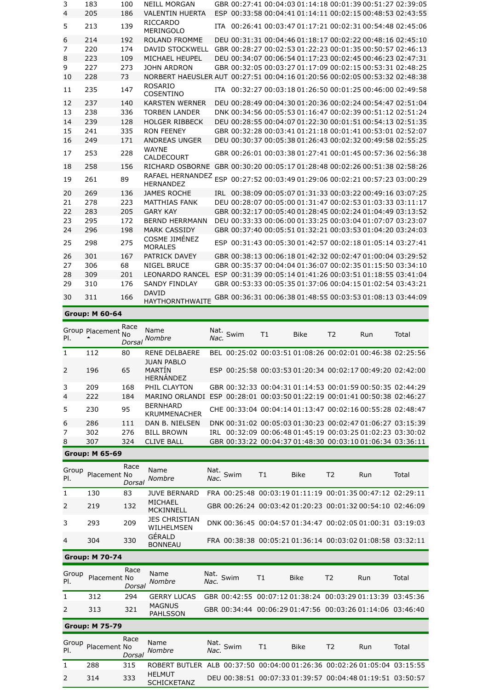|    | <b>Group: M 60-64</b> |     |                                                                            |      |                                                           |  |  |  |  |
|----|-----------------------|-----|----------------------------------------------------------------------------|------|-----------------------------------------------------------|--|--|--|--|
| 30 | 311                   | 166 | <b>DAVID</b><br><b>HAYTHORNTHWAITE</b>                                     |      | GBR 00:36:31 00:06:38 01:48:55 00:03:53 01:08:13 03:44:09 |  |  |  |  |
| 29 | 310                   | 176 | <b>SANDY FINDLAY</b>                                                       |      | GBR 00:53:33 00:05:35 01:37:06 00:04:15 01:02:54 03:43:21 |  |  |  |  |
| 28 | 309                   | 201 | <b>LEONARDO RANCEL</b>                                                     |      | ESP 00:31:39 00:05:14 01:41:26 00:03:51 01:18:55 03:41:04 |  |  |  |  |
| 27 | 306                   | 68  | <b>NIGEL BRUCE</b>                                                         |      | GBR 00:35:37 00:04:04 01:36:07 00:02:35 01:15:50 03:34:10 |  |  |  |  |
| 26 | 301                   | 167 | PATRICK DAVEY                                                              |      | GBR 00:38:13 00:06:18 01:42:32 00:02:47 01:00:04 03:29:52 |  |  |  |  |
| 25 | 298                   | 275 | COSME JIMÉNEZ<br><b>MORALES</b>                                            |      | ESP 00:31:43 00:05:30 01:42:57 00:02:18 01:05:14 03:27:41 |  |  |  |  |
| 24 | 296                   | 198 | <b>MARK CASSIDY</b>                                                        |      | GBR 00:37:40 00:05:51 01:32:21 00:03:53 01:04:20 03:24:03 |  |  |  |  |
| 23 | 295                   | 172 | <b>BERND HERRMANN</b>                                                      |      | DEU 00:33:33 00:06:00 01:33:25 00:03:04 01:07:07 03:23:07 |  |  |  |  |
| 22 | 283                   | 205 | <b>GARY KAY</b>                                                            |      | GBR 00:32:17 00:05:40 01:28:45 00:02:24 01:04:49 03:13:52 |  |  |  |  |
| 21 | 278                   | 223 | <b>MATTHIAS FANK</b>                                                       |      | DEU 00:28:07 00:05:00 01:31:47 00:02:53 01:03:33 03:11:17 |  |  |  |  |
| 20 | 269                   | 136 | <b>JAMES ROCHE</b>                                                         |      | IRL 00:38:09 00:05:07 01:31:33 00:03:22 00:49:16 03:07:25 |  |  |  |  |
| 19 | 261                   | 89  | RAFAEL HERNANDEZ<br><b>HERNANDEZ</b>                                       |      | ESP 00:27:52 00:03:49 01:29:06 00:02:21 00:57:23 03:00:29 |  |  |  |  |
| 18 | 258                   | 156 | RICHARD OSBORNE GBR 00:30:20 00:05:17 01:28:48 00:02:26 00:51:38 02:58:26  |      |                                                           |  |  |  |  |
| 17 | 253                   | 228 | <b>WAYNE</b><br>CALDECOURT                                                 |      | GBR 00:26:01 00:03:38 01:27:41 00:01:45 00:57:36 02:56:38 |  |  |  |  |
| 16 | 249                   | 171 | <b>ANDREAS UNGER</b>                                                       |      | DEU 00:30:37 00:05:38 01:26:43 00:02:32 00:49:58 02:55:25 |  |  |  |  |
| 15 | 241                   | 335 | <b>RON FEENEY</b>                                                          |      | GBR 00:32:28 00:03:41 01:21:18 00:01:41 00:53:01 02:52:07 |  |  |  |  |
| 14 | 239                   | 128 | <b>HOLGER RIBBECK</b>                                                      |      | DEU 00:28:55 00:04:07 01:22:30 00:01:51 00:54:13 02:51:35 |  |  |  |  |
| 13 | 238                   | 336 | <b>TORBEN LANDER</b>                                                       |      | DNK 00:34:56 00:05:53 01:16:47 00:02:39 00:51:12 02:51:24 |  |  |  |  |
| 12 | 237                   | 140 | <b>KARSTEN WERNER</b>                                                      |      | DEU 00:28:49 00:04:30 01:20:36 00:02:24 00:54:47 02:51:04 |  |  |  |  |
| 11 | 235                   | 147 | <b>ROSARIO</b><br>COSENTINO                                                | TTA. | 00:32:27 00:03:18 01:26:50 00:01:25 00:46:00 02:49:58     |  |  |  |  |
| 10 | 228                   | 73  | NORBERT HAEUSLER AUT 00:27:51 00:04:16 01:20:56 00:02:05 00:53:32 02:48:38 |      |                                                           |  |  |  |  |
| 9  | 227                   | 273 | <b>JOHN ARDRON</b>                                                         |      | GBR 00:32:05 00:03:27 01:17:09 00:02:15 00:53:31 02:48:25 |  |  |  |  |
| 8  | 223                   | 109 | MICHAEL HEUPEL                                                             |      | DEU 00:34:07 00:06:54 01:17:23 00:02:45 00:46:23 02:47:31 |  |  |  |  |
| 7  | 220                   | 174 | <b>DAVID STOCKWELL</b>                                                     |      | GBR 00:28:27 00:02:53 01:22:23 00:01:35 00:50:57 02:46:13 |  |  |  |  |
| 6  | 214                   | 192 | ROLAND FROMME                                                              |      | DEU 00:31:31 00:04:46 01:18:17 00:02:22 00:48:16 02:45:10 |  |  |  |  |
| 5  | 213                   | 139 | <b>RICCARDO</b><br><b>MERINGOLO</b>                                        | ITA. | 00:26:41 00:03:47 01:17:21 00:02:31 00:54:48 02:45:06     |  |  |  |  |
| 4  | 205                   | 186 | <b>VALENTIN HUERTA</b>                                                     |      | ESP 00:33:58 00:04:41 01:14:11 00:02:15 00:48:53 02:43:55 |  |  |  |  |
| 3  | 183                   | 100 | <b>NEILL MORGAN</b>                                                        |      | GBR 00:27:41 00:04:03 01:14:18 00:01:39 00:51:27 02:39:05 |  |  |  |  |

### [Group](javascript:__doPostBack() [Placement](javascript:__doPostBack() No Pl. Race *[Dorsal](javascript:__doPostBack() [Nombre](javascript:__doPostBack()* Name Nat. *[Nac.](javascript:__doPostBack()* [Swim](javascript:__doPostBack() [T1](javascript:__doPostBack() [Bike](javascript:__doPostBack() [T2](javascript:__doPostBack() [Run](javascript:__doPostBack() [Total](javascript:__doPostBack() 1 112 80 RENE DELBAERE BEL 00:25:02 00:03:51 01:08:26 00:02:01 00:46:38 02:25:56 2 196 65 JUAN PABLO MARTÍN HERNÁNDEZ ESP 00:25:58 00:03:53 01:20:34 00:02:17 00:49:20 02:42:00 3 209 168 PHIL CLAYTON GBR 00:32:33 00:04:31 01:14:53 00:01:59 00:50:35 02:44:29 4 222 184 MARINO ORLANDI ESP 00:28:01 00:03:50 01:22:19 00:01:41 00:50:38 02:46:27 5 230 95 BERNHARD KRUMMENACHER CHE 00:33:04 00:04:14 01:13:47 00:02:16 00:55:28 02:48:47 6 286 111 DAN B. NIELSEN DNK 00:31:02 00:05:03 01:30:23 00:02:47 01:06:27 03:15:39 7 302 276 BILL BROWN IRL 00:32:09 00:06:48 01:45:19 00:03:25 01:02:23 03:30:02 8 307 324 CLIVE BALL GBR 00:33:22 00:04:37 01:48:30 00:03:10 01:06:34 03:36:11 **Group: M 65-69**

| Group<br>PI.   | Placement No | Race<br>Dorsal | Name<br>Nombre              | Nat.<br>Nac. Swim | T1 | <b>Bike</b> | T <sub>2</sub> | Run                                                       | Total |
|----------------|--------------|----------------|-----------------------------|-------------------|----|-------------|----------------|-----------------------------------------------------------|-------|
|                | 130          | 83             | <b>IUVE BERNARD</b>         |                   |    |             |                | FRA 00:25:48 00:03:19 01:11:19 00:01:35 00:47:12 02:29:11 |       |
| $\mathcal{L}$  | 219          | 132            | MICHAEL<br><b>MCKINNELL</b> |                   |    |             |                | GBR 00:26:24 00:03:42 01:20:23 00:01:32 00:54:10 02:46:09 |       |
|                | 293          | 209            | JES CHRISTIAN<br>WILHELMSEN |                   |    |             |                | DNK 00:36:45 00:04:57 01:34:47 00:02:05 01:00:31 03:19:03 |       |
| $\overline{4}$ | 304          | 330            | GÉRALD<br><b>BONNEAU</b>    |                   |    |             |                | FRA 00:38:38 00:05:21 01:36:14 00:03:02 01:08:58 03:32:11 |       |

|              | <b>Group: M 70-74</b> |                |                                  |                   |    |             |                |                                                           |       |
|--------------|-----------------------|----------------|----------------------------------|-------------------|----|-------------|----------------|-----------------------------------------------------------|-------|
| Group<br>PI. | Placement No          | Race<br>Dorsal | Name<br>Nombre                   | Nat.<br>Nac. Swim | T1 | <b>Bike</b> | T <sub>2</sub> | Run                                                       | Total |
|              | 312                   | 294            | <b>GERRY LUCAS</b>               |                   |    |             |                | GBR 00:42:55 00:07:12 01:38:24 00:03:29 01:13:39 03:45:36 |       |
| 2            | 313                   | 321            | <b>MAGNUS</b><br><b>PAHLSSON</b> |                   |    |             |                | GBR 00:34:44 00:06:29 01:47:56 00:03:26 01:14:06 03:46:40 |       |
|              | <b>Group: M 75-79</b> |                |                                  |                   |    |             |                |                                                           |       |

|               | <b>GIUUD: 19 / 3-/ 7</b> |                |                                                                         |                   |    |                                                           |    |     |       |
|---------------|--------------------------|----------------|-------------------------------------------------------------------------|-------------------|----|-----------------------------------------------------------|----|-----|-------|
| Group<br>PI.  | Placement No             | Race<br>Dorsal | Name<br>Nombre                                                          | Nat.<br>Nac. Swim | T1 | <b>Bike</b>                                               | T2 | Run | Total |
|               | 288                      | 315            | ROBERT BUTLER ALB 00:37:50 00:04:00 01:26:36 00:02:26 01:05:04 03:15:55 |                   |    |                                                           |    |     |       |
| $\mathcal{L}$ | 314                      | 333            | <b>HELMUT</b><br><b>SCHICKETANZ</b>                                     |                   |    | DEU 00:38:51 00:07:33 01:39:57 00:04:48 01:19:51 03:50:57 |    |     |       |
|               |                          |                |                                                                         |                   |    |                                                           |    |     |       |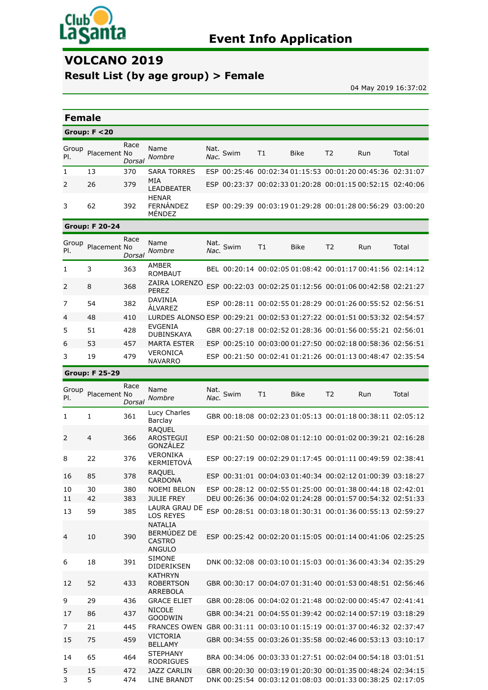

# **VOLCANO 2019**

# **Result List (by age group) > Female**

04 May 2019 16:37:02

| <b>Female</b>  |                       |                |                                                                         |              |      |    |             |                |                                                                                                                        |       |
|----------------|-----------------------|----------------|-------------------------------------------------------------------------|--------------|------|----|-------------|----------------|------------------------------------------------------------------------------------------------------------------------|-------|
|                | Group: $F < 20$       |                |                                                                         |              |      |    |             |                |                                                                                                                        |       |
| Group<br>PI.   | Placement No          | Race<br>Dorsal | Name<br>Nombre                                                          | Nat.<br>Nac. | Swim | T1 | Bike        | T <sub>2</sub> | Run                                                                                                                    | Total |
| 1              | 13                    | 370            | <b>SARA TORRES</b>                                                      |              |      |    |             |                | ESP 00:25:46 00:02:34 01:15:53 00:01:20 00:45:36 02:31:07                                                              |       |
| 2              | 26                    | 379            | MIA<br>LEADBEATER<br><b>HENAR</b>                                       |              |      |    |             |                | ESP 00:23:37 00:02:33 01:20:28 00:01:15 00:52:15 02:40:06                                                              |       |
| 3              | 62                    | 392            | FERNÁNDEZ<br>MÉNDEZ                                                     |              |      |    |             |                | ESP 00:29:39 00:03:19 01:29:28 00:01:28 00:56:29 03:00:20                                                              |       |
|                | <b>Group: F 20-24</b> |                |                                                                         |              |      |    |             |                |                                                                                                                        |       |
| Group<br>PI.   | Placement No          | Race<br>Dorsal | Name<br>Nombre                                                          | Nat.<br>Nac. | Swim | T1 | <b>Bike</b> | T <sub>2</sub> | Run                                                                                                                    | Total |
| 1              | 3                     | 363            | AMBER<br><b>ROMBAUT</b>                                                 |              |      |    |             |                | BEL 00:20:14 00:02:05 01:08:42 00:01:17 00:41:56 02:14:12                                                              |       |
| $\overline{2}$ | 8                     | 368            | ZAIRA LORENZO<br><b>PEREZ</b>                                           |              |      |    |             |                | ESP 00:22:03 00:02:25 01:12:56 00:01:06 00:42:58 02:21:27                                                              |       |
| 7              | 54                    | 382            | <b>DAVINIA</b><br><b>ALVAREZ</b>                                        |              |      |    |             |                | ESP 00:28:11 00:02:55 01:28:29 00:01:26 00:55:52 02:56:51                                                              |       |
| 4              | 48                    | 410            | LURDES ALONSO ESP 00:29:21 00:02:53 01:27:22 00:01:51 00:53:32 02:54:57 |              |      |    |             |                |                                                                                                                        |       |
| 5              | 51                    | 428            | EVGENIA<br><b>DUBINSKAYA</b>                                            |              |      |    |             |                | GBR 00:27:18 00:02:52 01:28:36 00:01:56 00:55:21 02:56:01                                                              |       |
| 6              | 53                    | 457            | <b>MARTA ESTER</b>                                                      |              |      |    |             |                | ESP 00:25:10 00:03:00 01:27:50 00:02:18 00:58:36 02:56:51                                                              |       |
| 3              | 19                    | 479            | VERONICA<br><b>NAVARRO</b>                                              |              |      |    |             |                | ESP 00:21:50 00:02:41 01:21:26 00:01:13 00:48:47 02:35:54                                                              |       |
|                | <b>Group: F 25-29</b> |                |                                                                         |              |      |    |             |                |                                                                                                                        |       |
| Group<br>PI.   | Placement No          | Race<br>Dorsal | Name<br>Nombre                                                          | Nat.<br>Nac. | Swim | T1 | <b>Bike</b> | T2             | Run                                                                                                                    | Total |
| 1              | 1                     | 361            | Lucy Charles<br>Barclay                                                 |              |      |    |             |                | GBR 00:18:08 00:02:23 01:05:13 00:01:18 00:38:11 02:05:12                                                              |       |
| 2              | 4                     | 366            | <b>RAQUEL</b><br><b>AROSTEGUI</b><br>GONZÁLEZ                           |              |      |    |             |                | ESP 00:21:50 00:02:08 01:12:10 00:01:02 00:39:21 02:16:28                                                              |       |
| 8              | 22                    | 376            | VERONIKA<br>KERMIETOVÁ                                                  |              |      |    |             |                | ESP 00:27:19 00:02:29 01:17:45 00:01:11 00:49:59 02:38:41                                                              |       |
| 16             | 85                    | 378            | <b>RAQUEL</b><br>CARDONA                                                |              |      |    |             |                | ESP 00:31:01 00:04:03 01:40:34 00:02:12 01:00:39 03:18:27                                                              |       |
| 10             | 30                    | 380            | NOEMI BELON                                                             |              |      |    |             |                | ESP 00:28:12 00:02:55 01:25:00 00:01:38 00:44:18 02:42:01<br>DEU 00:26:36 00:04:02 01:24:28 00:01:57 00:54:32 02:51:33 |       |
| 11<br>13       | 42<br>59              | 383<br>385     | <b>JULIE FREY</b><br>LAURA GRAU DE<br><b>LOS REYES</b>                  |              |      |    |             |                | ESP 00:28:51 00:03:18 01:30:31 00:01:36 00:55:13 02:59:27                                                              |       |
| 4              | 10                    | 390            | <b>NATALIA</b><br>BERMÚDEZ DE<br><b>CASTRO</b><br><b>ANGULO</b>         |              |      |    |             |                | ESP 00:25:42 00:02:20 01:15:05 00:01:14 00:41:06 02:25:25                                                              |       |
| 6              | 18                    | 391            | <b>SIMONE</b><br>DIDERIKSEN                                             |              |      |    |             |                | DNK 00:32:08 00:03:10 01:15:03 00:01:36 00:43:34 02:35:29                                                              |       |
| 12             | 52                    | 433            | <b>KATHRYN</b><br><b>ROBERTSON</b><br><b>ARREBOLA</b>                   |              |      |    |             |                | GBR 00:30:17 00:04:07 01:31:40 00:01:53 00:48:51 02:56:46                                                              |       |
| 9              | 29                    | 436            | <b>GRACE ELIET</b>                                                      |              |      |    |             |                | GBR 00:28:06 00:04:02 01:21:48 00:02:00 00:45:47 02:41:41                                                              |       |
| 17             | 86                    | 437            | <b>NICOLE</b><br><b>GOODWIN</b>                                         |              |      |    |             |                | GBR 00:34:21 00:04:55 01:39:42 00:02:14 00:57:19 03:18:29                                                              |       |
| 7              | 21                    | 445            | FRANCES OWEN GBR 00:31:11 00:03:10 01:15:19 00:01:37 00:46:32 02:37:47  |              |      |    |             |                |                                                                                                                        |       |
| 15             | 75                    | 459            | <b>VICTORIA</b><br><b>BELLAMY</b>                                       |              |      |    |             |                | GBR 00:34:55 00:03:26 01:35:58 00:02:46 00:53:13 03:10:17                                                              |       |
| 14             | 65                    | 464            | <b>STEPHANY</b><br><b>RODRIGUES</b>                                     |              |      |    |             |                | BRA 00:34:06 00:03:33 01:27:51 00:02:04 00:54:18 03:01:51                                                              |       |
| 5<br>3         | 15<br>5               | 472<br>474     | <b>JAZZ CARLIN</b><br>LINE BRANDT                                       |              |      |    |             |                | GBR 00:20:30 00:03:19 01:20:30 00:01:35 00:48:24 02:34:15<br>DNK 00:25:54 00:03:12 01:08:03 00:01:33 00:38:25 02:17:05 |       |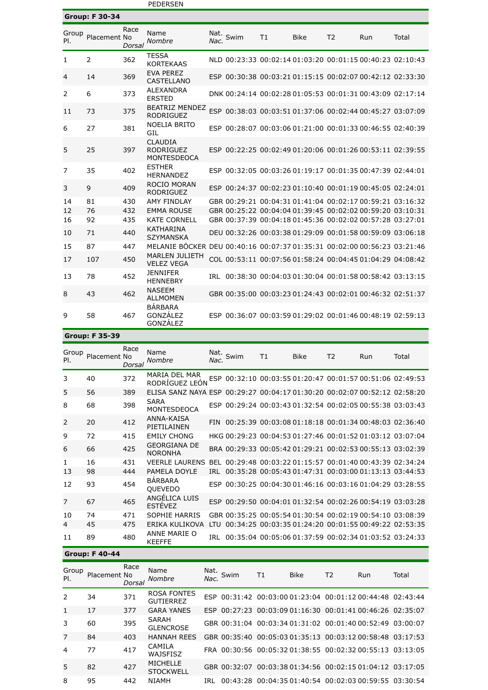|                |                       |                | <b>PEDERSEN</b>                                                          |              |                                                           |    |             |                |     |       |
|----------------|-----------------------|----------------|--------------------------------------------------------------------------|--------------|-----------------------------------------------------------|----|-------------|----------------|-----|-------|
|                | <b>Group: F 30-34</b> |                |                                                                          |              |                                                           |    |             |                |     |       |
| Group<br>PI.   | Placement No          | Race<br>Dorsal | Name<br>Nombre                                                           | Nat.<br>Nac. | Swim                                                      | T1 | <b>Bike</b> | T <sub>2</sub> | Run | Total |
| 1              | 2                     | 362            | <b>TESSA</b><br><b>KORTEKAAS</b>                                         |              | NLD 00:23:33 00:02:14 01:03:20 00:01:15 00:40:23 02:10:43 |    |             |                |     |       |
| 4              | 14                    | 369            | <b>EVA PEREZ</b><br>CASTELLANO                                           |              | ESP 00:30:38 00:03:21 01:15:15 00:02:07 00:42:12 02:33:30 |    |             |                |     |       |
| 2              | 6                     | 373            | <b>ALEXANDRA</b><br><b>ERSTED</b>                                        |              | DNK 00:24:14 00:02:28 01:05:53 00:01:31 00:43:09 02:17:14 |    |             |                |     |       |
| 11             | 73                    | 375            | <b>BEATRIZ MENDEZ</b><br><b>RODRIGUEZ</b>                                |              | ESP 00:38:03 00:03:51 01:37:06 00:02:44 00:45:27 03:07:09 |    |             |                |     |       |
| 6              | 27                    | 381            | NOELIA BRITO<br>GIL                                                      |              | ESP 00:28:07 00:03:06 01:21:00 00:01:33 00:46:55 02:40:39 |    |             |                |     |       |
| 5              | 25                    | 397            | <b>CLAUDIA</b><br><b>RODRIGUEZ</b><br><b>MONTESDEOCA</b>                 |              | ESP 00:22:25 00:02:49 01:20:06 00:01:26 00:53:11 02:39:55 |    |             |                |     |       |
| $\overline{7}$ | 35                    | 402            | <b>ESTHER</b><br><b>HERNANDEZ</b>                                        |              | ESP 00:32:05 00:03:26 01:19:17 00:01:35 00:47:39 02:44:01 |    |             |                |     |       |
| 3              | 9                     | 409            | <b>ROCIO MORAN</b><br><b>RODRIGUEZ</b>                                   |              | ESP 00:24:37 00:02:23 01:10:40 00:01:19 00:45:05 02:24:01 |    |             |                |     |       |
| 14             | 81                    | 430            | <b>AMY FINDLAY</b>                                                       |              | GBR 00:29:21 00:04:31 01:41:04 00:02:17 00:59:21 03:16:32 |    |             |                |     |       |
| 12             | 76                    | 432            | <b>EMMA ROUSE</b>                                                        |              | GBR 00:25:22 00:04:04 01:39:45 00:02:02 00:59:20 03:10:31 |    |             |                |     |       |
| 16             | 92                    | 435            | <b>KATE CORNELL</b>                                                      |              | GBR 00:37:39 00:04:18 01:45:36 00:02:02 00:57:28 03:27:01 |    |             |                |     |       |
| 10             | 71                    | 440            | <b>KATHARINA</b><br><b>SZYMANSKA</b>                                     |              | DEU 00:32:26 00:03:38 01:29:09 00:01:58 00:59:09 03:06:18 |    |             |                |     |       |
| 15             | 87                    | 447            | MELANIE BÖCKER DEU 00:40:16 00:07:37 01:35:31 00:02:00 00:56:23 03:21:46 |              |                                                           |    |             |                |     |       |
| 17             | 107                   | 450            | <b>MARLEN JULIETH</b><br><b>VELEZ VEGA</b>                               |              | COL 00:53:11 00:07:56 01:58:24 00:04:45 01:04:29 04:08:42 |    |             |                |     |       |
| 13             | 78                    | 452            | <b>JENNIFER</b><br><b>HENNEBRY</b>                                       |              | IRL 00:38:30 00:04:03 01:30:04 00:01:58 00:58:42 03:13:15 |    |             |                |     |       |
| 8              | 43                    | 462            | <b>NASEEM</b><br><b>ALLMOMEN</b>                                         |              | GBR 00:35:00 00:03:23 01:24:43 00:02:01 00:46:32 02:51:37 |    |             |                |     |       |
| 9              | 58                    | 467            | <b>BÁRBARA</b><br>GONZÁLEZ<br>GONZÁLEZ                                   |              | ESP 00:36:07 00:03:59 01:29:02 00:01:46 00:48:19 02:59:13 |    |             |                |     |       |

**Group: F 35-39**

| Group<br>PI.   | Placement No | Race<br>Dorsal | Name<br>Nombre                                                            | Nat.<br>Nac. | Swim | T1 | <b>Bike</b> | T <sub>2</sub> | Run                                                       | Total |
|----------------|--------------|----------------|---------------------------------------------------------------------------|--------------|------|----|-------------|----------------|-----------------------------------------------------------|-------|
| 3              | 40           | 372            | MARIA DEL MAR<br>RODRÍGUEZ LEÓN                                           |              |      |    |             |                | ESP 00:32:10 00:03:55 01:20:47 00:01:57 00:51:06 02:49:53 |       |
| 5              | 56           | 389            | ELISA SANZ NAYA ESP 00:29:27 00:04:17 01:30:20 00:02:07 00:52:12 02:58:20 |              |      |    |             |                |                                                           |       |
| 8              | 68           | 398            | <b>SARA</b><br>MONTESDEOCA                                                |              |      |    |             |                | ESP 00:29:24 00:03:43 01:32:54 00:02:05 00:55:38 03:03:43 |       |
| $\overline{2}$ | 20           | 412            | ANNA-KAISA<br>PIETILAINEN                                                 | <b>FIN</b>   |      |    |             |                | 00:25:39 00:03:08 01:18:18 00:01:34 00:48:03 02:36:40     |       |
| 9              | 72           | 415            | <b>EMILY CHONG</b>                                                        |              |      |    |             |                | HKG 00:29:23 00:04:53 01:27:46 00:01:52 01:03:12 03:07:04 |       |
| 6              | 66           | 425            | <b>GEORGIANA DE</b><br><b>NORONHA</b>                                     |              |      |    |             |                | BRA 00:29:33 00:05:42 01:29:21 00:02:53 00:55:13 03:02:39 |       |
| $\mathbf{1}$   | 16           | 431            | <b>VEERLE LAURENS</b>                                                     | <b>BFL</b>   |      |    |             |                | 00:29:48 00:03:22 01:15:57 00:01:40 00:43:39 02:34:24     |       |
| 13             | 98           | 444            | PAMELA DOYLE                                                              | TRI          |      |    |             |                | 00:35:28 00:05:43 01:47:31 00:03:00 01:13:13 03:44:53     |       |
| 12             | 93           | 454            | <b>BÁRBARA</b><br><b>OUEVEDO</b>                                          |              |      |    |             |                | ESP 00:30:25 00:04:30 01:46:16 00:03:16 01:04:29 03:28:55 |       |
| $\overline{7}$ | 67           | 465            | ANGÉLICA LUIS<br><b>FSTÉVEZ</b>                                           |              |      |    |             |                | ESP 00:29:50 00:04:01 01:32:54 00:02:26 00:54:19 03:03:28 |       |
| 10             | 74           | 471            | <b>SOPHIE HARRIS</b>                                                      |              |      |    |             |                | GBR 00:35:25 00:05:54 01:30:54 00:02:19 00:54:10 03:08:39 |       |
| 4              | 45           | 475            | ERIKA KULIKOVA                                                            | TU.          |      |    |             |                | 00:34:25 00:03:35 01:24:20 00:01:55 00:49:22 02:53:35     |       |
| 11             | 89           | 480            | ANNE MARIE O<br><b>KEEFFE</b>                                             | TRI          |      |    |             |                | 00:35:04 00:05:06 01:37:59 00:02:34 01:03:52 03:24:33     |       |

### **Group: F 40-44**

| Group<br>PI.   | Placement No | Race<br>Dorsal | Name<br>Nombre                      |     | Nat. Swim | T1 | <b>Bike</b> | T <sub>2</sub> | Run                                                       | Total |
|----------------|--------------|----------------|-------------------------------------|-----|-----------|----|-------------|----------------|-----------------------------------------------------------|-------|
| $\mathcal{L}$  | 34           | 371            | ROSA FONTES<br><b>GUTIERREZ</b>     |     |           |    |             |                | ESP 00:31:42 00:03:00 01:23:04 00:01:12 00:44:48 02:43:44 |       |
| $\mathbf{1}$   | 17           | 377            | <b>GARA YANES</b>                   |     |           |    |             |                | ESP 00:27:23 00:03:09 01:16:30 00:01:41 00:46:26 02:35:07 |       |
| 3              | 60           | 395            | SARAH<br><b>GLENCROSE</b>           |     |           |    |             |                | GBR 00:31:04 00:03:34 01:31:02 00:01:40 00:52:49 03:00:07 |       |
| 7              | 84           | 403            | <b>HANNAH REES</b>                  |     |           |    |             |                | GBR 00:35:40 00:05:03 01:35:13 00:03:12 00:58:48 03:17:53 |       |
| $\overline{4}$ | 77           | 417            | CAMILA<br>WAJSFISZ                  |     |           |    |             |                | FRA 00:30:56 00:05:32 01:38:55 00:02:32 00:55:13 03:13:05 |       |
| 5              | 82           | 427            | <b>MICHELLE</b><br><b>STOCKWELL</b> |     |           |    |             |                | GBR 00:32:07 00:03:38 01:34:56 00:02:15 01:04:12 03:17:05 |       |
| 8              | 95           | 442            | <b>NIAMH</b>                        | TRI |           |    |             |                | 00:43:28 00:04:35 01:40:54 00:02:03 00:59:55 03:30:54     |       |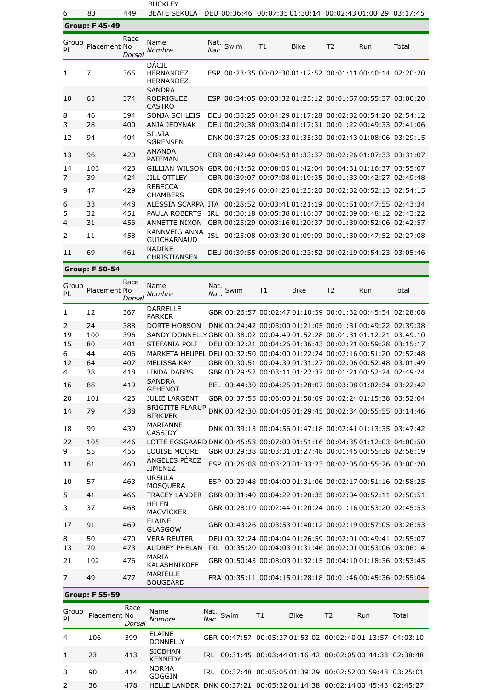BUCKLEY

6 83 449 BEATE SEKULA DEU 00:36:46 00:07:35 01:30:14 00:02:43 01:00:29 03:17:45

|                | <b>Group: F 45-49</b> |                |                                                    |              |      |    |             |                |                                                             |          |
|----------------|-----------------------|----------------|----------------------------------------------------|--------------|------|----|-------------|----------------|-------------------------------------------------------------|----------|
| Group<br>PI.   | Placement No          | Race<br>Dorsal | Name<br>Nombre                                     | Nat.<br>Nac. | Swim | T1 | <b>Bike</b> | T <sub>2</sub> | Run                                                         | Total    |
| 1              | 7                     | 365            | DÁCIL<br><b>HERNANDEZ</b><br><b>HERNANDEZ</b>      |              |      |    |             |                | ESP 00:23:35 00:02:30 01:12:52 00:01:11 00:40:14 02:20:20   |          |
| 10             | 63                    | 374            | <b>SANDRA</b><br><b>RODRIGUEZ</b><br><b>CASTRO</b> |              |      |    |             |                | ESP 00:34:05 00:03:32 01:25:12 00:01:57 00:55:37 03:00:20   |          |
| 8              | 46                    | 394            | <b>SONJA SCHLEIS</b>                               |              |      |    |             |                | DEU 00:35:25 00:04:29 01:17:28 00:02:32 00:54:20 02:54:12   |          |
| 3              | 28                    | 400            | ANJA JEDYNAK                                       |              |      |    |             |                | DEU 00:29:38 00:03:04 01:17:31 00:01:22 00:49:33 02:41:06   |          |
| 12             | 94                    | 404            | <b>SILVIA</b><br><b>SØRENSEN</b>                   |              |      |    |             |                | DNK 00:37:25 00:05:33 01:35:30 00:02:43 01:08:06 03:29:15   |          |
| 13             | 96                    | 420            | <b>AMANDA</b><br><b>PATFMAN</b>                    |              |      |    |             |                | GBR 00:42:40 00:04:53 01:33:37 00:02:26 01:07:33 03:31:07   |          |
| 14             | 103                   | 423            | <b>GILLIAN WILSON</b>                              |              |      |    |             |                | GBR 00:43:52 00:08:05 01:42:04 00:04:31 01:16:37            | 03.55.07 |
| $\overline{7}$ | 39                    | 424            | <b>JILL OTTLEY</b>                                 |              |      |    |             |                | GBR 00:39:07 00:07:08 01:19:35 00:01:33 00:42:27 02:49:48   |          |
| 9              | 47                    | 429            | <b>REBECCA</b><br><b>CHAMBERS</b>                  |              |      |    |             |                | GBR 00:29:46 00:04:25 01:25:20 00:02:32 00:52:13 02:54:15   |          |
| 6              | 33                    | 448            | AI FSSIA SCARPA                                    | <b>TTA</b>   |      |    |             |                | 00:28:52 00:03:41 01:21:19 00:01:51 00:47:55 02:43:34       |          |
| 5              | 32                    | 451            | <b>PAULA ROBERTS</b>                               | TRI          |      |    |             |                | $00:30:18$ $00:05:3801:16:37$ $00:02:3900:48:12$ $02:43:22$ |          |
| $\overline{4}$ | 31                    | 456            | <b>ANNETTE NIXON</b>                               |              |      |    |             |                | GBR 00:25:29 00:03:16 01:20:37 00:01:30 00:52:06 02:42:57   |          |
| 2              | 11                    | 458            | RANNVEIG ANNA<br><b>GUICHARNAUD</b>                | <b>ISL</b>   |      |    |             |                | 00:25:08 00:03:30 01:09:09 00:01:30 00:47:52 02:27:08       |          |
| 11             | 69                    | 461            | <b>NADINE</b><br>CHRISTIANSEN                      |              |      |    |             |                | DEU 00:39:55 00:05:20 01:23:52 00:02:19 00:54:23 03:05:46   |          |

**Group: F 50-54**

| Group<br>PI. | Placement No | Race<br>Dorsal | Name<br>Nombre                                                           | Nat.<br>Nac. | Swim | T <sub>1</sub> | <b>Bike</b> | T <sub>2</sub> | Run                                                       | Total |
|--------------|--------------|----------------|--------------------------------------------------------------------------|--------------|------|----------------|-------------|----------------|-----------------------------------------------------------|-------|
| 1            | 12           | 367            | <b>DARRELLE</b><br><b>PARKER</b>                                         |              |      |                |             |                | GBR 00:26:57 00:02:47 01:10:59 00:01:32 00:45:54 02:28:08 |       |
| 2            | 24           | 388            | <b>DORTE HOBSON</b>                                                      |              |      |                |             |                | DNK 00:24:42 00:03:00 01:21:05 00:01:31 00:49:22 02:39:38 |       |
| 19           | 100          | 396            | SANDY DONNELLY GBR 00:38:02 00:04:49 01:52:28 00:01:31 01:12:21 03:49:10 |              |      |                |             |                |                                                           |       |
| 15           | 80           | 401            | STEFANIA POLI                                                            |              |      |                |             |                | DEU 00:32:21 00:04:26 01:36:43 00:02:21 00:59:28 03:15:17 |       |
| 6            | 44           | 406            | MARKETA HEUPEL DEU 00:32:50 00:04:00 01:22:24 00:02:16 00:51:20 02:52:48 |              |      |                |             |                |                                                           |       |
| 12           | 64           | 407            | <b>MELISSA KAY</b>                                                       |              |      |                |             |                | GBR 00:30:51 00:04:39 01:31:27 00:02:06 00:52:48 03:01:49 |       |
| 4            | 38           | 418            | <b>LINDA DABBS</b>                                                       |              |      |                |             |                | GBR 00:29:52 00:03:11 01:22:37 00:01:21 00:52:24 02:49:24 |       |
| 16           | 88           | 419            | <b>SANDRA</b><br><b>GEHENOT</b>                                          |              |      |                |             |                | BEL 00:44:30 00:04:25 01:28:07 00:03:08 01:02:34 03:22:42 |       |
| 20           | 101          | 426            | <b>JULIE LARGENT</b>                                                     |              |      |                |             |                | GBR 00:37:55 00:06:00 01:50:09 00:02:24 01:15:38 03:52:04 |       |
| 14           | 79           | 438            | <b>BRIGITTE FLARUP</b><br><b>BIRKJÆR</b>                                 |              |      |                |             |                | DNK 00:42:30 00:04:05 01:29:45 00:02:34 00:55:55 03:14:46 |       |
| 18           | 99           | 439            | MARIANNE<br>CASSIDY                                                      |              |      |                |             |                | DNK 00:39:13 00:04:56 01:47:18 00:02:41 01:13:35 03:47:42 |       |
| 22           | 105          | 446            | LOTTE EGSGAARD DNK 00:45:58 00:07:00 01:51:16 00:04:35 01:12:03 04:00:50 |              |      |                |             |                |                                                           |       |
| 9            | 55           | 455            | <b>LOUISE MOORE</b>                                                      |              |      |                |             |                | GBR 00:29:38 00:03:31 01:27:48 00:01:45 00:55:38 02:58:19 |       |
| 11           | 61           | 460            | ÁNGELES PÉREZ<br><b>JIMENEZ</b>                                          |              |      |                |             |                | ESP 00:26:08 00:03:20 01:33:23 00:02:05 00:55:26 03:00:20 |       |
| 10           | 57           | 463            | <b>URSULA</b><br><b>MOSQUERA</b>                                         |              |      |                |             |                | ESP 00:29:48 00:04:00 01:31:06 00:02:17 00:51:16 02:58:25 |       |
| 5            | 41           | 466            | <b>TRACFY LANDER</b>                                                     |              |      |                |             |                | GBR 00:31:40 00:04:22 01:20:35 00:02:04 00:52:11 02:50:51 |       |
| 3            | 37           | 468            | <b>HELEN</b><br><b>MACVICKER</b>                                         |              |      |                |             |                | GBR 00:28:10 00:02:44 01:20:24 00:01:16 00:53:20 02:45:53 |       |
| 17           | 91           | 469            | <b>ELAINE</b><br>GLASGOW                                                 |              |      |                |             |                | GBR 00:43:26 00:03:53 01:40:12 00:02:19 00:57:05 03:26:53 |       |
| 8            | 50           | 470            | <b>VERA REUTER</b>                                                       |              |      |                |             |                | DEU 00:32:24 00:04:04 01:26:59 00:02:01 00:49:41 02:55:07 |       |
| 13           | 70           | 473            | <b>AUDREY PHELAN</b>                                                     | TRI          |      |                |             |                | 00:35:20 00:04:03 01:31:46 00:02:01 00:53:06 03:06:14     |       |
| 21           | 102          | 476            | MARIA<br>KALASHNIKOFF                                                    |              |      |                |             |                | GBR 00:50:43 00:08:03 01:32:15 00:04:10 01:18:36 03:53:45 |       |
| 7            | 49           | 477            | MARIELLE<br><b>BOUGEARD</b>                                              |              |      |                |             |                | FRA 00:35:11 00:04:15 01:28:18 00:01:46 00:45:36 02:55:04 |       |

# **Group: F 55-59**

| Group<br>PI.   | Placement No | Race<br>Dorsal | Name<br>Nombre                   | Nat.<br><i>Nac.</i> | Swim | T1 | <b>Bike</b>                                               | T <sub>2</sub> | Run | Total |
|----------------|--------------|----------------|----------------------------------|---------------------|------|----|-----------------------------------------------------------|----------------|-----|-------|
| $\overline{4}$ | 106          | 399            | <b>ELAINE</b><br><b>DONNELLY</b> |                     |      |    | GBR 00:47:57 00:05:37 01:53:02 00:02:40 01:13:57 04:03:10 |                |     |       |
|                | 23           | 413            | <b>SIOBHAN</b><br><b>KFNNFDY</b> | TRI                 |      |    | 00:31:45 00:03:44 01:16:42 00:02:05 00:44:33 02:38:48     |                |     |       |
| 3              | 90           | 414            | <b>NORMA</b><br>GOGGIN           | TRI                 |      |    | 00:37:48 00:05:05 01:39:29 00:02:52 00:59:48 03:25:01     |                |     |       |
| 2              | 36           | 478            | <b>HELLE LANDER</b>              |                     |      |    | DNK 00:37:21 00:05:32 01:14:38 00:02:14 00:45:43 02:45:27 |                |     |       |